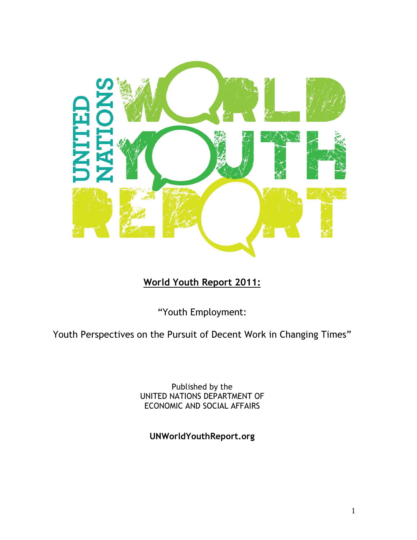

## World Youth Report 2011:

"Youth Employment:

Youth Perspectives on the Pursuit of Decent Work in Changing Times"

Published by the UNITED NATIONS DEPARTMENT OF ECONOMIC AND SOCIAL AFFAIRS

UNWorldYouthReport.org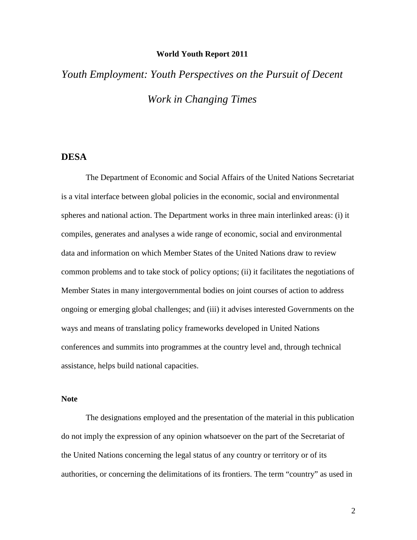#### **World Youth Report 2011**

# *Youth Employment: Youth Perspectives on the Pursuit of Decent Work in Changing Times*

### **DESA**

The Department of Economic and Social Affairs of the United Nations Secretariat is a vital interface between global policies in the economic, social and environmental spheres and national action. The Department works in three main interlinked areas: (i) it compiles, generates and analyses a wide range of economic, social and environmental data and information on which Member States of the United Nations draw to review common problems and to take stock of policy options; (ii) it facilitates the negotiations of Member States in many intergovernmental bodies on joint courses of action to address ongoing or emerging global challenges; and (iii) it advises interested Governments on the ways and means of translating policy frameworks developed in United Nations conferences and summits into programmes at the country level and, through technical assistance, helps build national capacities.

#### **Note**

The designations employed and the presentation of the material in this publication do not imply the expression of any opinion whatsoever on the part of the Secretariat of the United Nations concerning the legal status of any country or territory or of its authorities, or concerning the delimitations of its frontiers. The term "country" as used in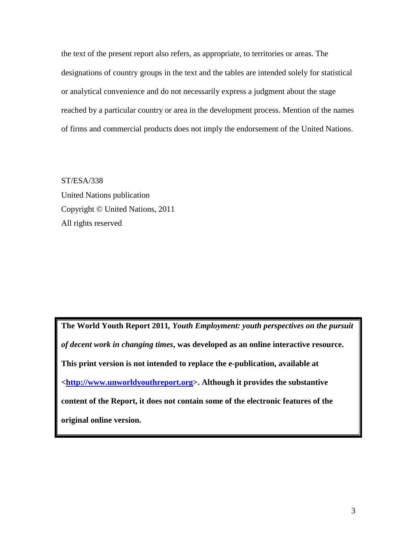the text of the present report also refers, as appropriate, to territories or areas. The designations of country groups in the text and the tables are intended solely for statistical or analytical convenience and do not necessarily express a judgment about the stage reached by a particular country or area in the development process. Mention of the names of firms and commercial products does not imply the endorsement of the United Nations.

ST/ESA/338 United Nations publication Copyright © United Nations, 2011 All rights reserved

**The World Youth Report 2011***, Youth Employment: youth perspectives on the pursuit of decent work in changing times***, was developed as an online interactive resource. This print version is not intended to replace the e-publication, available at <http://www.unworldyouthreport.org>. Although it provides the substantive content of the Report, it does not contain some of the electronic features of the original online version.**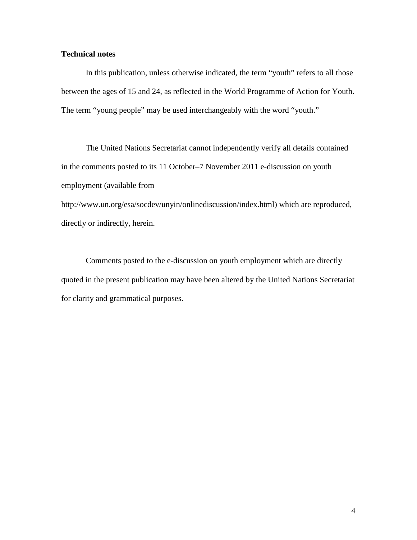### **Technical notes**

In this publication, unless otherwise indicated, the term "youth" refers to all those between the ages of 15 and 24, as reflected in the World Programme of Action for Youth. The term "young people" may be used interchangeably with the word "youth."

The United Nations Secretariat cannot independently verify all details contained in the comments posted to its 11 October–7 November 2011 e-discussion on youth employment (available from http://www.un.org/esa/socdev/unyin/onlinediscussion/index.html) which are reproduced, directly or indirectly, herein.

Comments posted to the e-discussion on youth employment which are directly quoted in the present publication may have been altered by the United Nations Secretariat for clarity and grammatical purposes.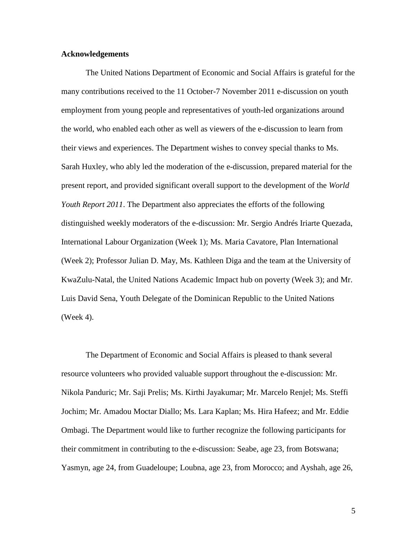#### **Acknowledgements**

The United Nations Department of Economic and Social Affairs is grateful for the many contributions received to the 11 October-7 November 2011 e-discussion on youth employment from young people and representatives of youth-led organizations around the world, who enabled each other as well as viewers of the e-discussion to learn from their views and experiences. The Department wishes to convey special thanks to Ms. Sarah Huxley, who ably led the moderation of the e-discussion, prepared material for the present report, and provided significant overall support to the development of the *World Youth Report 2011*. The Department also appreciates the efforts of the following distinguished weekly moderators of the e-discussion: Mr. Sergio Andrés Iriarte Quezada, International Labour Organization (Week 1); Ms. Maria Cavatore, Plan International (Week 2); Professor Julian D. May, Ms. Kathleen Diga and the team at the University of KwaZulu-Natal, the United Nations Academic Impact hub on poverty (Week 3); and Mr. Luis David Sena, Youth Delegate of the Dominican Republic to the United Nations (Week 4).

The Department of Economic and Social Affairs is pleased to thank several resource volunteers who provided valuable support throughout the e-discussion: Mr. Nikola Panduric; Mr. Saji Prelis; Ms. Kirthi Jayakumar; Mr. Marcelo Renjel; Ms. Steffi Jochim; Mr. Amadou Moctar Diallo; Ms. Lara Kaplan; Ms. Hira Hafeez; and Mr. Eddie Ombagi. The Department would like to further recognize the following participants for their commitment in contributing to the e-discussion: Seabe, age 23, from Botswana; Yasmyn, age 24, from Guadeloupe; Loubna, age 23, from Morocco; and Ayshah, age 26,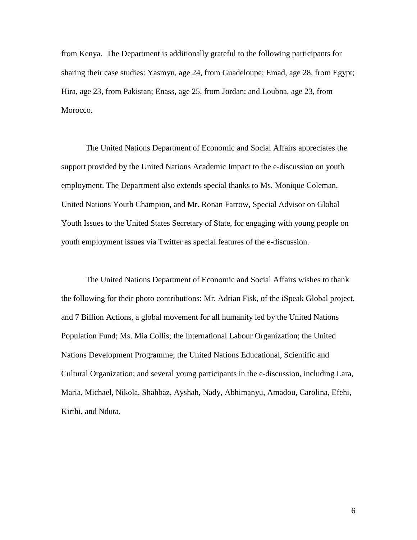from Kenya. The Department is additionally grateful to the following participants for sharing their case studies: Yasmyn, age 24, from Guadeloupe; Emad, age 28, from Egypt; Hira, age 23, from Pakistan; Enass, age 25, from Jordan; and Loubna, age 23, from Morocco.

The United Nations Department of Economic and Social Affairs appreciates the support provided by the United Nations Academic Impact to the e-discussion on youth employment. The Department also extends special thanks to Ms. Monique Coleman, United Nations Youth Champion, and Mr. Ronan Farrow, Special Advisor on Global Youth Issues to the United States Secretary of State, for engaging with young people on youth employment issues via Twitter as special features of the e-discussion.

The United Nations Department of Economic and Social Affairs wishes to thank the following for their photo contributions: Mr. Adrian Fisk, of the iSpeak Global project, and 7 Billion Actions, a global movement for all humanity led by the United Nations Population Fund; Ms. Mia Collis; the International Labour Organization; the United Nations Development Programme; the United Nations Educational, Scientific and Cultural Organization; and several young participants in the e-discussion, including Lara, Maria, Michael, Nikola, Shahbaz, Ayshah, Nady, Abhimanyu, Amadou, Carolina, Efehi, Kirthi, and Nduta.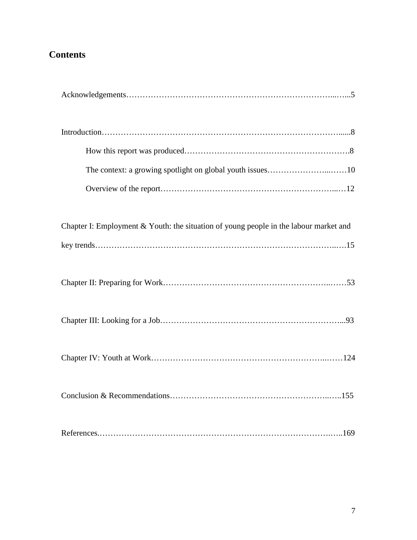## **Contents**

| Chapter I: Employment & Youth: the situation of young people in the labour market and |
|---------------------------------------------------------------------------------------|
|                                                                                       |
|                                                                                       |
|                                                                                       |
|                                                                                       |
|                                                                                       |
|                                                                                       |
|                                                                                       |
|                                                                                       |
|                                                                                       |
|                                                                                       |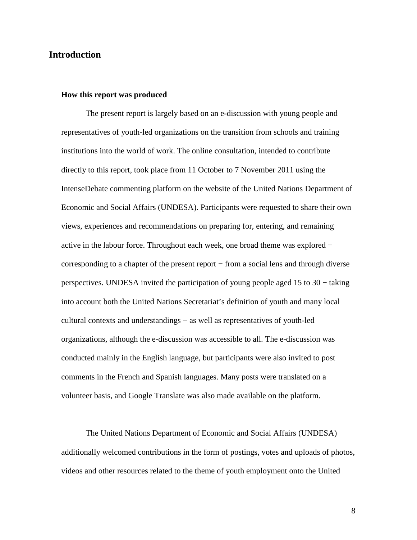### **Introduction**

#### **How this report was produced**

The present report is largely based on an e-discussion with young people and representatives of youth-led organizations on the transition from schools and training institutions into the world of work. The online consultation, intended to contribute directly to this report, took place from 11 October to 7 November 2011 using the IntenseDebate commenting platform on the website of the United Nations Department of Economic and Social Affairs (UNDESA). Participants were requested to share their own views, experiences and recommendations on preparing for, entering, and remaining active in the labour force. Throughout each week, one broad theme was explored − corresponding to a chapter of the present report − from a social lens and through diverse perspectives. UNDESA invited the participation of young people aged 15 to 30 − taking into account both the United Nations Secretariat's definition of youth and many local cultural contexts and understandings − as well as representatives of youth-led organizations, although the e-discussion was accessible to all. The e-discussion was conducted mainly in the English language, but participants were also invited to post comments in the French and Spanish languages. Many posts were translated on a volunteer basis, and Google Translate was also made available on the platform.

The United Nations Department of Economic and Social Affairs (UNDESA) additionally welcomed contributions in the form of postings, votes and uploads of photos, videos and other resources related to the theme of youth employment onto the United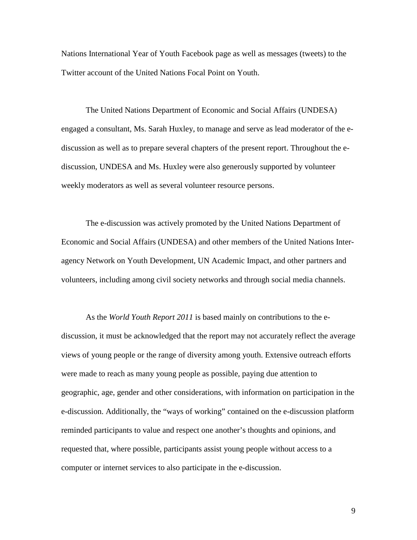Nations International Year of Youth Facebook page as well as messages (tweets) to the Twitter account of the United Nations Focal Point on Youth.

The United Nations Department of Economic and Social Affairs (UNDESA) engaged a consultant, Ms. Sarah Huxley, to manage and serve as lead moderator of the ediscussion as well as to prepare several chapters of the present report. Throughout the ediscussion, UNDESA and Ms. Huxley were also generously supported by volunteer weekly moderators as well as several volunteer resource persons.

The e-discussion was actively promoted by the United Nations Department of Economic and Social Affairs (UNDESA) and other members of the United Nations Interagency Network on Youth Development, UN Academic Impact, and other partners and volunteers, including among civil society networks and through social media channels.

As the *World Youth Report 2011* is based mainly on contributions to the ediscussion, it must be acknowledged that the report may not accurately reflect the average views of young people or the range of diversity among youth. Extensive outreach efforts were made to reach as many young people as possible, paying due attention to geographic, age, gender and other considerations, with information on participation in the e-discussion. Additionally, the "ways of working" contained on the e-discussion platform reminded participants to value and respect one another's thoughts and opinions, and requested that, where possible, participants assist young people without access to a computer or internet services to also participate in the e-discussion.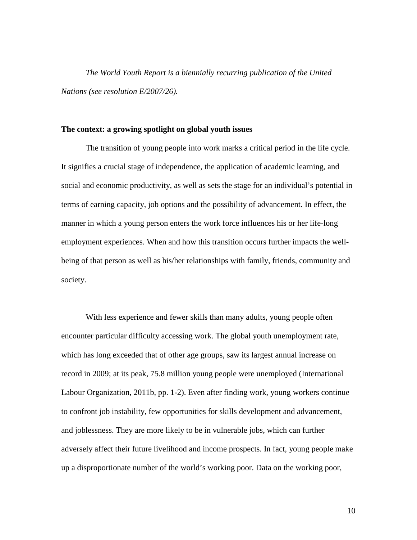*The World Youth Report is a biennially recurring publication of the United Nations (see resolution E/2007/26).* 

#### **The context: a growing spotlight on global youth issues**

The transition of young people into work marks a critical period in the life cycle. It signifies a crucial stage of independence, the application of academic learning, and social and economic productivity, as well as sets the stage for an individual's potential in terms of earning capacity, job options and the possibility of advancement. In effect, the manner in which a young person enters the work force influences his or her life-long employment experiences. When and how this transition occurs further impacts the wellbeing of that person as well as his/her relationships with family, friends, community and society.

With less experience and fewer skills than many adults, young people often encounter particular difficulty accessing work. The global youth unemployment rate, which has long exceeded that of other age groups, saw its largest annual increase on record in 2009; at its peak, 75.8 million young people were unemployed (International Labour Organization, 2011b, pp. 1-2). Even after finding work, young workers continue to confront job instability, few opportunities for skills development and advancement, and joblessness. They are more likely to be in vulnerable jobs, which can further adversely affect their future livelihood and income prospects. In fact, young people make up a disproportionate number of the world's working poor. Data on the working poor,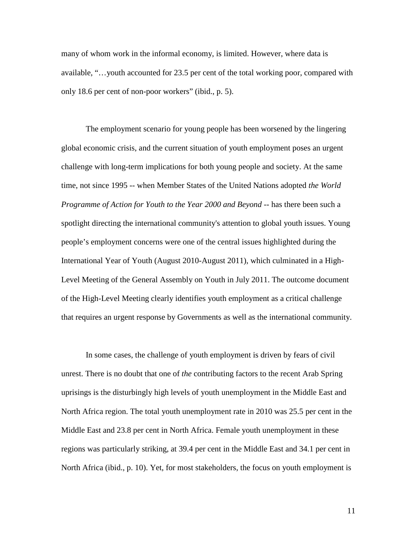many of whom work in the informal economy, is limited. However, where data is available, "…youth accounted for 23.5 per cent of the total working poor, compared with only 18.6 per cent of non-poor workers" (ibid., p. 5).

The employment scenario for young people has been worsened by the lingering global economic crisis, and the current situation of youth employment poses an urgent challenge with long-term implications for both young people and society. At the same time, not since 1995 -- when Member States of the United Nations adopted *the World Programme of Action for Youth to the Year 2000 and Beyond* -- has there been such a spotlight directing the international community's attention to global youth issues. Young people's employment concerns were one of the central issues highlighted during the International Year of Youth (August 2010-August 2011), which culminated in a High-Level Meeting of the General Assembly on Youth in July 2011. The outcome document of the High-Level Meeting clearly identifies youth employment as a critical challenge that requires an urgent response by Governments as well as the international community.

In some cases, the challenge of youth employment is driven by fears of civil unrest. There is no doubt that one of *the* contributing factors to the recent Arab Spring uprisings is the disturbingly high levels of youth unemployment in the Middle East and North Africa region. The total youth unemployment rate in 2010 was 25.5 per cent in the Middle East and 23.8 per cent in North Africa. Female youth unemployment in these regions was particularly striking, at 39.4 per cent in the Middle East and 34.1 per cent in North Africa (ibid., p. 10). Yet, for most stakeholders, the focus on youth employment is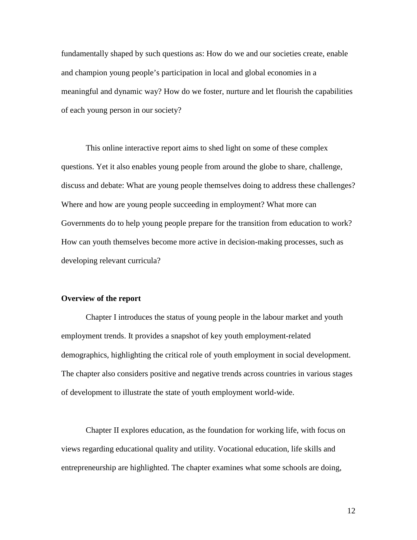fundamentally shaped by such questions as: How do we and our societies create, enable and champion young people's participation in local and global economies in a meaningful and dynamic way? How do we foster, nurture and let flourish the capabilities of each young person in our society?

This online interactive report aims to shed light on some of these complex questions. Yet it also enables young people from around the globe to share, challenge, discuss and debate: What are young people themselves doing to address these challenges? Where and how are young people succeeding in employment? What more can Governments do to help young people prepare for the transition from education to work? How can youth themselves become more active in decision-making processes, such as developing relevant curricula?

#### **Overview of the report**

Chapter I introduces the status of young people in the labour market and youth employment trends. It provides a snapshot of key youth employment-related demographics, highlighting the critical role of youth employment in social development. The chapter also considers positive and negative trends across countries in various stages of development to illustrate the state of youth employment world-wide.

Chapter II explores education, as the foundation for working life, with focus on views regarding educational quality and utility. Vocational education, life skills and entrepreneurship are highlighted. The chapter examines what some schools are doing,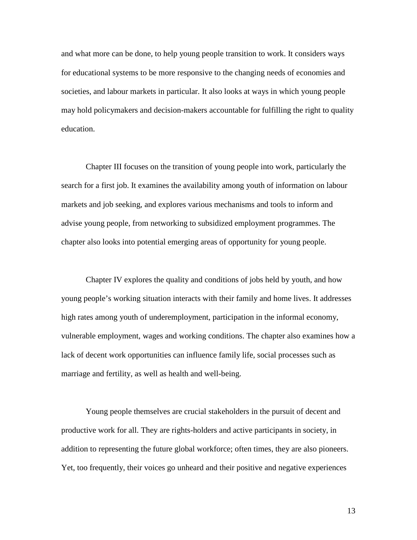and what more can be done, to help young people transition to work. It considers ways for educational systems to be more responsive to the changing needs of economies and societies, and labour markets in particular. It also looks at ways in which young people may hold policymakers and decision-makers accountable for fulfilling the right to quality education.

Chapter III focuses on the transition of young people into work, particularly the search for a first job. It examines the availability among youth of information on labour markets and job seeking, and explores various mechanisms and tools to inform and advise young people, from networking to subsidized employment programmes. The chapter also looks into potential emerging areas of opportunity for young people.

Chapter IV explores the quality and conditions of jobs held by youth, and how young people's working situation interacts with their family and home lives. It addresses high rates among youth of underemployment, participation in the informal economy, vulnerable employment, wages and working conditions. The chapter also examines how a lack of decent work opportunities can influence family life, social processes such as marriage and fertility, as well as health and well-being.

Young people themselves are crucial stakeholders in the pursuit of decent and productive work for all. They are rights-holders and active participants in society, in addition to representing the future global workforce; often times, they are also pioneers. Yet, too frequently, their voices go unheard and their positive and negative experiences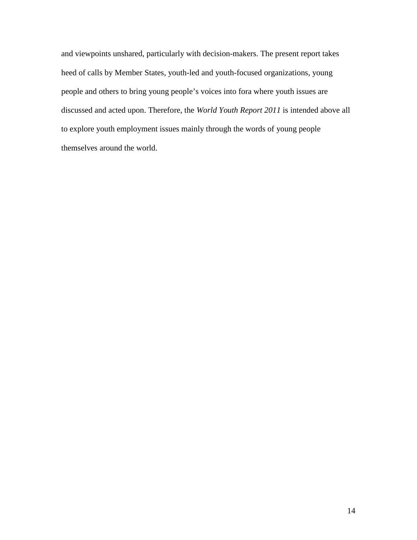and viewpoints unshared, particularly with decision-makers. The present report takes heed of calls by Member States, youth-led and youth-focused organizations, young people and others to bring young people's voices into fora where youth issues are discussed and acted upon. Therefore, the *World Youth Report 2011* is intended above all to explore youth employment issues mainly through the words of young people themselves around the world.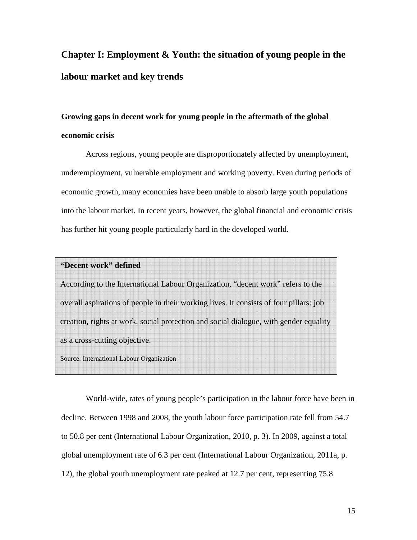# **Chapter I: Employment & Youth: the situation of young people in the labour market and key trends**

## **Growing gaps in decent work for young people in the aftermath of the global economic crisis**

Across regions, young people are disproportionately affected by unemployment, underemployment, vulnerable employment and working poverty. Even during periods of economic growth, many economies have been unable to absorb large youth populations into the labour market. In recent years, however, the global financial and economic crisis has further hit young people particularly hard in the developed world.

# **"Decent work" defined** According to the International Labour Organization, "decent work" refers to the overall aspirations of people in their working lives. It consists of four pillars: job creation, rights at work, social protection and social dialogue, with gender equality as a cross-cutting objective. Source: International Labour Organization

World-wide, rates of young people's participation in the labour force have been in decline. Between 1998 and 2008, the youth labour force participation rate fell from 54.7 to 50.8 per cent (International Labour Organization, 2010, p. 3). In 2009, against a total global unemployment rate of 6.3 per cent (International Labour Organization, 2011a, p. 12), the global youth unemployment rate peaked at 12.7 per cent, representing 75.8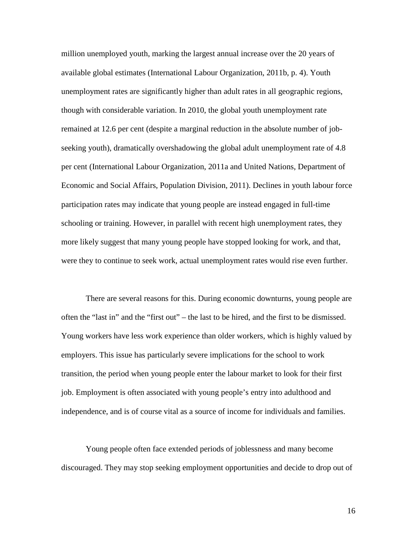million unemployed youth, marking the largest annual increase over the 20 years of available global estimates (International Labour Organization, 2011b, p. 4). Youth unemployment rates are significantly higher than adult rates in all geographic regions, though with considerable variation. In 2010, the global youth unemployment rate remained at 12.6 per cent (despite a marginal reduction in the absolute number of jobseeking youth), dramatically overshadowing the global adult unemployment rate of 4.8 per cent (International Labour Organization, 2011a and United Nations, Department of Economic and Social Affairs, Population Division, 2011). Declines in youth labour force participation rates may indicate that young people are instead engaged in full-time schooling or training. However, in parallel with recent high unemployment rates, they more likely suggest that many young people have stopped looking for work, and that, were they to continue to seek work, actual unemployment rates would rise even further.

There are several reasons for this. During economic downturns, young people are often the "last in" and the "first out" – the last to be hired, and the first to be dismissed. Young workers have less work experience than older workers, which is highly valued by employers. This issue has particularly severe implications for the school to work transition, the period when young people enter the labour market to look for their first job. Employment is often associated with young people's entry into adulthood and independence, and is of course vital as a source of income for individuals and families.

Young people often face extended periods of joblessness and many become discouraged. They may stop seeking employment opportunities and decide to drop out of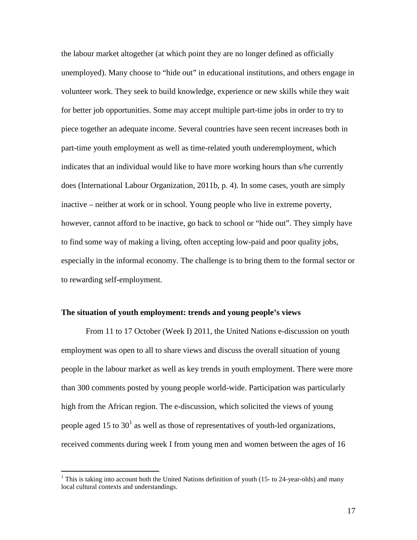the labour market altogether (at which point they are no longer defined as officially unemployed). Many choose to "hide out" in educational institutions, and others engage in volunteer work. They seek to build knowledge, experience or new skills while they wait for better job opportunities. Some may accept multiple part-time jobs in order to try to piece together an adequate income. Several countries have seen recent increases both in part-time youth employment as well as time-related youth underemployment, which indicates that an individual would like to have more working hours than s/he currently does (International Labour Organization, 2011b, p. 4). In some cases, youth are simply inactive – neither at work or in school. Young people who live in extreme poverty, however, cannot afford to be inactive, go back to school or "hide out". They simply have to find some way of making a living, often accepting low-paid and poor quality jobs, especially in the informal economy. The challenge is to bring them to the formal sector or to rewarding self-employment.

#### **The situation of youth employment: trends and young people's views**

From 11 to 17 October (Week I) 2011, the United Nations e-discussion on youth employment was open to all to share views and discuss the overall situation of young people in the labour market as well as key trends in youth employment. There were more than 300 comments posted by young people world-wide. Participation was particularly high from the African region. The e-discussion, which solicited the views of young people aged 15 to  $30<sup>1</sup>$  as well as those of representatives of youth-led organizations, received comments during week I from young men and women between the ages of 16

<sup>&</sup>lt;sup>1</sup> This is taking into account both the United Nations definition of youth (15- to 24-year-olds) and many local cultural contexts and understandings.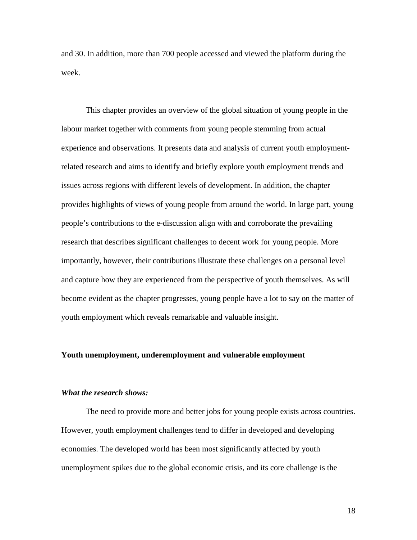and 30. In addition, more than 700 people accessed and viewed the platform during the week.

This chapter provides an overview of the global situation of young people in the labour market together with comments from young people stemming from actual experience and observations. It presents data and analysis of current youth employmentrelated research and aims to identify and briefly explore youth employment trends and issues across regions with different levels of development. In addition, the chapter provides highlights of views of young people from around the world. In large part, young people's contributions to the e-discussion align with and corroborate the prevailing research that describes significant challenges to decent work for young people. More importantly, however, their contributions illustrate these challenges on a personal level and capture how they are experienced from the perspective of youth themselves. As will become evident as the chapter progresses, young people have a lot to say on the matter of youth employment which reveals remarkable and valuable insight.

#### **Youth unemployment, underemployment and vulnerable employment**

#### *What the research shows:*

The need to provide more and better jobs for young people exists across countries. However, youth employment challenges tend to differ in developed and developing economies. The developed world has been most significantly affected by youth unemployment spikes due to the global economic crisis, and its core challenge is the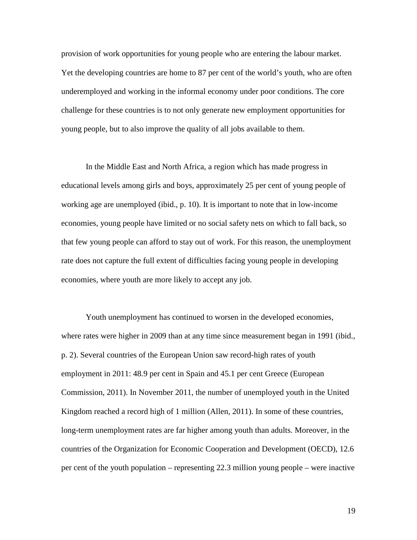provision of work opportunities for young people who are entering the labour market. Yet the developing countries are home to 87 per cent of the world's youth, who are often underemployed and working in the informal economy under poor conditions. The core challenge for these countries is to not only generate new employment opportunities for young people, but to also improve the quality of all jobs available to them.

In the Middle East and North Africa, a region which has made progress in educational levels among girls and boys, approximately 25 per cent of young people of working age are unemployed (ibid., p. 10). It is important to note that in low-income economies, young people have limited or no social safety nets on which to fall back, so that few young people can afford to stay out of work. For this reason, the unemployment rate does not capture the full extent of difficulties facing young people in developing economies, where youth are more likely to accept any job.

 Youth unemployment has continued to worsen in the developed economies, where rates were higher in 2009 than at any time since measurement began in 1991 (ibid., p. 2). Several countries of the European Union saw record-high rates of youth employment in 2011: 48.9 per cent in Spain and 45.1 per cent Greece (European Commission, 2011). In November 2011, the number of unemployed youth in the United Kingdom reached a record high of 1 million (Allen, 2011). In some of these countries, long-term unemployment rates are far higher among youth than adults. Moreover, in the countries of the Organization for Economic Cooperation and Development (OECD), 12.6 per cent of the youth population – representing 22.3 million young people – were inactive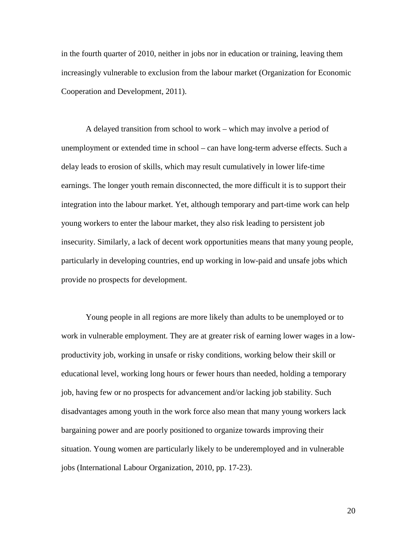in the fourth quarter of 2010, neither in jobs nor in education or training, leaving them increasingly vulnerable to exclusion from the labour market (Organization for Economic Cooperation and Development, 2011).

A delayed transition from school to work – which may involve a period of unemployment or extended time in school – can have long-term adverse effects. Such a delay leads to erosion of skills, which may result cumulatively in lower life-time earnings. The longer youth remain disconnected, the more difficult it is to support their integration into the labour market. Yet, although temporary and part-time work can help young workers to enter the labour market, they also risk leading to persistent job insecurity. Similarly, a lack of decent work opportunities means that many young people, particularly in developing countries, end up working in low-paid and unsafe jobs which provide no prospects for development.

Young people in all regions are more likely than adults to be unemployed or to work in vulnerable employment. They are at greater risk of earning lower wages in a lowproductivity job, working in unsafe or risky conditions, working below their skill or educational level, working long hours or fewer hours than needed, holding a temporary job, having few or no prospects for advancement and/or lacking job stability. Such disadvantages among youth in the work force also mean that many young workers lack bargaining power and are poorly positioned to organize towards improving their situation. Young women are particularly likely to be underemployed and in vulnerable jobs (International Labour Organization, 2010, pp. 17-23).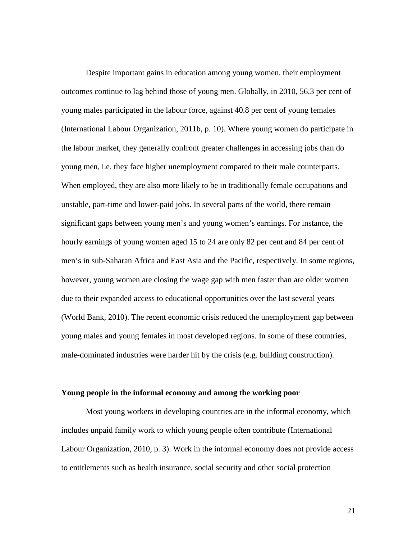Despite important gains in education among young women, their employment outcomes continue to lag behind those of young men. Globally, in 2010, 56.3 per cent of young males participated in the labour force, against 40.8 per cent of young females (International Labour Organization, 2011b, p. 10). Where young women do participate in the labour market, they generally confront greater challenges in accessing jobs than do young men, i.e. they face higher unemployment compared to their male counterparts. When employed, they are also more likely to be in traditionally female occupations and unstable, part-time and lower-paid jobs. In several parts of the world, there remain significant gaps between young men's and young women's earnings. For instance, the hourly earnings of young women aged 15 to 24 are only 82 per cent and 84 per cent of men's in sub-Saharan Africa and East Asia and the Pacific, respectively. In some regions, however, young women are closing the wage gap with men faster than are older women due to their expanded access to educational opportunities over the last several years (World Bank, 2010). The recent economic crisis reduced the unemployment gap between young males and young females in most developed regions. In some of these countries, male-dominated industries were harder hit by the crisis (e.g. building construction).

#### **Young people in the informal economy and among the working poor**

Most young workers in developing countries are in the informal economy, which includes unpaid family work to which young people often contribute (International Labour Organization, 2010, p. 3). Work in the informal economy does not provide access to entitlements such as health insurance, social security and other social protection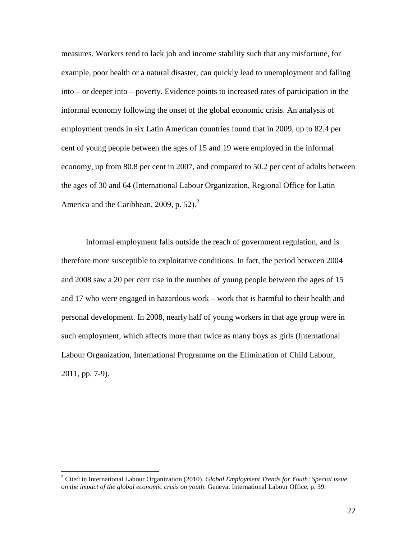measures. Workers tend to lack job and income stability such that any misfortune, for example, poor health or a natural disaster, can quickly lead to unemployment and falling into – or deeper into – poverty. Evidence points to increased rates of participation in the informal economy following the onset of the global economic crisis. An analysis of employment trends in six Latin American countries found that in 2009, up to 82.4 per cent of young people between the ages of 15 and 19 were employed in the informal economy, up from 80.8 per cent in 2007, and compared to 50.2 per cent of adults between the ages of 30 and 64 (International Labour Organization, Regional Office for Latin America and the Caribbean, 2009, p. 52). $2$ 

Informal employment falls outside the reach of government regulation, and is therefore more susceptible to exploitative conditions. In fact, the period between 2004 and 2008 saw a 20 per cent rise in the number of young people between the ages of 15 and 17 who were engaged in hazardous work – work that is harmful to their health and personal development. In 2008, nearly half of young workers in that age group were in such employment, which affects more than twice as many boys as girls (International Labour Organization, International Programme on the Elimination of Child Labour, 2011, pp. 7-9).

 2 Cited in International Labour Organization (2010). *Global Employment Trends for Youth: Special issue on the impact of the global economic crisis on youth*. Geneva: International Labour Office, p. 39.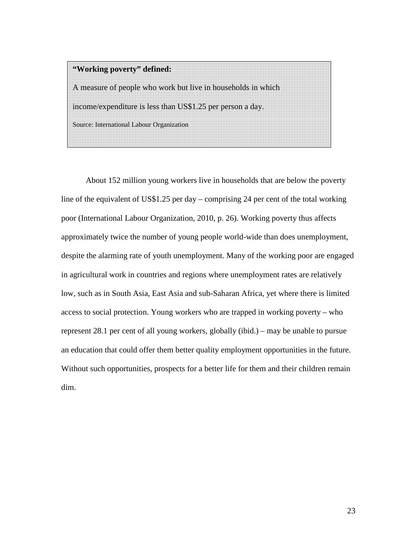## **"Working poverty" defined:**

A measure of people who work but live in households in which income/expenditure is less than US\$1.25 per person a day. Source: International Labour Organization

About 152 million young workers live in households that are below the poverty line of the equivalent of US\$1.25 per day – comprising 24 per cent of the total working poor (International Labour Organization, 2010, p. 26). Working poverty thus affects approximately twice the number of young people world-wide than does unemployment, despite the alarming rate of youth unemployment. Many of the working poor are engaged in agricultural work in countries and regions where unemployment rates are relatively low, such as in South Asia, East Asia and sub-Saharan Africa, yet where there is limited access to social protection. Young workers who are trapped in working poverty – who represent 28.1 per cent of all young workers, globally (ibid.) – may be unable to pursue an education that could offer them better quality employment opportunities in the future. Without such opportunities, prospects for a better life for them and their children remain dim.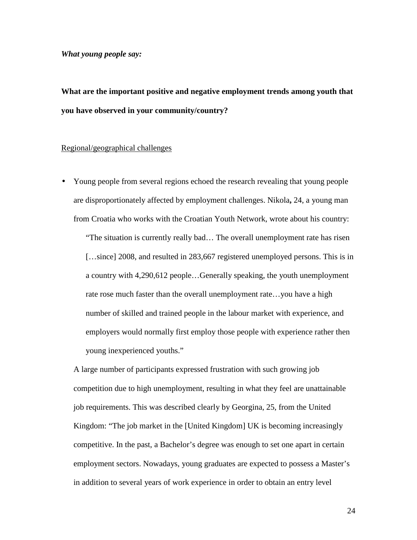#### *What young people say:*

**What are the important positive and negative employment trends among youth that you have observed in your community/country?** 

#### Regional/geographical challenges

• Young people from several regions echoed the research revealing that young people are disproportionately affected by employment challenges. Nikola**,** 24, a young man from Croatia who works with the Croatian Youth Network, wrote about his country: "The situation is currently really bad… The overall unemployment rate has risen [...since] 2008, and resulted in 283,667 registered unemployed persons. This is in a country with 4,290,612 people…Generally speaking, the youth unemployment rate rose much faster than the overall unemployment rate…you have a high number of skilled and trained people in the labour market with experience, and employers would normally first employ those people with experience rather then young inexperienced youths."

A large number of participants expressed frustration with such growing job competition due to high unemployment, resulting in what they feel are unattainable job requirements. This was described clearly by Georgina, 25, from the United Kingdom: "The job market in the [United Kingdom] UK is becoming increasingly competitive. In the past, a Bachelor's degree was enough to set one apart in certain employment sectors. Nowadays, young graduates are expected to possess a Master's in addition to several years of work experience in order to obtain an entry level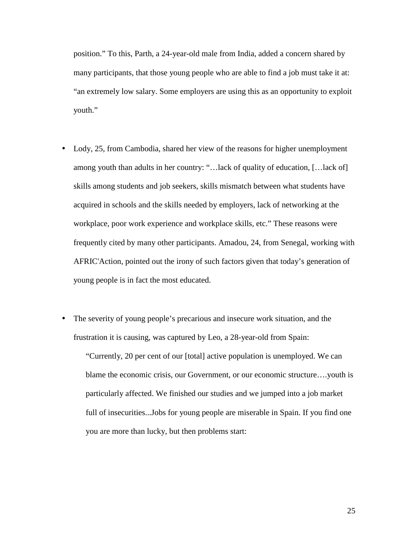position." To this, Parth, a 24-year-old male from India, added a concern shared by many participants, that those young people who are able to find a job must take it at: "an extremely low salary. Some employers are using this as an opportunity to exploit youth."

- Lody, 25, from Cambodia, shared her view of the reasons for higher unemployment among youth than adults in her country: "…lack of quality of education, […lack of] skills among students and job seekers, skills mismatch between what students have acquired in schools and the skills needed by employers, lack of networking at the workplace, poor work experience and workplace skills, etc." These reasons were frequently cited by many other participants. Amadou, 24, from Senegal, working with AFRIC'Action, pointed out the irony of such factors given that today's generation of young people is in fact the most educated.
- The severity of young people's precarious and insecure work situation, and the frustration it is causing, was captured by Leo, a 28-year-old from Spain:

"Currently, 20 per cent of our [total] active population is unemployed. We can blame the economic crisis, our Government, or our economic structure….youth is particularly affected. We finished our studies and we jumped into a job market full of insecurities...Jobs for young people are miserable in Spain. If you find one you are more than lucky, but then problems start: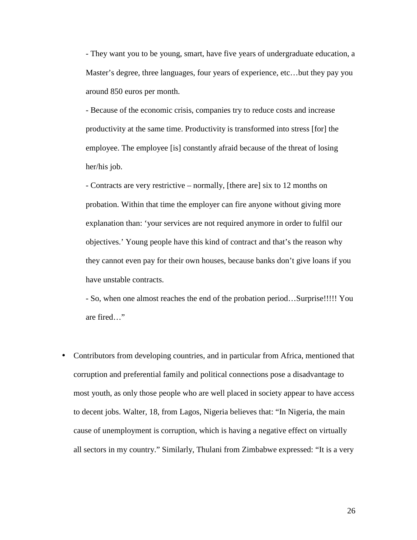- They want you to be young, smart, have five years of undergraduate education, a Master's degree, three languages, four years of experience, etc…but they pay you around 850 euros per month.

- Because of the economic crisis, companies try to reduce costs and increase productivity at the same time. Productivity is transformed into stress [for] the employee. The employee [is] constantly afraid because of the threat of losing her/his job.

- Contracts are very restrictive – normally, [there are] six to 12 months on probation. Within that time the employer can fire anyone without giving more explanation than: 'your services are not required anymore in order to fulfil our objectives.' Young people have this kind of contract and that's the reason why they cannot even pay for their own houses, because banks don't give loans if you have unstable contracts.

- So, when one almost reaches the end of the probation period…Surprise!!!!! You are fired…"

• Contributors from developing countries, and in particular from Africa, mentioned that corruption and preferential family and political connections pose a disadvantage to most youth, as only those people who are well placed in society appear to have access to decent jobs. Walter, 18, from Lagos, Nigeria believes that: "In Nigeria, the main cause of unemployment is corruption, which is having a negative effect on virtually all sectors in my country." Similarly, Thulani from Zimbabwe expressed: "It is a very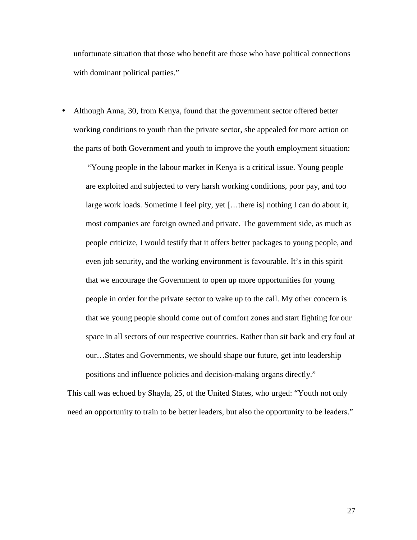unfortunate situation that those who benefit are those who have political connections with dominant political parties."

• Although Anna, 30, from Kenya, found that the government sector offered better working conditions to youth than the private sector, she appealed for more action on the parts of both Government and youth to improve the youth employment situation:

"Young people in the labour market in Kenya is a critical issue. Young people are exploited and subjected to very harsh working conditions, poor pay, and too large work loads. Sometime I feel pity, yet […there is] nothing I can do about it, most companies are foreign owned and private. The government side, as much as people criticize, I would testify that it offers better packages to young people, and even job security, and the working environment is favourable. It's in this spirit that we encourage the Government to open up more opportunities for young people in order for the private sector to wake up to the call. My other concern is that we young people should come out of comfort zones and start fighting for our space in all sectors of our respective countries. Rather than sit back and cry foul at our…States and Governments, we should shape our future, get into leadership positions and influence policies and decision-making organs directly."

This call was echoed by Shayla, 25, of the United States, who urged: "Youth not only need an opportunity to train to be better leaders, but also the opportunity to be leaders."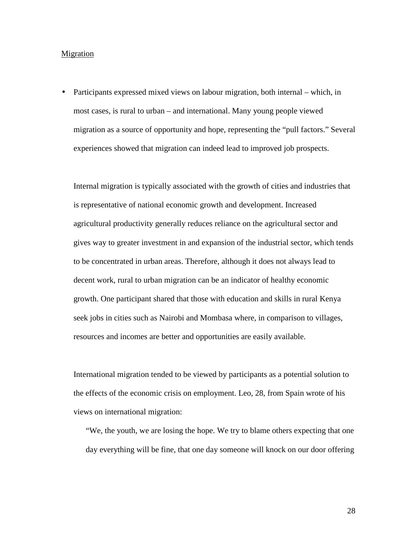#### Migration

• Participants expressed mixed views on labour migration, both internal – which, in most cases, is rural to urban – and international. Many young people viewed migration as a source of opportunity and hope, representing the "pull factors." Several experiences showed that migration can indeed lead to improved job prospects.

Internal migration is typically associated with the growth of cities and industries that is representative of national economic growth and development. Increased agricultural productivity generally reduces reliance on the agricultural sector and gives way to greater investment in and expansion of the industrial sector, which tends to be concentrated in urban areas. Therefore, although it does not always lead to decent work, rural to urban migration can be an indicator of healthy economic growth. One participant shared that those with education and skills in rural Kenya seek jobs in cities such as Nairobi and Mombasa where, in comparison to villages, resources and incomes are better and opportunities are easily available.

International migration tended to be viewed by participants as a potential solution to the effects of the economic crisis on employment. Leo, 28, from Spain wrote of his views on international migration:

"We, the youth, we are losing the hope. We try to blame others expecting that one day everything will be fine, that one day someone will knock on our door offering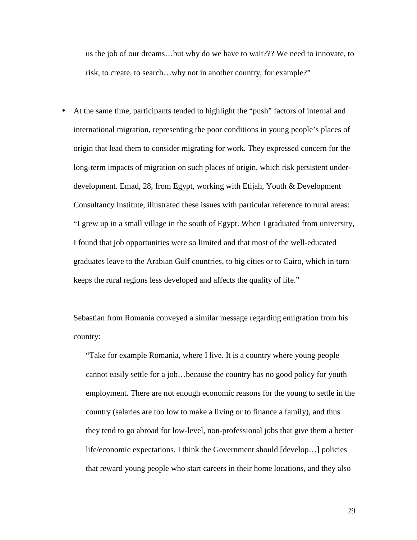us the job of our dreams…but why do we have to wait??? We need to innovate, to risk, to create, to search…why not in another country, for example?"

• At the same time, participants tended to highlight the "push" factors of internal and international migration, representing the poor conditions in young people's places of origin that lead them to consider migrating for work. They expressed concern for the long-term impacts of migration on such places of origin, which risk persistent underdevelopment. Emad, 28, from Egypt, working with Etijah, Youth & Development Consultancy Institute, illustrated these issues with particular reference to rural areas: "I grew up in a small village in the south of Egypt. When I graduated from university, I found that job opportunities were so limited and that most of the well-educated graduates leave to the Arabian Gulf countries, to big cities or to Cairo, which in turn keeps the rural regions less developed and affects the quality of life."

Sebastian from Romania conveyed a similar message regarding emigration from his country:

"Take for example Romania, where I live. It is a country where young people cannot easily settle for a job…because the country has no good policy for youth employment. There are not enough economic reasons for the young to settle in the country (salaries are too low to make a living or to finance a family), and thus they tend to go abroad for low-level, non-professional jobs that give them a better life/economic expectations. I think the Government should [develop…] policies that reward young people who start careers in their home locations, and they also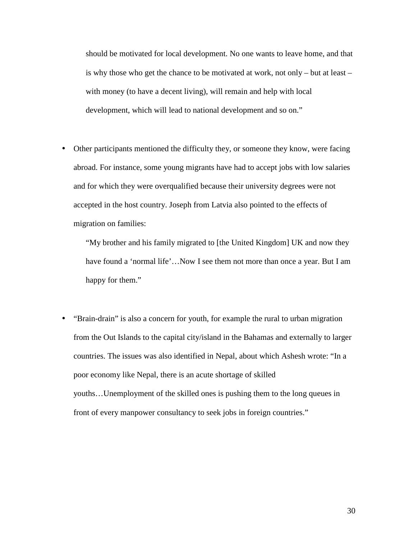should be motivated for local development. No one wants to leave home, and that is why those who get the chance to be motivated at work, not only – but at least – with money (to have a decent living), will remain and help with local development, which will lead to national development and so on."

• Other participants mentioned the difficulty they, or someone they know, were facing abroad. For instance, some young migrants have had to accept jobs with low salaries and for which they were overqualified because their university degrees were not accepted in the host country. Joseph from Latvia also pointed to the effects of migration on families:

"My brother and his family migrated to [the United Kingdom] UK and now they have found a 'normal life'...Now I see them not more than once a year. But I am happy for them."

• "Brain-drain" is also a concern for youth, for example the rural to urban migration from the Out Islands to the capital city/island in the Bahamas and externally to larger countries. The issues was also identified in Nepal, about which Ashesh wrote: "In a poor economy like Nepal, there is an acute shortage of skilled youths…Unemployment of the skilled ones is pushing them to the long queues in front of every manpower consultancy to seek jobs in foreign countries."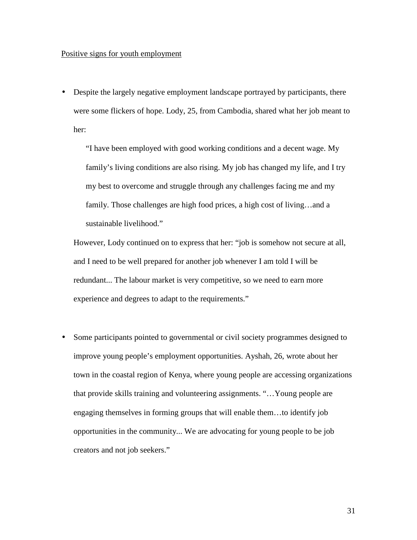#### Positive signs for youth employment

• Despite the largely negative employment landscape portrayed by participants, there were some flickers of hope. Lody, 25, from Cambodia, shared what her job meant to her:

"I have been employed with good working conditions and a decent wage. My family's living conditions are also rising. My job has changed my life, and I try my best to overcome and struggle through any challenges facing me and my family. Those challenges are high food prices, a high cost of living…and a sustainable livelihood."

However, Lody continued on to express that her: "job is somehow not secure at all, and I need to be well prepared for another job whenever I am told I will be redundant... The labour market is very competitive, so we need to earn more experience and degrees to adapt to the requirements."

• Some participants pointed to governmental or civil society programmes designed to improve young people's employment opportunities. Ayshah, 26, wrote about her town in the coastal region of Kenya, where young people are accessing organizations that provide skills training and volunteering assignments. "…Young people are engaging themselves in forming groups that will enable them…to identify job opportunities in the community... We are advocating for young people to be job creators and not job seekers."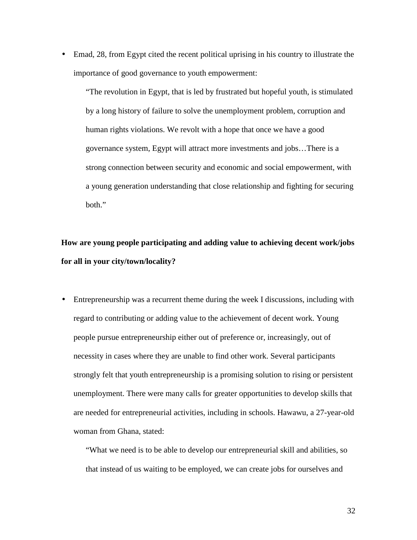• Emad, 28, from Egypt cited the recent political uprising in his country to illustrate the importance of good governance to youth empowerment:

"The revolution in Egypt, that is led by frustrated but hopeful youth, is stimulated by a long history of failure to solve the unemployment problem, corruption and human rights violations. We revolt with a hope that once we have a good governance system, Egypt will attract more investments and jobs…There is a strong connection between security and economic and social empowerment, with a young generation understanding that close relationship and fighting for securing both."

**How are young people participating and adding value to achieving decent work/jobs for all in your city/town/locality?** 

• Entrepreneurship was a recurrent theme during the week I discussions, including with regard to contributing or adding value to the achievement of decent work. Young people pursue entrepreneurship either out of preference or, increasingly, out of necessity in cases where they are unable to find other work. Several participants strongly felt that youth entrepreneurship is a promising solution to rising or persistent unemployment. There were many calls for greater opportunities to develop skills that are needed for entrepreneurial activities, including in schools. Hawawu, a 27-year-old woman from Ghana, stated:

"What we need is to be able to develop our entrepreneurial skill and abilities, so that instead of us waiting to be employed, we can create jobs for ourselves and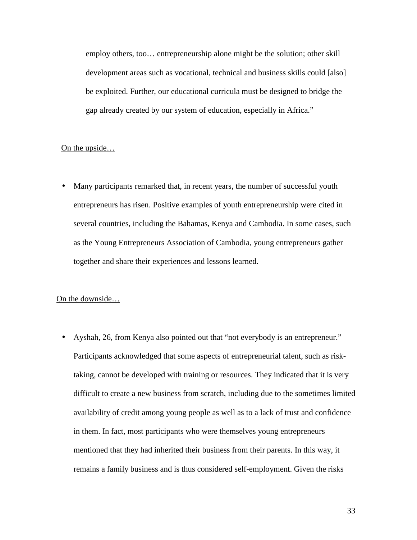employ others, too… entrepreneurship alone might be the solution; other skill development areas such as vocational, technical and business skills could [also] be exploited. Further, our educational curricula must be designed to bridge the gap already created by our system of education, especially in Africa."

#### On the upside…

Many participants remarked that, in recent years, the number of successful youth entrepreneurs has risen. Positive examples of youth entrepreneurship were cited in several countries, including the Bahamas, Kenya and Cambodia. In some cases, such as the Young Entrepreneurs Association of Cambodia, young entrepreneurs gather together and share their experiences and lessons learned.

#### On the downside…

• Ayshah, 26, from Kenya also pointed out that "not everybody is an entrepreneur." Participants acknowledged that some aspects of entrepreneurial talent, such as risktaking, cannot be developed with training or resources. They indicated that it is very difficult to create a new business from scratch, including due to the sometimes limited availability of credit among young people as well as to a lack of trust and confidence in them. In fact, most participants who were themselves young entrepreneurs mentioned that they had inherited their business from their parents. In this way, it remains a family business and is thus considered self-employment. Given the risks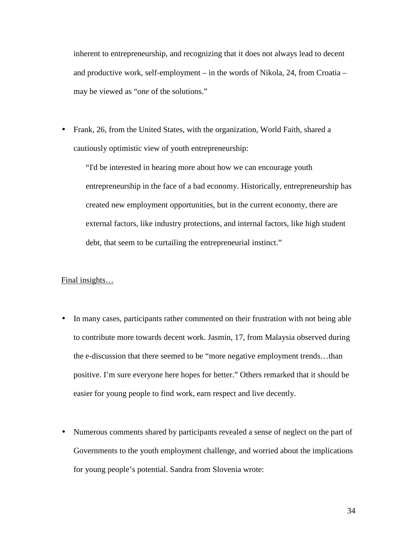inherent to entrepreneurship, and recognizing that it does not always lead to decent and productive work, self-employment – in the words of Nikola, 24, from Croatia – may be viewed as "*one* of the solutions."

• Frank, 26, from the United States, with the organization, World Faith, shared a cautiously optimistic view of youth entrepreneurship:

"I'd be interested in hearing more about how we can encourage youth entrepreneurship in the face of a bad economy. Historically, entrepreneurship has created new employment opportunities, but in the current economy, there are external factors, like industry protections, and internal factors, like high student debt, that seem to be curtailing the entrepreneurial instinct."

#### Final insights…

- In many cases, participants rather commented on their frustration with not being able to contribute more towards decent work. Jasmin, 17, from Malaysia observed during the e-discussion that there seemed to be "more negative employment trends…than positive. I'm sure everyone here hopes for better." Others remarked that it should be easier for young people to find work, earn respect and live decently.
- Numerous comments shared by participants revealed a sense of neglect on the part of Governments to the youth employment challenge, and worried about the implications for young people's potential. Sandra from Slovenia wrote: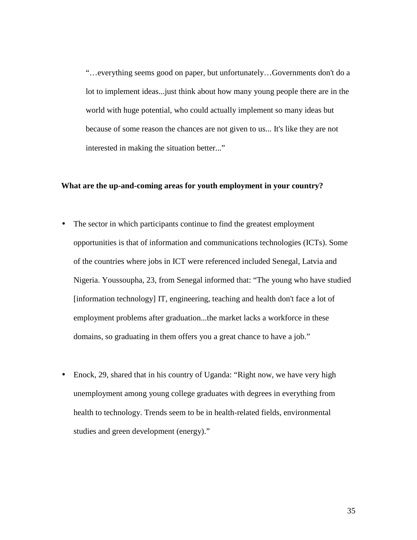"…everything seems good on paper, but unfortunately…Governments don't do a lot to implement ideas...just think about how many young people there are in the world with huge potential, who could actually implement so many ideas but because of some reason the chances are not given to us... It's like they are not interested in making the situation better..."

#### **What are the up-and-coming areas for youth employment in your country?**

- The sector in which participants continue to find the greatest employment opportunities is that of information and communications technologies (ICTs). Some of the countries where jobs in ICT were referenced included Senegal, Latvia and Nigeria. Youssoupha, 23, from Senegal informed that: "The young who have studied [information technology] IT, engineering, teaching and health don't face a lot of employment problems after graduation...the market lacks a workforce in these domains, so graduating in them offers you a great chance to have a job."
- Enock, 29, shared that in his country of Uganda: "Right now, we have very high unemployment among young college graduates with degrees in everything from health to technology. Trends seem to be in health-related fields, environmental studies and green development (energy)."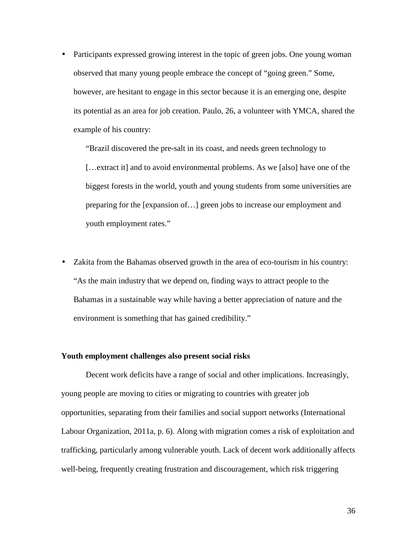• Participants expressed growing interest in the topic of green jobs. One young woman observed that many young people embrace the concept of "going green." Some, however, are hesitant to engage in this sector because it is an emerging one, despite its potential as an area for job creation. Paulo, 26, a volunteer with YMCA, shared the example of his country:

"Brazil discovered the pre-salt in its coast, and needs green technology to […extract it] and to avoid environmental problems. As we [also] have one of the biggest forests in the world, youth and young students from some universities are preparing for the [expansion of…] green jobs to increase our employment and youth employment rates."

• Zakita from the Bahamas observed growth in the area of eco-tourism in his country: "As the main industry that we depend on, finding ways to attract people to the Bahamas in a sustainable way while having a better appreciation of nature and the environment is something that has gained credibility."

#### **Youth employment challenges also present social risks**

Decent work deficits have a range of social and other implications. Increasingly, young people are moving to cities or migrating to countries with greater job opportunities, separating from their families and social support networks (International Labour Organization, 2011a, p. 6). Along with migration comes a risk of exploitation and trafficking, particularly among vulnerable youth. Lack of decent work additionally affects well-being, frequently creating frustration and discouragement, which risk triggering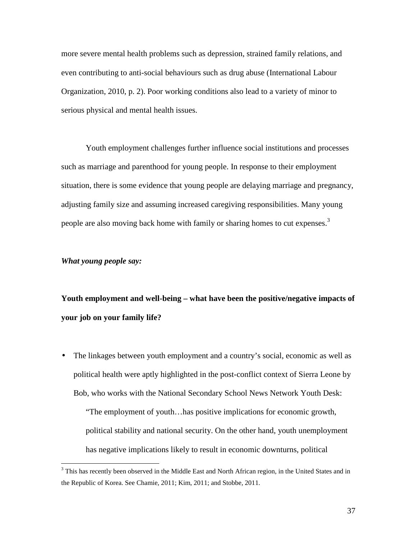more severe mental health problems such as depression, strained family relations, and even contributing to anti-social behaviours such as drug abuse (International Labour Organization, 2010, p. 2). Poor working conditions also lead to a variety of minor to serious physical and mental health issues.

Youth employment challenges further influence social institutions and processes such as marriage and parenthood for young people. In response to their employment situation, there is some evidence that young people are delaying marriage and pregnancy, adjusting family size and assuming increased caregiving responsibilities. Many young people are also moving back home with family or sharing homes to cut expenses.<sup>3</sup>

# *What young people say:*

# **Youth employment and well-being – what have been the positive/negative impacts of your job on your family life?**

• The linkages between youth employment and a country's social, economic as well as political health were aptly highlighted in the post-conflict context of Sierra Leone by Bob, who works with the National Secondary School News Network Youth Desk:

"The employment of youth…has positive implications for economic growth, political stability and national security. On the other hand, youth unemployment has negative implications likely to result in economic downturns, political

<sup>&</sup>lt;sup>3</sup> This has recently been observed in the Middle East and North African region, in the United States and in the Republic of Korea. See Chamie, 2011; Kim, 2011; and Stobbe, 2011.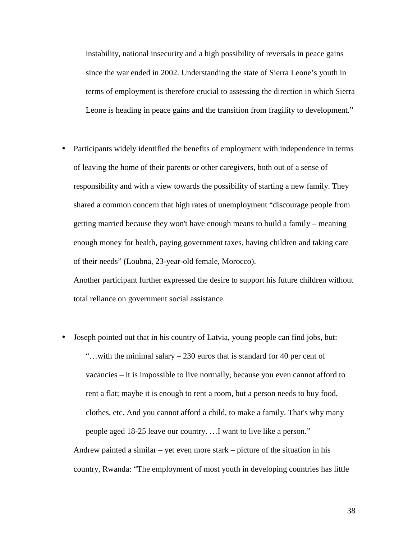instability, national insecurity and a high possibility of reversals in peace gains since the war ended in 2002. Understanding the state of Sierra Leone's youth in terms of employment is therefore crucial to assessing the direction in which Sierra Leone is heading in peace gains and the transition from fragility to development."

• Participants widely identified the benefits of employment with independence in terms of leaving the home of their parents or other caregivers, both out of a sense of responsibility and with a view towards the possibility of starting a new family. They shared a common concern that high rates of unemployment "discourage people from getting married because they won't have enough means to build a family – meaning enough money for health, paying government taxes, having children and taking care of their needs" (Loubna, 23-year-old female, Morocco).

Another participant further expressed the desire to support his future children without total reliance on government social assistance.

• Joseph pointed out that in his country of Latvia, young people can find jobs, but: "…with the minimal salary – 230 euros that is standard for 40 per cent of vacancies – it is impossible to live normally, because you even cannot afford to rent a flat; maybe it is enough to rent a room, but a person needs to buy food, clothes, etc. And you cannot afford a child, to make a family. That's why many people aged 18-25 leave our country. …I want to live like a person." Andrew painted a similar – yet even more stark – picture of the situation in his country, Rwanda: "The employment of most youth in developing countries has little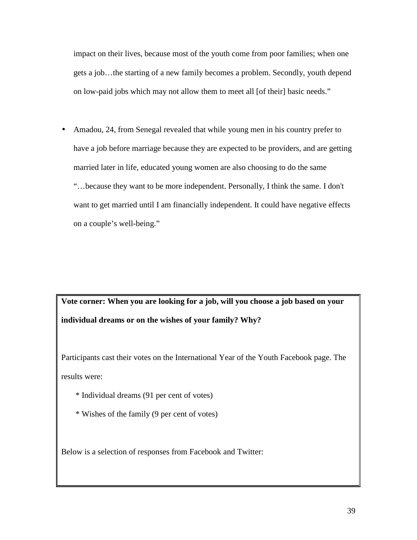impact on their lives, because most of the youth come from poor families; when one gets a job…the starting of a new family becomes a problem. Secondly, youth depend on low-paid jobs which may not allow them to meet all [of their] basic needs."

• Amadou, 24, from Senegal revealed that while young men in his country prefer to have a job before marriage because they are expected to be providers, and are getting married later in life, educated young women are also choosing to do the same "…because they want to be more independent. Personally, I think the same. I don't want to get married until I am financially independent. It could have negative effects on a couple's well-being."

# **Vote corner: When you are looking for a job, will you choose a job based on your individual dreams or on the wishes of your family? Why?**

Participants cast their votes on the International Year of the Youth Facebook page. The results were:

- \* Individual dreams (91 per cent of votes)
- \* Wishes of the family (9 per cent of votes)

Below is a selection of responses from Facebook and Twitter: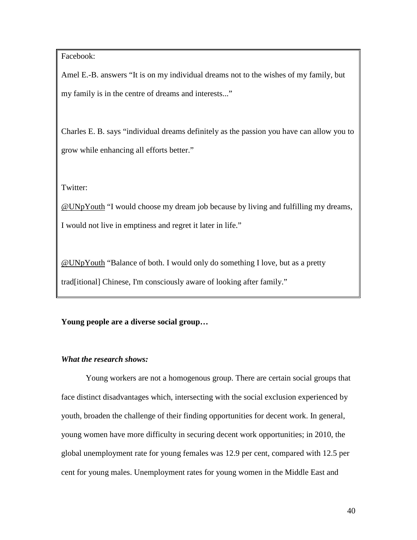Facebook:

Amel E.-B. answers "It is on my individual dreams not to the wishes of my family, but my family is in the centre of dreams and interests..."

Charles E. B. says "individual dreams definitely as the passion you have can allow you to grow while enhancing all efforts better."

Twitter:

@UNpYouth "I would choose my dream job because by living and fulfilling my dreams, I would not live in emptiness and regret it later in life."

@UNpYouth "Balance of both. I would only do something I love, but as a pretty trad[itional] Chinese, I'm consciously aware of looking after family."

# **Young people are a diverse social group…**

#### *What the research shows:*

Young workers are not a homogenous group. There are certain social groups that face distinct disadvantages which, intersecting with the social exclusion experienced by youth, broaden the challenge of their finding opportunities for decent work. In general, young women have more difficulty in securing decent work opportunities; in 2010, the global unemployment rate for young females was 12.9 per cent, compared with 12.5 per cent for young males. Unemployment rates for young women in the Middle East and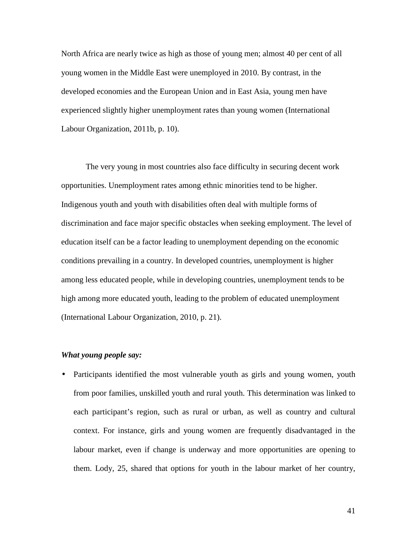North Africa are nearly twice as high as those of young men; almost 40 per cent of all young women in the Middle East were unemployed in 2010. By contrast, in the developed economies and the European Union and in East Asia, young men have experienced slightly higher unemployment rates than young women (International Labour Organization, 2011b, p. 10).

The very young in most countries also face difficulty in securing decent work opportunities. Unemployment rates among ethnic minorities tend to be higher. Indigenous youth and youth with disabilities often deal with multiple forms of discrimination and face major specific obstacles when seeking employment. The level of education itself can be a factor leading to unemployment depending on the economic conditions prevailing in a country. In developed countries, unemployment is higher among less educated people, while in developing countries, unemployment tends to be high among more educated youth, leading to the problem of educated unemployment (International Labour Organization, 2010, p. 21).

### *What young people say:*

• Participants identified the most vulnerable youth as girls and young women, youth from poor families, unskilled youth and rural youth. This determination was linked to each participant's region, such as rural or urban, as well as country and cultural context. For instance, girls and young women are frequently disadvantaged in the labour market, even if change is underway and more opportunities are opening to them. Lody, 25, shared that options for youth in the labour market of her country,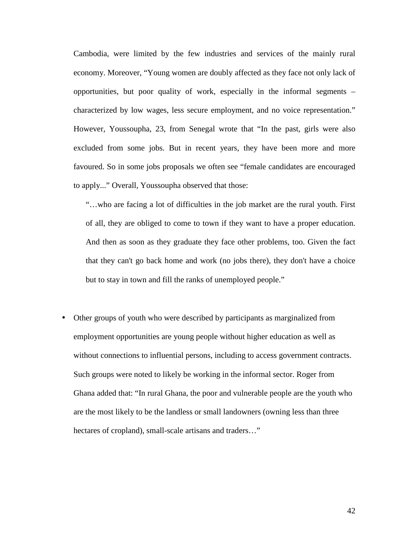Cambodia, were limited by the few industries and services of the mainly rural economy. Moreover, "Young women are doubly affected as they face not only lack of opportunities, but poor quality of work, especially in the informal segments – characterized by low wages, less secure employment, and no voice representation." However, Youssoupha, 23, from Senegal wrote that "In the past, girls were also excluded from some jobs. But in recent years, they have been more and more favoured. So in some jobs proposals we often see "female candidates are encouraged to apply..." Overall, Youssoupha observed that those:

"…who are facing a lot of difficulties in the job market are the rural youth. First of all, they are obliged to come to town if they want to have a proper education. And then as soon as they graduate they face other problems, too. Given the fact that they can't go back home and work (no jobs there), they don't have a choice but to stay in town and fill the ranks of unemployed people."

• Other groups of youth who were described by participants as marginalized from employment opportunities are young people without higher education as well as without connections to influential persons, including to access government contracts. Such groups were noted to likely be working in the informal sector. Roger from Ghana added that: "In rural Ghana, the poor and vulnerable people are the youth who are the most likely to be the landless or small landowners (owning less than three hectares of cropland), small-scale artisans and traders..."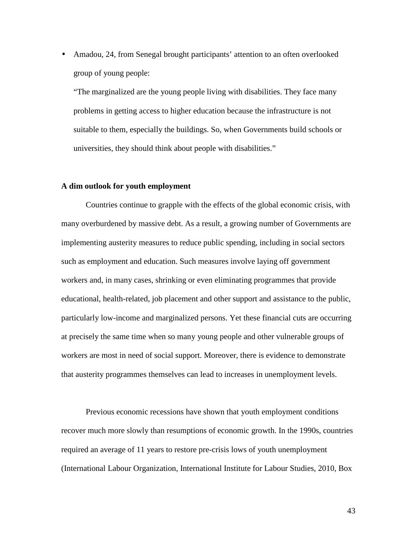• Amadou, 24, from Senegal brought participants' attention to an often overlooked group of young people:

"The marginalized are the young people living with disabilities. They face many problems in getting access to higher education because the infrastructure is not suitable to them, especially the buildings. So, when Governments build schools or universities, they should think about people with disabilities."

#### **A dim outlook for youth employment**

 Countries continue to grapple with the effects of the global economic crisis, with many overburdened by massive debt. As a result, a growing number of Governments are implementing austerity measures to reduce public spending, including in social sectors such as employment and education. Such measures involve laying off government workers and, in many cases, shrinking or even eliminating programmes that provide educational, health-related, job placement and other support and assistance to the public, particularly low-income and marginalized persons. Yet these financial cuts are occurring at precisely the same time when so many young people and other vulnerable groups of workers are most in need of social support. Moreover, there is evidence to demonstrate that austerity programmes themselves can lead to increases in unemployment levels.

 Previous economic recessions have shown that youth employment conditions recover much more slowly than resumptions of economic growth. In the 1990s, countries required an average of 11 years to restore pre-crisis lows of youth unemployment (International Labour Organization, International Institute for Labour Studies, 2010, Box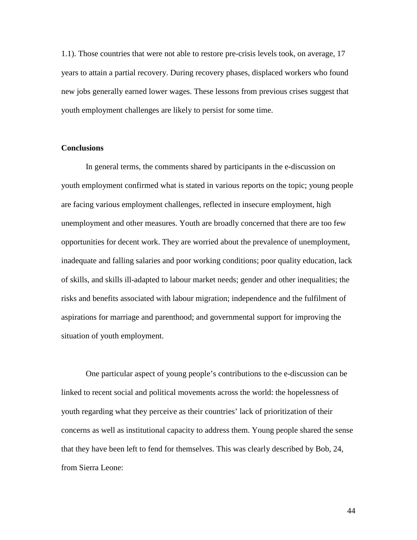1.1). Those countries that were not able to restore pre-crisis levels took, on average, 17 years to attain a partial recovery. During recovery phases, displaced workers who found new jobs generally earned lower wages. These lessons from previous crises suggest that youth employment challenges are likely to persist for some time.

#### **Conclusions**

In general terms, the comments shared by participants in the e-discussion on youth employment confirmed what is stated in various reports on the topic; young people are facing various employment challenges, reflected in insecure employment, high unemployment and other measures. Youth are broadly concerned that there are too few opportunities for decent work. They are worried about the prevalence of unemployment, inadequate and falling salaries and poor working conditions; poor quality education, lack of skills, and skills ill-adapted to labour market needs; gender and other inequalities; the risks and benefits associated with labour migration; independence and the fulfilment of aspirations for marriage and parenthood; and governmental support for improving the situation of youth employment.

 One particular aspect of young people's contributions to the e-discussion can be linked to recent social and political movements across the world: the hopelessness of youth regarding what they perceive as their countries' lack of prioritization of their concerns as well as institutional capacity to address them. Young people shared the sense that they have been left to fend for themselves. This was clearly described by Bob, 24, from Sierra Leone: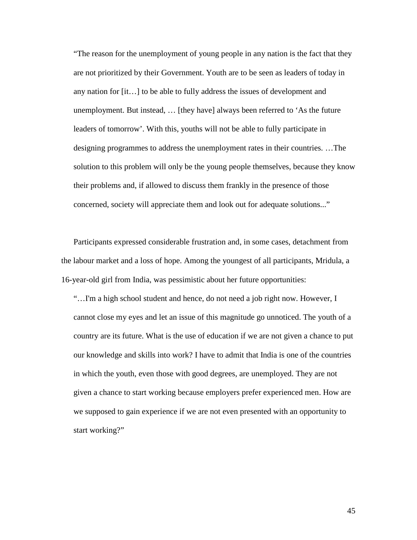"The reason for the unemployment of young people in any nation is the fact that they are not prioritized by their Government. Youth are to be seen as leaders of today in any nation for [it…] to be able to fully address the issues of development and unemployment. But instead, … [they have] always been referred to 'As the future leaders of tomorrow'. With this, youths will not be able to fully participate in designing programmes to address the unemployment rates in their countries. …The solution to this problem will only be the young people themselves, because they know their problems and, if allowed to discuss them frankly in the presence of those concerned, society will appreciate them and look out for adequate solutions..."

Participants expressed considerable frustration and, in some cases, detachment from the labour market and a loss of hope. Among the youngest of all participants, Mridula, a 16-year-old girl from India, was pessimistic about her future opportunities:

"…I'm a high school student and hence, do not need a job right now. However, I cannot close my eyes and let an issue of this magnitude go unnoticed. The youth of a country are its future. What is the use of education if we are not given a chance to put our knowledge and skills into work? I have to admit that India is one of the countries in which the youth, even those with good degrees, are unemployed. They are not given a chance to start working because employers prefer experienced men. How are we supposed to gain experience if we are not even presented with an opportunity to start working?"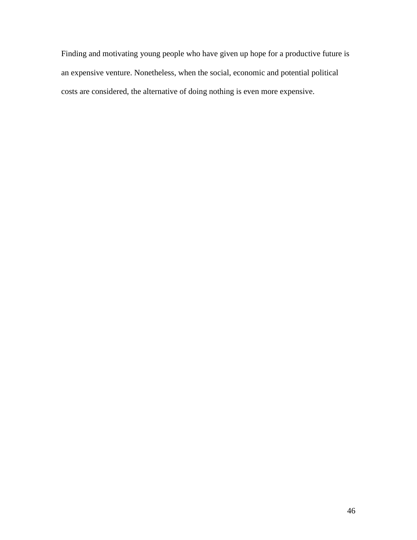Finding and motivating young people who have given up hope for a productive future is an expensive venture. Nonetheless, when the social, economic and potential political costs are considered, the alternative of doing nothing is even more expensive.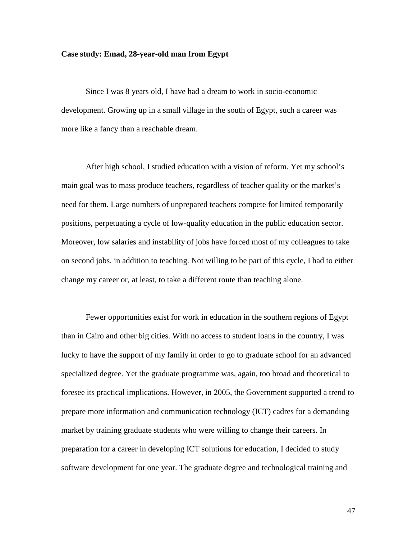# **Case study: Emad, 28-year-old man from Egypt**

Since I was 8 years old, I have had a dream to work in socio-economic development. Growing up in a small village in the south of Egypt, such a career was more like a fancy than a reachable dream.

After high school, I studied education with a vision of reform. Yet my school's main goal was to mass produce teachers, regardless of teacher quality or the market's need for them. Large numbers of unprepared teachers compete for limited temporarily positions, perpetuating a cycle of low-quality education in the public education sector. Moreover, low salaries and instability of jobs have forced most of my colleagues to take on second jobs, in addition to teaching. Not willing to be part of this cycle, I had to either change my career or, at least, to take a different route than teaching alone.

Fewer opportunities exist for work in education in the southern regions of Egypt than in Cairo and other big cities. With no access to student loans in the country, I was lucky to have the support of my family in order to go to graduate school for an advanced specialized degree. Yet the graduate programme was, again, too broad and theoretical to foresee its practical implications. However, in 2005, the Government supported a trend to prepare more information and communication technology (ICT) cadres for a demanding market by training graduate students who were willing to change their careers. In preparation for a career in developing ICT solutions for education, I decided to study software development for one year. The graduate degree and technological training and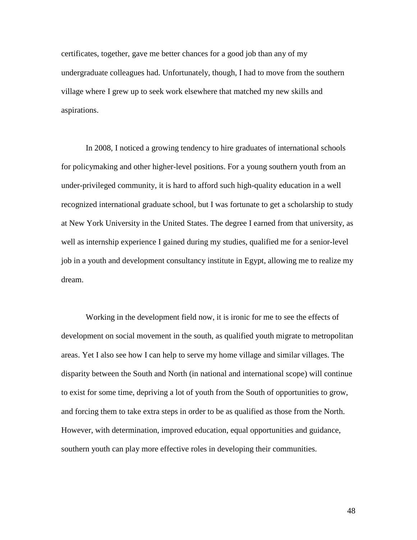certificates, together, gave me better chances for a good job than any of my undergraduate colleagues had. Unfortunately, though, I had to move from the southern village where I grew up to seek work elsewhere that matched my new skills and aspirations.

In 2008, I noticed a growing tendency to hire graduates of international schools for policymaking and other higher-level positions. For a young southern youth from an under-privileged community, it is hard to afford such high-quality education in a well recognized international graduate school, but I was fortunate to get a scholarship to study at New York University in the United States. The degree I earned from that university, as well as internship experience I gained during my studies, qualified me for a senior-level job in a youth and development consultancy institute in Egypt, allowing me to realize my dream.

Working in the development field now, it is ironic for me to see the effects of development on social movement in the south, as qualified youth migrate to metropolitan areas. Yet I also see how I can help to serve my home village and similar villages. The disparity between the South and North (in national and international scope) will continue to exist for some time, depriving a lot of youth from the South of opportunities to grow, and forcing them to take extra steps in order to be as qualified as those from the North. However, with determination, improved education, equal opportunities and guidance, southern youth can play more effective roles in developing their communities.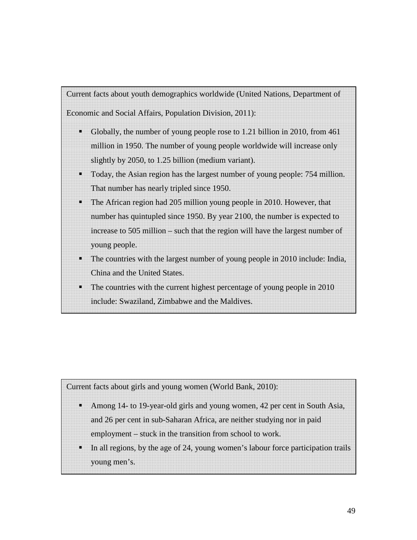Current facts about youth demographics worldwide (United Nations, Department of

Economic and Social Affairs, Population Division, 2011):

- Globally, the number of young people rose to 1.21 billion in 2010, from 461 million in 1950. The number of young people worldwide will increase only slightly by 2050, to 1.25 billion (medium variant).
- Today, the Asian region has the largest number of young people: 754 million. That number has nearly tripled since 1950.
- The African region had 205 million young people in 2010. However, that number has quintupled since 1950. By year 2100, the number is expected to increase to 505 million – such that the region will have the largest number of young people.
- The countries with the largest number of young people in 2010 include: India, China and the United States.
- The countries with the current highest percentage of young people in 2010 include: Swaziland, Zimbabwe and the Maldives.

Current facts about girls and young women (World Bank, 2010):

- Among 14- to 19-year-old girls and young women, 42 per cent in South Asia, and 26 per cent in sub-Saharan Africa, are neither studying nor in paid employment – stuck in the transition from school to work.
	- In all regions, by the age of 24, young women's labour force participation trails young men's.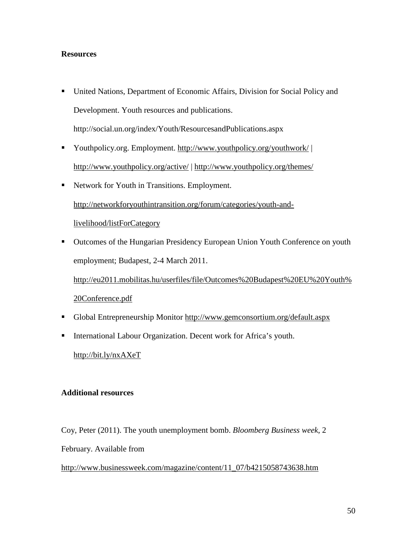# **Resources**

 United Nations, Department of Economic Affairs, Division for Social Policy and Development. Youth resources and publications.

http://social.un.org/index/Youth/ResourcesandPublications.aspx

- Youthpolicy.org. Employment. http://www.youthpolicy.org/youthwork/ http://www.youthpolicy.org/active/ | http://www.youthpolicy.org/themes/
- Network for Youth in Transitions. Employment. http://networkforyouthintransition.org/forum/categories/youth-andlivelihood/listForCategory
- Outcomes of the Hungarian Presidency European Union Youth Conference on youth employment; Budapest, 2-4 March 2011.

http://eu2011.mobilitas.hu/userfiles/file/Outcomes%20Budapest%20EU%20Youth% 20Conference.pdf

- Global Entrepreneurship Monitor http://www.gemconsortium.org/default.aspx
- **International Labour Organization. Decent work for Africa's youth.**

http://bit.ly/nxAXeT

# **Additional resources**

Coy, Peter (2011). The youth unemployment bomb. *Bloomberg Business week*, 2 February. Available from

http://www.businessweek.com/magazine/content/11\_07/b4215058743638.htm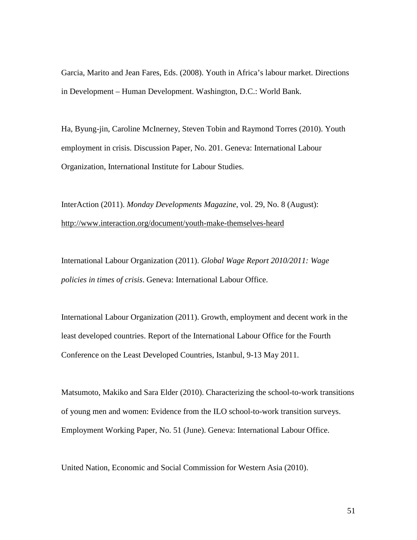Garcia, Marito and Jean Fares, Eds. (2008). Youth in Africa's labour market. Directions in Development – Human Development. Washington, D.C.: World Bank.

Ha, Byung-jin, Caroline McInerney, Steven Tobin and Raymond Torres (2010). Youth employment in crisis. Discussion Paper, No. 201. Geneva: International Labour Organization, International Institute for Labour Studies.

InterAction (2011). *Monday Developments Magazine*, vol. 29, No. 8 (August): http://www.interaction.org/document/youth-make-themselves-heard

International Labour Organization (2011). *Global Wage Report 2010/2011: Wage policies in times of crisis*. Geneva: International Labour Office.

International Labour Organization (2011). Growth, employment and decent work in the least developed countries. Report of the International Labour Office for the Fourth Conference on the Least Developed Countries, Istanbul, 9-13 May 2011.

Matsumoto, Makiko and Sara Elder (2010). Characterizing the school-to-work transitions of young men and women: Evidence from the ILO school-to-work transition surveys. Employment Working Paper, No. 51 (June). Geneva: International Labour Office.

United Nation, Economic and Social Commission for Western Asia (2010).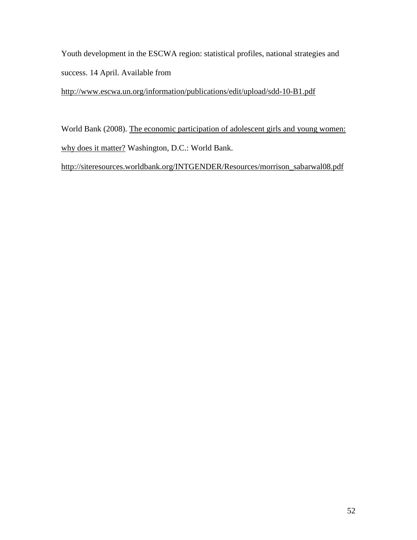Youth development in the ESCWA region: statistical profiles, national strategies and success. 14 April. Available from

http://www.escwa.un.org/information/publications/edit/upload/sdd-10-B1.pdf

World Bank (2008). The economic participation of adolescent girls and young women: why does it matter? Washington, D.C.: World Bank.

http://siteresources.worldbank.org/INTGENDER/Resources/morrison\_sabarwal08.pdf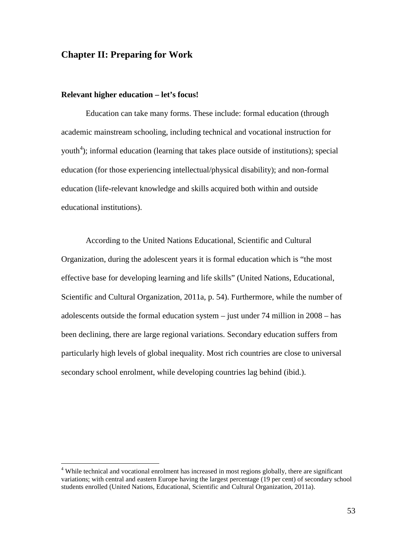# **Chapter II: Preparing for Work**

# **Relevant higher education – let's focus!**

<u>.</u>

Education can take many forms. These include: formal education (through academic mainstream schooling, including technical and vocational instruction for youth<sup>4</sup>); informal education (learning that takes place outside of institutions); special education (for those experiencing intellectual/physical disability); and non-formal education (life-relevant knowledge and skills acquired both within and outside educational institutions).

According to the United Nations Educational, Scientific and Cultural Organization, during the adolescent years it is formal education which is "the most effective base for developing learning and life skills" (United Nations, Educational, Scientific and Cultural Organization, 2011a, p. 54). Furthermore, while the number of adolescents outside the formal education system – just under 74 million in 2008 – has been declining, there are large regional variations. Secondary education suffers from particularly high levels of global inequality. Most rich countries are close to universal secondary school enrolment, while developing countries lag behind (ibid.).

<sup>&</sup>lt;sup>4</sup> While technical and vocational enrolment has increased in most regions globally, there are significant variations; with central and eastern Europe having the largest percentage (19 per cent) of secondary school students enrolled (United Nations, Educational, Scientific and Cultural Organization, 2011a).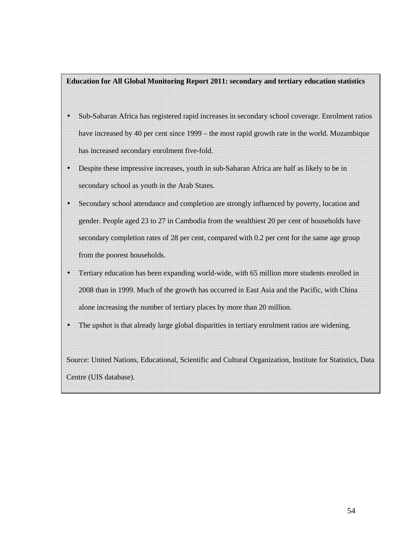# **Education for All Global Monitoring Report 2011: secondary and tertiary education statistics**

- Sub-Saharan Africa has registered rapid increases in secondary school coverage. Enrolment ratios have increased by 40 per cent since 1999 – the most rapid growth rate in the world. Mozambique has increased secondary enrolment five-fold.
- Despite these impressive increases, youth in sub-Saharan Africa are half as likely to be in secondary school as youth in the Arab States.
- Secondary school attendance and completion are strongly influenced by poverty, location and gender. People aged 23 to 27 in Cambodia from the wealthiest 20 per cent of households have secondary completion rates of 28 per cent, compared with 0.2 per cent for the same age group from the poorest households.
- Tertiary education has been expanding world-wide, with 65 million more students enrolled in 2008 than in 1999. Much of the growth has occurred in East Asia and the Pacific, with China alone increasing the number of tertiary places by more than 20 million.
- The upshot is that already large global disparities in tertiary enrolment ratios are widening.

Source: United Nations, Educational, Scientific and Cultural Organization, Institute for Statistics, Data Centre (UIS database).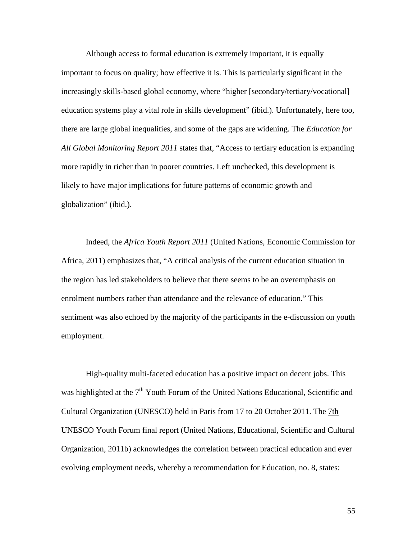Although access to formal education is extremely important, it is equally important to focus on quality; how effective it is. This is particularly significant in the increasingly skills-based global economy, where "higher [secondary/tertiary/vocational] education systems play a vital role in skills development" (ibid.). Unfortunately, here too, there are large global inequalities, and some of the gaps are widening. The *Education for All Global Monitoring Report 2011* states that, "Access to tertiary education is expanding more rapidly in richer than in poorer countries. Left unchecked, this development is likely to have major implications for future patterns of economic growth and globalization" (ibid.).

Indeed, the *Africa Youth Report 2011* (United Nations, Economic Commission for Africa, 2011) emphasizes that, "A critical analysis of the current education situation in the region has led stakeholders to believe that there seems to be an overemphasis on enrolment numbers rather than attendance and the relevance of education." This sentiment was also echoed by the majority of the participants in the e-discussion on youth employment.

High-quality multi-faceted education has a positive impact on decent jobs. This was highlighted at the  $7<sup>th</sup>$  Youth Forum of the United Nations Educational, Scientific and Cultural Organization (UNESCO) held in Paris from 17 to 20 October 2011. The 7th UNESCO Youth Forum final report (United Nations, Educational, Scientific and Cultural Organization, 2011b) acknowledges the correlation between practical education and ever evolving employment needs, whereby a recommendation for Education, no. 8, states: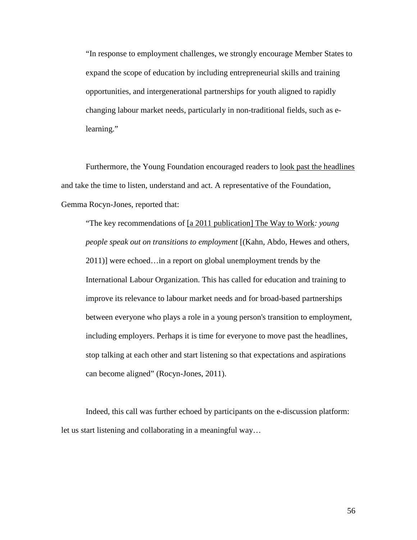"In response to employment challenges, we strongly encourage Member States to expand the scope of education by including entrepreneurial skills and training opportunities, and intergenerational partnerships for youth aligned to rapidly changing labour market needs, particularly in non-traditional fields, such as elearning."

Furthermore, the Young Foundation encouraged readers to look past the headlines and take the time to listen, understand and act. A representative of the Foundation, Gemma Rocyn-Jones, reported that:

"The key recommendations of [a 2011 publication] The Way to Work*: young people speak out on transitions to employment* [(Kahn, Abdo, Hewes and others, 2011)] were echoed…in a report on global unemployment trends by the International Labour Organization. This has called for education and training to improve its relevance to labour market needs and for broad-based partnerships between everyone who plays a role in a young person's transition to employment, including employers. Perhaps it is time for everyone to move past the headlines, stop talking at each other and start listening so that expectations and aspirations can become aligned" (Rocyn-Jones, 2011).

Indeed, this call was further echoed by participants on the e-discussion platform: let us start listening and collaborating in a meaningful way…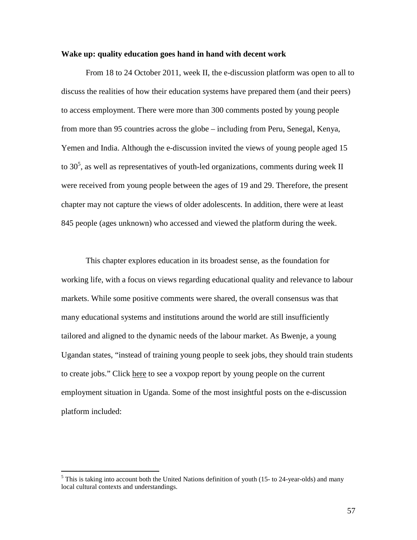#### **Wake up: quality education goes hand in hand with decent work**

From 18 to 24 October 2011, week II, the e-discussion platform was open to all to discuss the realities of how their education systems have prepared them (and their peers) to access employment. There were more than 300 comments posted by young people from more than 95 countries across the globe – including from Peru, Senegal, Kenya, Yemen and India. Although the e-discussion invited the views of young people aged 15 to  $30<sup>5</sup>$ , as well as representatives of youth-led organizations, comments during week II were received from young people between the ages of 19 and 29. Therefore, the present chapter may not capture the views of older adolescents. In addition, there were at least 845 people (ages unknown) who accessed and viewed the platform during the week.

This chapter explores education in its broadest sense, as the foundation for working life, with a focus on views regarding educational quality and relevance to labour markets. While some positive comments were shared, the overall consensus was that many educational systems and institutions around the world are still insufficiently tailored and aligned to the dynamic needs of the labour market. As Bwenje, a young Ugandan states, "instead of training young people to seek jobs, they should train students to create jobs." Click here to see a voxpop report by young people on the current employment situation in Uganda. Some of the most insightful posts on the e-discussion platform included:

<sup>&</sup>lt;sup>5</sup> This is taking into account both the United Nations definition of youth (15- to 24-year-olds) and many local cultural contexts and understandings.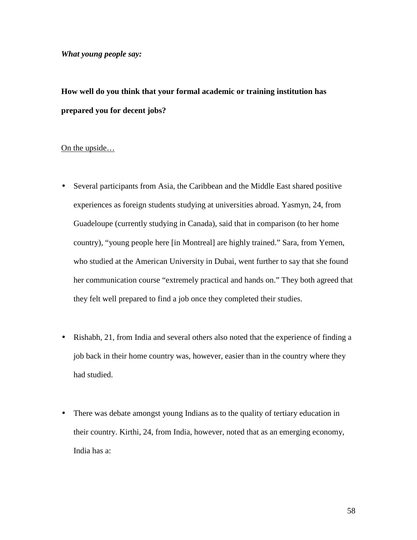#### *What young people say:*

**How well do you think that your formal academic or training institution has prepared you for decent jobs?** 

# On the upside…

- Several participants from Asia, the Caribbean and the Middle East shared positive experiences as foreign students studying at universities abroad. Yasmyn, 24, from Guadeloupe (currently studying in Canada), said that in comparison (to her home country), "young people here [in Montreal] are highly trained." Sara, from Yemen, who studied at the American University in Dubai, went further to say that she found her communication course "extremely practical and hands on." They both agreed that they felt well prepared to find a job once they completed their studies.
- Rishabh, 21, from India and several others also noted that the experience of finding a job back in their home country was, however, easier than in the country where they had studied.
- There was debate amongst young Indians as to the quality of tertiary education in their country. Kirthi, 24, from India, however, noted that as an emerging economy, India has a: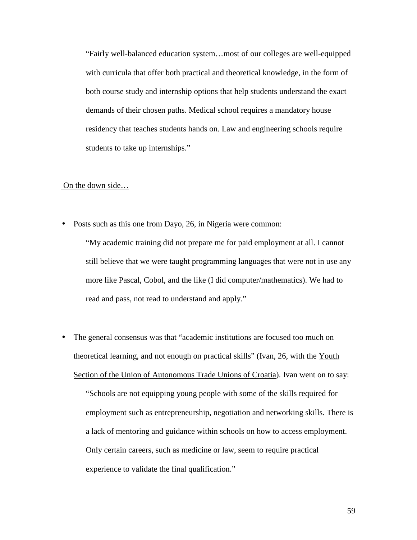"Fairly well-balanced education system…most of our colleges are well-equipped with curricula that offer both practical and theoretical knowledge, in the form of both course study and internship options that help students understand the exact demands of their chosen paths. Medical school requires a mandatory house residency that teaches students hands on. Law and engineering schools require students to take up internships."

### On the down side…

• Posts such as this one from Dayo, 26, in Nigeria were common:

"My academic training did not prepare me for paid employment at all. I cannot still believe that we were taught programming languages that were not in use any more like Pascal, Cobol, and the like (I did computer/mathematics). We had to read and pass, not read to understand and apply."

The general consensus was that "academic institutions are focused too much on theoretical learning, and not enough on practical skills" (Ivan, 26, with the Youth Section of the Union of Autonomous Trade Unions of Croatia). Ivan went on to say: "Schools are not equipping young people with some of the skills required for employment such as entrepreneurship, negotiation and networking skills. There is a lack of mentoring and guidance within schools on how to access employment. Only certain careers, such as medicine or law, seem to require practical experience to validate the final qualification."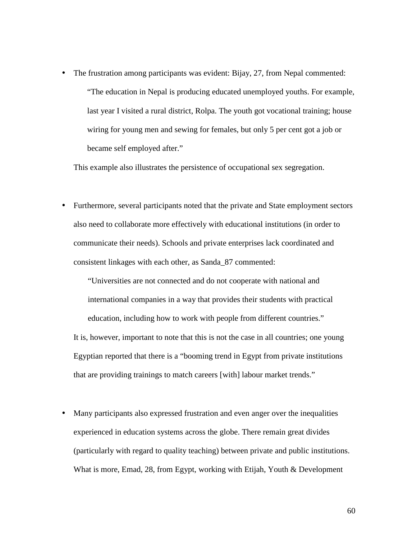• The frustration among participants was evident: Bijay, 27, from Nepal commented: "The education in Nepal is producing educated unemployed youths. For example, last year I visited a rural district, Rolpa. The youth got vocational training; house wiring for young men and sewing for females, but only 5 per cent got a job or became self employed after."

This example also illustrates the persistence of occupational sex segregation.

• Furthermore, several participants noted that the private and State employment sectors also need to collaborate more effectively with educational institutions (in order to communicate their needs). Schools and private enterprises lack coordinated and consistent linkages with each other, as Sanda\_87 commented:

"Universities are not connected and do not cooperate with national and international companies in a way that provides their students with practical education, including how to work with people from different countries." It is, however, important to note that this is not the case in all countries; one young Egyptian reported that there is a "booming trend in Egypt from private institutions that are providing trainings to match careers [with] labour market trends."

• Many participants also expressed frustration and even anger over the inequalities experienced in education systems across the globe. There remain great divides (particularly with regard to quality teaching) between private and public institutions. What is more, Emad, 28, from Egypt, working with Etijah, Youth & Development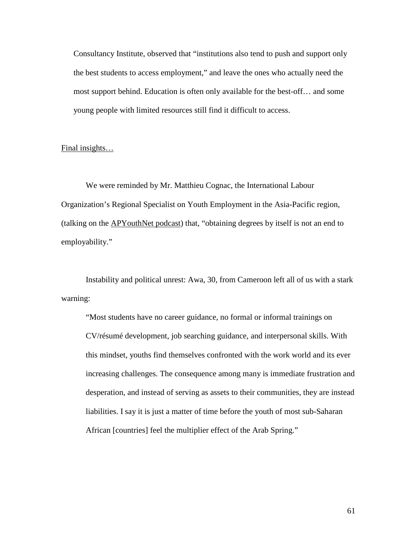Consultancy Institute, observed that "institutions also tend to push and support only the best students to access employment," and leave the ones who actually need the most support behind. Education is often only available for the best-off… and some young people with limited resources still find it difficult to access.

#### Final insights…

We were reminded by Mr. Matthieu Cognac, the International Labour Organization's Regional Specialist on Youth Employment in the Asia-Pacific region, (talking on the APYouthNet podcast) that, "obtaining degrees by itself is not an end to employability."

Instability and political unrest: Awa, 30, from Cameroon left all of us with a stark warning:

"Most students have no career guidance, no formal or informal trainings on CV/résumé development, job searching guidance, and interpersonal skills. With this mindset, youths find themselves confronted with the work world and its ever increasing challenges. The consequence among many is immediate frustration and desperation, and instead of serving as assets to their communities, they are instead liabilities. I say it is just a matter of time before the youth of most sub-Saharan African [countries] feel the multiplier effect of the Arab Spring."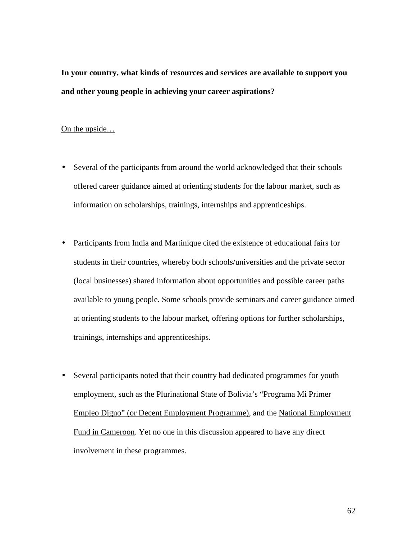**In your country, what kinds of resources and services are available to support you and other young people in achieving your career aspirations?** 

#### On the upside…

- Several of the participants from around the world acknowledged that their schools offered career guidance aimed at orienting students for the labour market, such as information on scholarships, trainings, internships and apprenticeships.
- Participants from India and Martinique cited the existence of educational fairs for students in their countries, whereby both schools/universities and the private sector (local businesses) shared information about opportunities and possible career paths available to young people. Some schools provide seminars and career guidance aimed at orienting students to the labour market, offering options for further scholarships, trainings, internships and apprenticeships.
- Several participants noted that their country had dedicated programmes for youth employment, such as the Plurinational State of Bolivia's "Programa Mi Primer Empleo Digno" (or Decent Employment Programme), and the National Employment Fund in Cameroon. Yet no one in this discussion appeared to have any direct involvement in these programmes.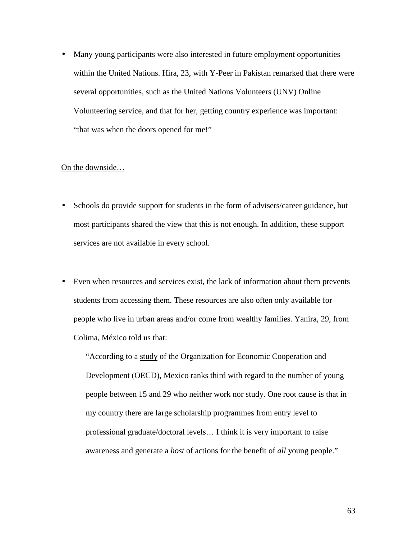• Many young participants were also interested in future employment opportunities within the United Nations. Hira, 23, with Y-Peer in Pakistan remarked that there were several opportunities, such as the United Nations Volunteers (UNV) Online Volunteering service, and that for her, getting country experience was important: "that was when the doors opened for me!"

#### On the downside…

- Schools do provide support for students in the form of advisers/career guidance, but most participants shared the view that this is not enough. In addition, these support services are not available in every school.
- Even when resources and services exist, the lack of information about them prevents students from accessing them. These resources are also often only available for people who live in urban areas and/or come from wealthy families. Yanira, 29, from Colima, México told us that:

"According to a study of the Organization for Economic Cooperation and Development (OECD), Mexico ranks third with regard to the number of young people between 15 and 29 who neither work nor study. One root cause is that in my country there are large scholarship programmes from entry level to professional graduate/doctoral levels… I think it is very important to raise awareness and generate a *host* of actions for the benefit of *all* young people."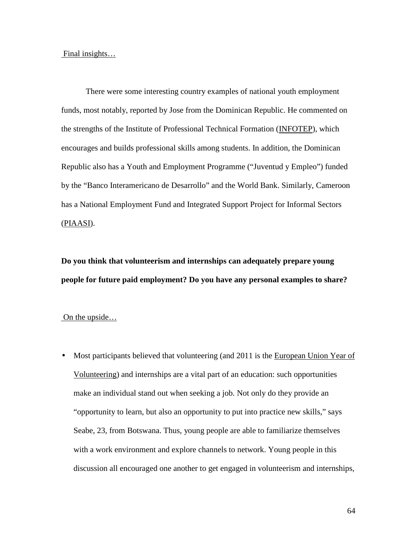#### Final insights…

There were some interesting country examples of national youth employment funds, most notably, reported by Jose from the Dominican Republic. He commented on the strengths of the Institute of Professional Technical Formation (INFOTEP), which encourages and builds professional skills among students. In addition, the Dominican Republic also has a Youth and Employment Programme ("Juventud y Empleo") funded by the "Banco Interamericano de Desarrollo" and the World Bank. Similarly, Cameroon has a National Employment Fund and Integrated Support Project for Informal Sectors (PIAASI).

**Do you think that volunteerism and internships can adequately prepare young people for future paid employment? Do you have any personal examples to share?** 

#### On the upside…

• Most participants believed that volunteering (and 2011 is the European Union Year of Volunteering) and internships are a vital part of an education: such opportunities make an individual stand out when seeking a job. Not only do they provide an "opportunity to learn, but also an opportunity to put into practice new skills," says Seabe, 23, from Botswana. Thus, young people are able to familiarize themselves with a work environment and explore channels to network. Young people in this discussion all encouraged one another to get engaged in volunteerism and internships,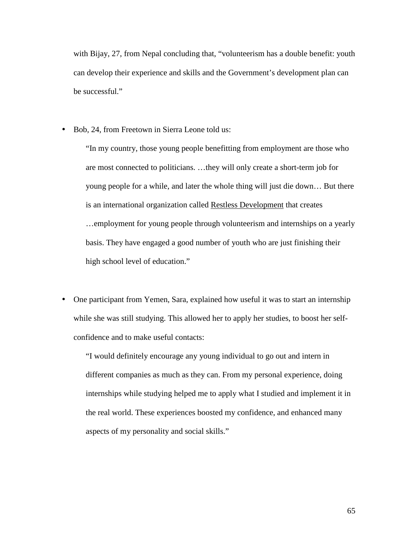with Bijay, 27, from Nepal concluding that, "volunteerism has a double benefit: youth can develop their experience and skills and the Government's development plan can be successful."

• Bob, 24, from Freetown in Sierra Leone told us:

"In my country, those young people benefitting from employment are those who are most connected to politicians. …they will only create a short-term job for young people for a while, and later the whole thing will just die down… But there is an international organization called Restless Development that creates …employment for young people through volunteerism and internships on a yearly basis. They have engaged a good number of youth who are just finishing their high school level of education."

• One participant from Yemen, Sara, explained how useful it was to start an internship while she was still studying. This allowed her to apply her studies, to boost her selfconfidence and to make useful contacts:

"I would definitely encourage any young individual to go out and intern in different companies as much as they can. From my personal experience, doing internships while studying helped me to apply what I studied and implement it in the real world. These experiences boosted my confidence, and enhanced many aspects of my personality and social skills."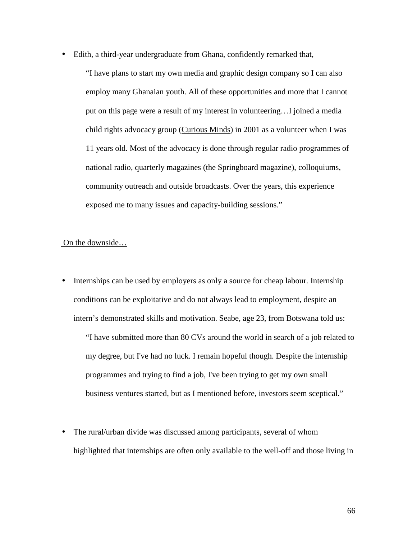• Edith, a third-year undergraduate from Ghana, confidently remarked that,

 "I have plans to start my own media and graphic design company so I can also employ many Ghanaian youth. All of these opportunities and more that I cannot put on this page were a result of my interest in volunteering…I joined a media child rights advocacy group (Curious Minds) in 2001 as a volunteer when I was 11 years old. Most of the advocacy is done through regular radio programmes of national radio, quarterly magazines (the Springboard magazine), colloquiums, community outreach and outside broadcasts. Over the years, this experience exposed me to many issues and capacity-building sessions."

#### On the downside…

- Internships can be used by employers as only a source for cheap labour. Internship conditions can be exploitative and do not always lead to employment, despite an intern's demonstrated skills and motivation. Seabe, age 23, from Botswana told us: "I have submitted more than 80 CVs around the world in search of a job related to my degree, but I've had no luck. I remain hopeful though. Despite the internship programmes and trying to find a job, I've been trying to get my own small business ventures started, but as I mentioned before, investors seem sceptical."
- The rural/urban divide was discussed among participants, several of whom highlighted that internships are often only available to the well-off and those living in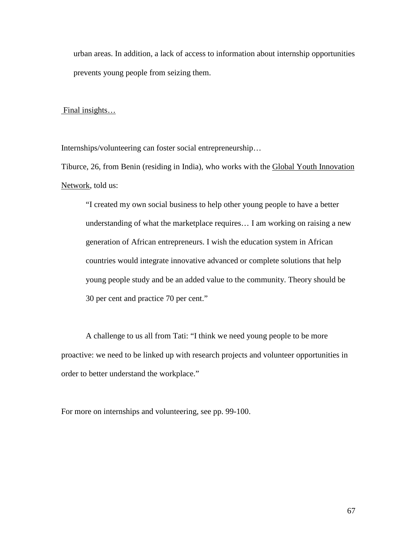urban areas. In addition, a lack of access to information about internship opportunities prevents young people from seizing them.

Final insights…

Internships/volunteering can foster social entrepreneurship…

Tiburce, 26, from Benin (residing in India), who works with the Global Youth Innovation Network, told us:

"I created my own social business to help other young people to have a better understanding of what the marketplace requires… I am working on raising a new generation of African entrepreneurs. I wish the education system in African countries would integrate innovative advanced or complete solutions that help young people study and be an added value to the community. Theory should be 30 per cent and practice 70 per cent."

A challenge to us all from Tati: "I think we need young people to be more proactive: we need to be linked up with research projects and volunteer opportunities in order to better understand the workplace."

For more on internships and volunteering, see pp. 99-100.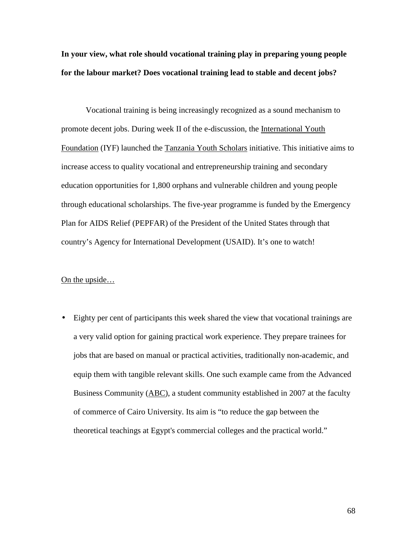**In your view, what role should vocational training play in preparing young people for the labour market? Does vocational training lead to stable and decent jobs?** 

Vocational training is being increasingly recognized as a sound mechanism to promote decent jobs. During week II of the e-discussion, the International Youth Foundation (IYF) launched the Tanzania Youth Scholars initiative. This initiative aims to increase access to quality vocational and entrepreneurship training and secondary education opportunities for 1,800 orphans and vulnerable children and young people through educational scholarships. The five-year programme is funded by the Emergency Plan for AIDS Relief (PEPFAR) of the President of the United States through that country's Agency for International Development (USAID). It's one to watch!

#### On the upside…

• Eighty per cent of participants this week shared the view that vocational trainings are a very valid option for gaining practical work experience. They prepare trainees for jobs that are based on manual or practical activities, traditionally non-academic, and equip them with tangible relevant skills. One such example came from the Advanced Business Community (ABC), a student community established in 2007 at the faculty of commerce of Cairo University. Its aim is "to reduce the gap between the theoretical teachings at Egypt's commercial colleges and the practical world."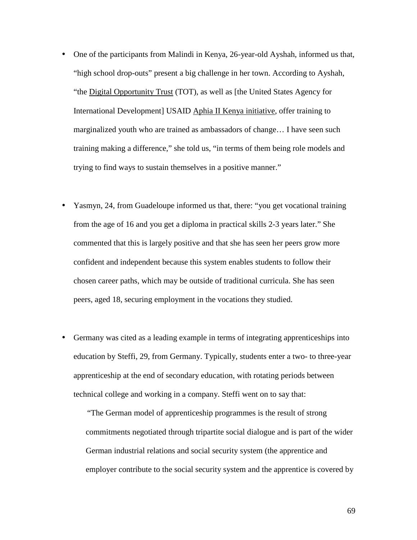- One of the participants from Malindi in Kenya, 26-year-old Ayshah, informed us that, "high school drop-outs" present a big challenge in her town. According to Ayshah, "the Digital Opportunity Trust (TOT), as well as [the United States Agency for International Development] USAID Aphia II Kenya initiative, offer training to marginalized youth who are trained as ambassadors of change… I have seen such training making a difference," she told us, "in terms of them being role models and trying to find ways to sustain themselves in a positive manner."
- Yasmyn, 24, from Guadeloupe informed us that, there: "you get vocational training from the age of 16 and you get a diploma in practical skills 2-3 years later." She commented that this is largely positive and that she has seen her peers grow more confident and independent because this system enables students to follow their chosen career paths, which may be outside of traditional curricula. She has seen peers, aged 18, securing employment in the vocations they studied.
- Germany was cited as a leading example in terms of integrating apprenticeships into education by Steffi, 29, from Germany. Typically, students enter a two- to three-year apprenticeship at the end of secondary education, with rotating periods between technical college and working in a company. Steffi went on to say that:

"The German model of apprenticeship programmes is the result of strong commitments negotiated through tripartite social dialogue and is part of the wider German industrial relations and social security system (the apprentice and employer contribute to the social security system and the apprentice is covered by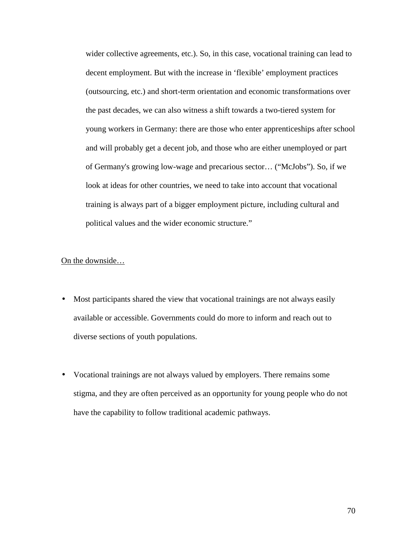wider collective agreements, etc.). So, in this case, vocational training can lead to decent employment. But with the increase in 'flexible' employment practices (outsourcing, etc.) and short-term orientation and economic transformations over the past decades, we can also witness a shift towards a two-tiered system for young workers in Germany: there are those who enter apprenticeships after school and will probably get a decent job, and those who are either unemployed or part of Germany's growing low-wage and precarious sector… ("McJobs"). So, if we look at ideas for other countries, we need to take into account that vocational training is always part of a bigger employment picture, including cultural and political values and the wider economic structure."

# On the downside…

- Most participants shared the view that vocational trainings are not always easily available or accessible. Governments could do more to inform and reach out to diverse sections of youth populations.
- Vocational trainings are not always valued by employers. There remains some stigma, and they are often perceived as an opportunity for young people who do not have the capability to follow traditional academic pathways.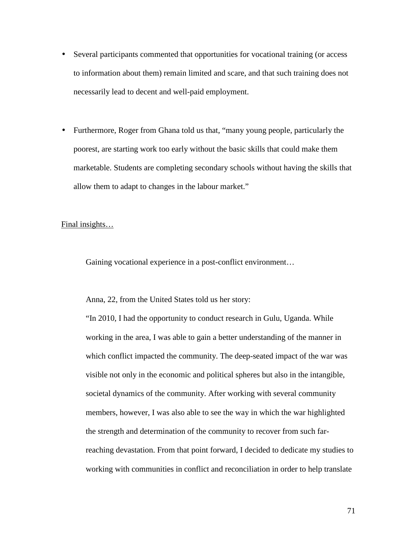- Several participants commented that opportunities for vocational training (or access to information about them) remain limited and scare, and that such training does not necessarily lead to decent and well-paid employment.
- Furthermore, Roger from Ghana told us that, "many young people, particularly the poorest, are starting work too early without the basic skills that could make them marketable. Students are completing secondary schools without having the skills that allow them to adapt to changes in the labour market."

#### Final insights…

Gaining vocational experience in a post-conflict environment…

Anna, 22, from the United States told us her story:

"In 2010, I had the opportunity to conduct research in Gulu, Uganda. While working in the area, I was able to gain a better understanding of the manner in which conflict impacted the community. The deep-seated impact of the war was visible not only in the economic and political spheres but also in the intangible, societal dynamics of the community. After working with several community members, however, I was also able to see the way in which the war highlighted the strength and determination of the community to recover from such farreaching devastation. From that point forward, I decided to dedicate my studies to working with communities in conflict and reconciliation in order to help translate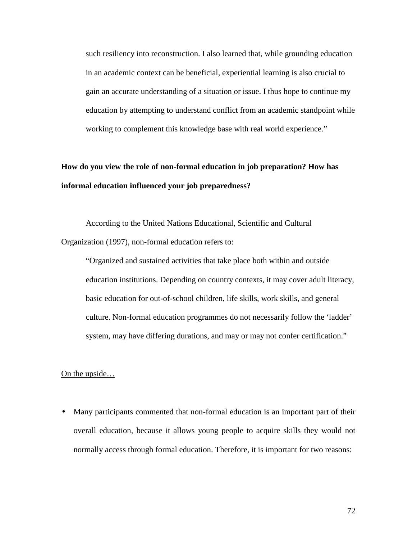such resiliency into reconstruction. I also learned that, while grounding education in an academic context can be beneficial, experiential learning is also crucial to gain an accurate understanding of a situation or issue. I thus hope to continue my education by attempting to understand conflict from an academic standpoint while working to complement this knowledge base with real world experience."

# **How do you view the role of non-formal education in job preparation? How has informal education influenced your job preparedness?**

According to the United Nations Educational, Scientific and Cultural Organization (1997), non-formal education refers to:

"Organized and sustained activities that take place both within and outside education institutions. Depending on country contexts, it may cover adult literacy, basic education for out-of-school children, life skills, work skills, and general culture. Non-formal education programmes do not necessarily follow the 'ladder' system, may have differing durations, and may or may not confer certification."

# On the upside...

• Many participants commented that non-formal education is an important part of their overall education, because it allows young people to acquire skills they would not normally access through formal education. Therefore, it is important for two reasons: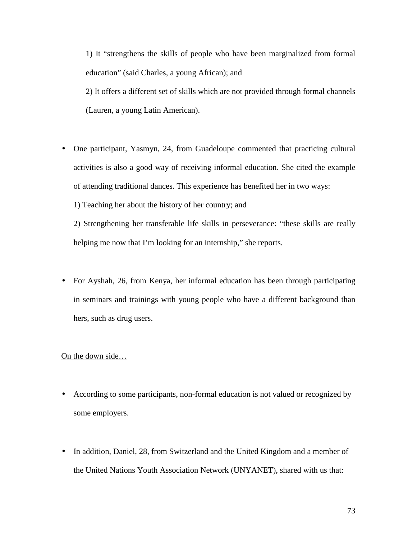1) It "strengthens the skills of people who have been marginalized from formal education" (said Charles, a young African); and 2) It offers a different set of skills which are not provided through formal channels (Lauren, a young Latin American).

• One participant, Yasmyn, 24, from Guadeloupe commented that practicing cultural activities is also a good way of receiving informal education. She cited the example of attending traditional dances. This experience has benefited her in two ways:

1) Teaching her about the history of her country; and

2) Strengthening her transferable life skills in perseverance: "these skills are really helping me now that I'm looking for an internship," she reports.

• For Ayshah, 26, from Kenya, her informal education has been through participating in seminars and trainings with young people who have a different background than hers, such as drug users.

## On the down side…

- According to some participants, non-formal education is not valued or recognized by some employers.
- In addition, Daniel, 28, from Switzerland and the United Kingdom and a member of the United Nations Youth Association Network (UNYANET), shared with us that: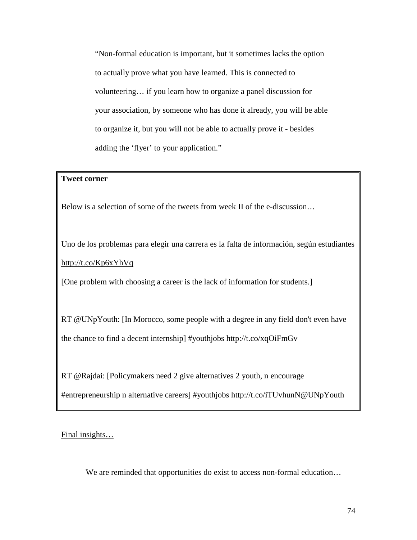"Non-formal education is important, but it sometimes lacks the option to actually prove what you have learned. This is connected to volunteering… if you learn how to organize a panel discussion for your association, by someone who has done it already, you will be able to organize it, but you will not be able to actually prove it - besides adding the 'flyer' to your application."

# **Tweet corner**

Below is a selection of some of the tweets from week II of the e-discussion…

Uno de los problemas para elegir una carrera es la falta de información, según estudiantes http://t.co/Kp6xYhVq

[One problem with choosing a career is the lack of information for students.]

RT @UNpYouth: [In Morocco, some people with a degree in any field don't even have the chance to find a decent internship] #youthjobs http://t.co/xqOiFmGv

RT @Rajdai: [Policymakers need 2 give alternatives 2 youth, n encourage

#entrepreneurship n alternative careers] #youthjobs http://t.co/iTUvhunN@UNpYouth

Final insights…

We are reminded that opportunities do exist to access non-formal education…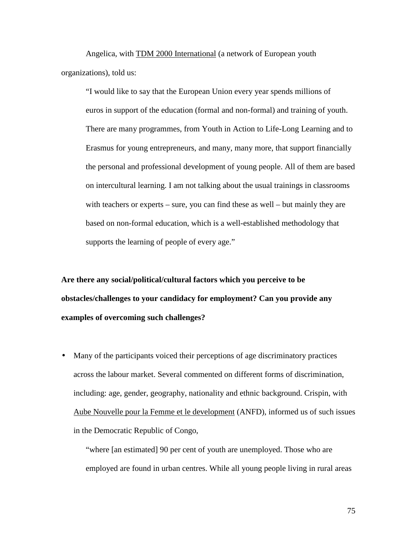Angelica, with TDM 2000 International (a network of European youth organizations), told us:

"I would like to say that the European Union every year spends millions of euros in support of the education (formal and non-formal) and training of youth. There are many programmes, from Youth in Action to Life-Long Learning and to Erasmus for young entrepreneurs, and many, many more, that support financially the personal and professional development of young people. All of them are based on intercultural learning. I am not talking about the usual trainings in classrooms with teachers or experts – sure, you can find these as well – but mainly they are based on non-formal education, which is a well-established methodology that supports the learning of people of every age."

**Are there any social/political/cultural factors which you perceive to be obstacles/challenges to your candidacy for employment? Can you provide any examples of overcoming such challenges?** 

• Many of the participants voiced their perceptions of age discriminatory practices across the labour market. Several commented on different forms of discrimination, including: age, gender, geography, nationality and ethnic background. Crispin, with Aube Nouvelle pour la Femme et le development (ANFD), informed us of such issues in the Democratic Republic of Congo,

"where [an estimated] 90 per cent of youth are unemployed. Those who are employed are found in urban centres. While all young people living in rural areas

75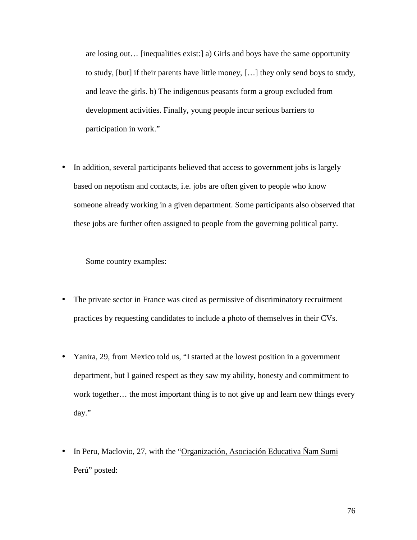are losing out… [inequalities exist:] a) Girls and boys have the same opportunity to study, [but] if their parents have little money, […] they only send boys to study, and leave the girls. b) The indigenous peasants form a group excluded from development activities. Finally, young people incur serious barriers to participation in work."

• In addition, several participants believed that access to government jobs is largely based on nepotism and contacts, i.e. jobs are often given to people who know someone already working in a given department. Some participants also observed that these jobs are further often assigned to people from the governing political party.

Some country examples:

- The private sector in France was cited as permissive of discriminatory recruitment practices by requesting candidates to include a photo of themselves in their CVs.
- Yanira, 29, from Mexico told us, "I started at the lowest position in a government department, but I gained respect as they saw my ability, honesty and commitment to work together… the most important thing is to not give up and learn new things every day."
- In Peru, Maclovio, 27, with the "Organización, Asociación Educativa Ñam Sumi Perú" posted: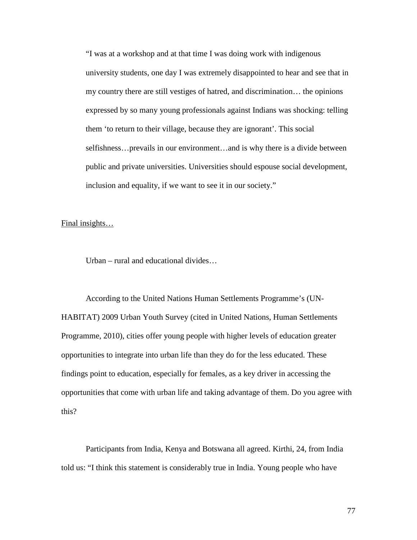"I was at a workshop and at that time I was doing work with indigenous university students, one day I was extremely disappointed to hear and see that in my country there are still vestiges of hatred, and discrimination… the opinions expressed by so many young professionals against Indians was shocking: telling them 'to return to their village, because they are ignorant'. This social selfishness…prevails in our environment…and is why there is a divide between public and private universities. Universities should espouse social development, inclusion and equality, if we want to see it in our society."

#### Final insights…

Urban – rural and educational divides…

According to the United Nations Human Settlements Programme's (UN-HABITAT) 2009 Urban Youth Survey (cited in United Nations, Human Settlements Programme, 2010), cities offer young people with higher levels of education greater opportunities to integrate into urban life than they do for the less educated. These findings point to education, especially for females, as a key driver in accessing the opportunities that come with urban life and taking advantage of them. Do you agree with this?

Participants from India, Kenya and Botswana all agreed. Kirthi, 24, from India told us: "I think this statement is considerably true in India. Young people who have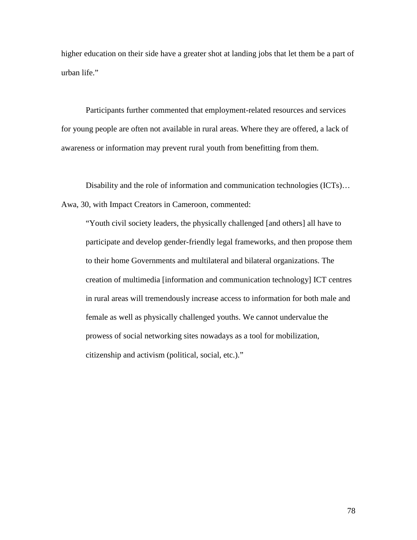higher education on their side have a greater shot at landing jobs that let them be a part of urban life."

Participants further commented that employment-related resources and services for young people are often not available in rural areas. Where they are offered, a lack of awareness or information may prevent rural youth from benefitting from them.

Disability and the role of information and communication technologies (ICTs)... Awa, 30, with Impact Creators in Cameroon, commented:

"Youth civil society leaders, the physically challenged [and others] all have to participate and develop gender-friendly legal frameworks, and then propose them to their home Governments and multilateral and bilateral organizations. The creation of multimedia [information and communication technology] ICT centres in rural areas will tremendously increase access to information for both male and female as well as physically challenged youths. We cannot undervalue the prowess of social networking sites nowadays as a tool for mobilization, citizenship and activism (political, social, etc.)."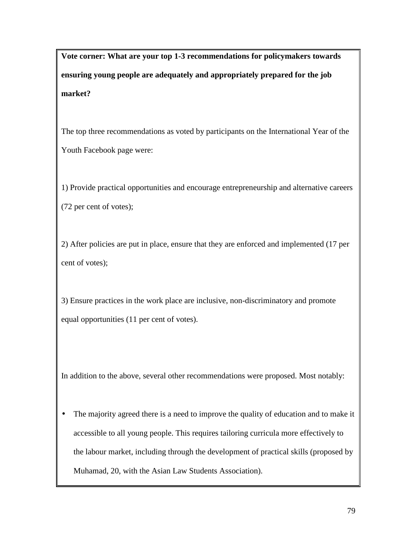**Vote corner: What are your top 1-3 recommendations for policymakers towards ensuring young people are adequately and appropriately prepared for the job market?** 

The top three recommendations as voted by participants on the International Year of the Youth Facebook page were:

1) Provide practical opportunities and encourage entrepreneurship and alternative careers (72 per cent of votes);

2) After policies are put in place, ensure that they are enforced and implemented (17 per cent of votes);

3) Ensure practices in the work place are inclusive, non-discriminatory and promote equal opportunities (11 per cent of votes).

In addition to the above, several other recommendations were proposed. Most notably:

• The majority agreed there is a need to improve the quality of education and to make it accessible to all young people. This requires tailoring curricula more effectively to the labour market, including through the development of practical skills (proposed by Muhamad, 20, with the Asian Law Students Association).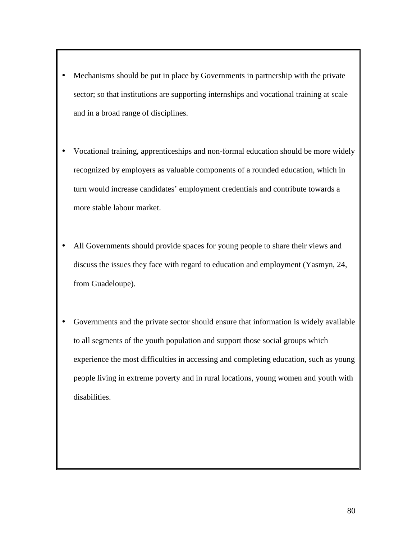- Mechanisms should be put in place by Governments in partnership with the private sector; so that institutions are supporting internships and vocational training at scale and in a broad range of disciplines.
- Vocational training, apprenticeships and non-formal education should be more widely recognized by employers as valuable components of a rounded education, which in turn would increase candidates' employment credentials and contribute towards a more stable labour market.
- All Governments should provide spaces for young people to share their views and discuss the issues they face with regard to education and employment (Yasmyn, 24, from Guadeloupe).
- Governments and the private sector should ensure that information is widely available to all segments of the youth population and support those social groups which experience the most difficulties in accessing and completing education, such as young people living in extreme poverty and in rural locations, young women and youth with disabilities.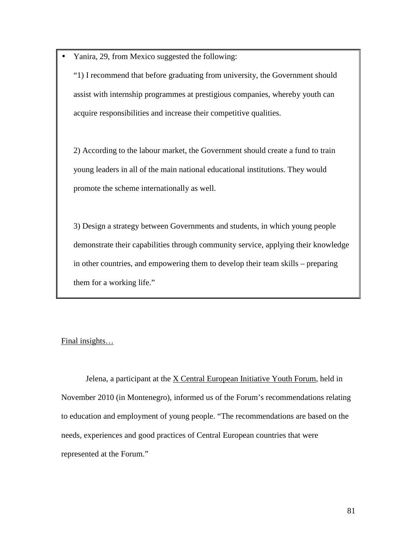• Yanira, 29, from Mexico suggested the following:

"1) I recommend that before graduating from university, the Government should assist with internship programmes at prestigious companies, whereby youth can acquire responsibilities and increase their competitive qualities.

 2) According to the labour market, the Government should create a fund to train young leaders in all of the main national educational institutions. They would promote the scheme internationally as well.

 3) Design a strategy between Governments and students, in which young people demonstrate their capabilities through community service, applying their knowledge in other countries, and empowering them to develop their team skills – preparing them for a working life."

## Final insights…

Jelena, a participant at the X Central European Initiative Youth Forum, held in November 2010 (in Montenegro), informed us of the Forum's recommendations relating to education and employment of young people. "The recommendations are based on the needs, experiences and good practices of Central European countries that were represented at the Forum."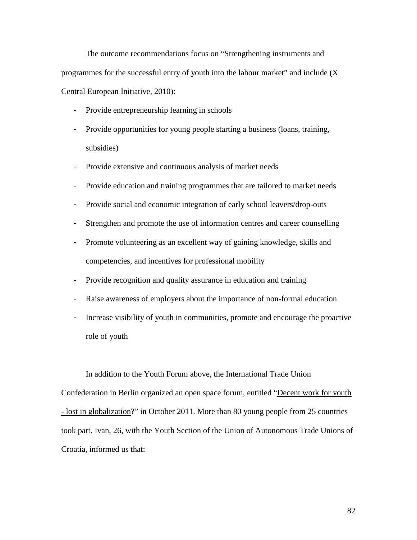The outcome recommendations focus on "Strengthening instruments and programmes for the successful entry of youth into the labour market" and include (X Central European Initiative, 2010):

- Provide entrepreneurship learning in schools
- Provide opportunities for young people starting a business (loans, training, subsidies)
- Provide extensive and continuous analysis of market needs
- Provide education and training programmes that are tailored to market needs
- Provide social and economic integration of early school leavers/drop-outs
- Strengthen and promote the use of information centres and career counselling
- Promote volunteering as an excellent way of gaining knowledge, skills and competencies, and incentives for professional mobility
- Provide recognition and quality assurance in education and training
- Raise awareness of employers about the importance of non-formal education
- Increase visibility of youth in communities, promote and encourage the proactive role of youth

 In addition to the Youth Forum above, the International Trade Union Confederation in Berlin organized an open space forum, entitled "Decent work for youth - lost in globalization?" in October 2011. More than 80 young people from 25 countries took part. Ivan, 26, with the Youth Section of the Union of Autonomous Trade Unions of Croatia, informed us that: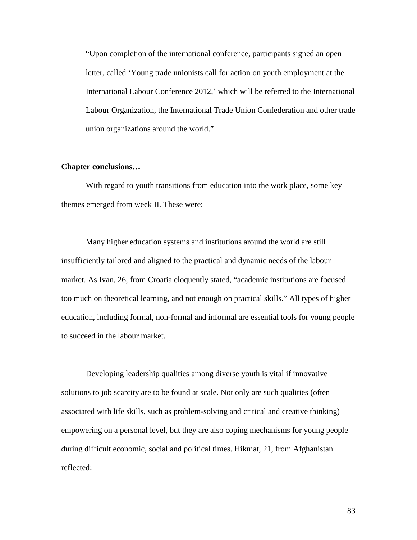"Upon completion of the international conference, participants signed an open letter, called 'Young trade unionists call for action on youth employment at the International Labour Conference 2012,' which will be referred to the International Labour Organization, the International Trade Union Confederation and other trade union organizations around the world."

## **Chapter conclusions…**

With regard to youth transitions from education into the work place, some key themes emerged from week II. These were:

Many higher education systems and institutions around the world are still insufficiently tailored and aligned to the practical and dynamic needs of the labour market. As Ivan, 26, from Croatia eloquently stated, "academic institutions are focused too much on theoretical learning, and not enough on practical skills." All types of higher education, including formal, non-formal and informal are essential tools for young people to succeed in the labour market.

Developing leadership qualities among diverse youth is vital if innovative solutions to job scarcity are to be found at scale. Not only are such qualities (often associated with life skills, such as problem-solving and critical and creative thinking) empowering on a personal level, but they are also coping mechanisms for young people during difficult economic, social and political times. Hikmat, 21, from Afghanistan reflected:

83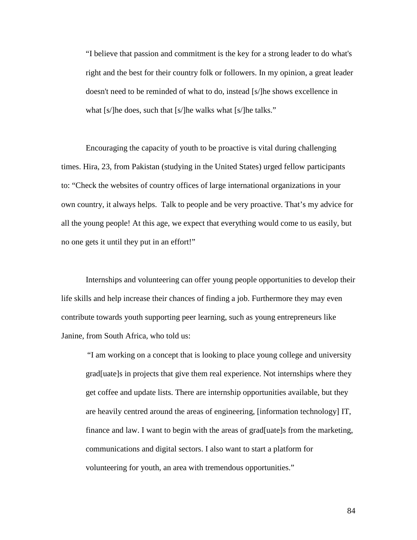"I believe that passion and commitment is the key for a strong leader to do what's right and the best for their country folk or followers. In my opinion, a great leader doesn't need to be reminded of what to do, instead [s/]he shows excellence in what [s/]he does, such that [s/]he walks what [s/]he talks."

Encouraging the capacity of youth to be proactive is vital during challenging times. Hira, 23, from Pakistan (studying in the United States) urged fellow participants to: "Check the websites of country offices of large international organizations in your own country, it always helps. Talk to people and be very proactive. That's my advice for all the young people! At this age, we expect that everything would come to us easily, but no one gets it until they put in an effort!"

Internships and volunteering can offer young people opportunities to develop their life skills and help increase their chances of finding a job. Furthermore they may even contribute towards youth supporting peer learning, such as young entrepreneurs like Janine, from South Africa, who told us:

"I am working on a concept that is looking to place young college and university grad[uate]s in projects that give them real experience. Not internships where they get coffee and update lists. There are internship opportunities available, but they are heavily centred around the areas of engineering, [information technology] IT, finance and law. I want to begin with the areas of grad[uate]s from the marketing, communications and digital sectors. I also want to start a platform for volunteering for youth, an area with tremendous opportunities."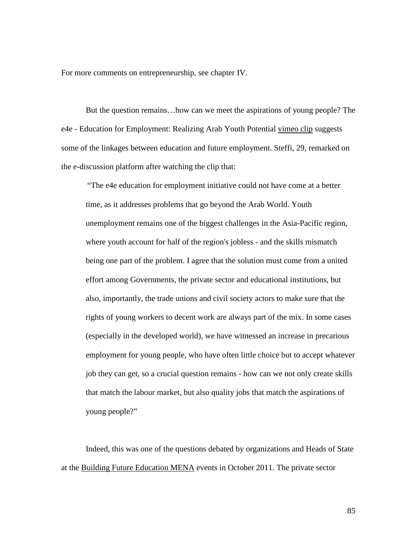For more comments on entrepreneurship, see chapter IV.

But the question remains…how can we meet the aspirations of young people? The e4e - Education for Employment: Realizing Arab Youth Potential vimeo clip suggests some of the linkages between education and future employment. Steffi, 29, remarked on the e-discussion platform after watching the clip that:

"The e4e education for employment initiative could not have come at a better time, as it addresses problems that go beyond the Arab World. Youth unemployment remains one of the biggest challenges in the Asia-Pacific region, where youth account for half of the region's jobless - and the skills mismatch being one part of the problem. I agree that the solution must come from a united effort among Governments, the private sector and educational institutions, but also, importantly, the trade unions and civil society actors to make sure that the rights of young workers to decent work are always part of the mix. In some cases (especially in the developed world), we have witnessed an increase in precarious employment for young people, who have often little choice but to accept whatever job they can get, so a crucial question remains - how can we not only create skills that match the labour market, but also quality jobs that match the aspirations of young people?"

Indeed, this was one of the questions debated by organizations and Heads of State at the Building Future Education MENA events in October 2011. The private sector

85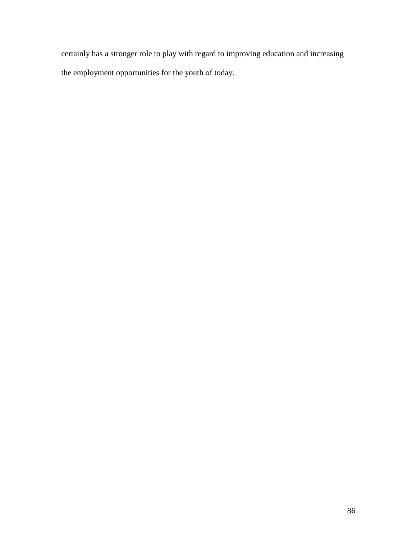certainly has a stronger role to play with regard to improving education and increasing the employment opportunities for the youth of today.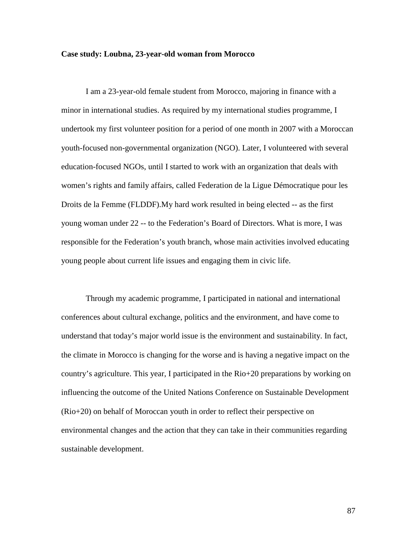#### **Case study: Loubna, 23-year-old woman from Morocco**

I am a 23-year-old female student from Morocco, majoring in finance with a minor in international studies. As required by my international studies programme, I undertook my first volunteer position for a period of one month in 2007 with a Moroccan youth-focused non-governmental organization (NGO). Later, I volunteered with several education-focused NGOs, until I started to work with an organization that deals with women's rights and family affairs, called Federation de la Ligue Démocratique pour les Droits de la Femme (FLDDF).My hard work resulted in being elected -- as the first young woman under 22 -- to the Federation's Board of Directors. What is more, I was responsible for the Federation's youth branch, whose main activities involved educating young people about current life issues and engaging them in civic life.

Through my academic programme, I participated in national and international conferences about cultural exchange, politics and the environment, and have come to understand that today's major world issue is the environment and sustainability. In fact, the climate in Morocco is changing for the worse and is having a negative impact on the country's agriculture. This year, I participated in the Rio+20 preparations by working on influencing the outcome of the United Nations Conference on Sustainable Development (Rio+20) on behalf of Moroccan youth in order to reflect their perspective on environmental changes and the action that they can take in their communities regarding sustainable development.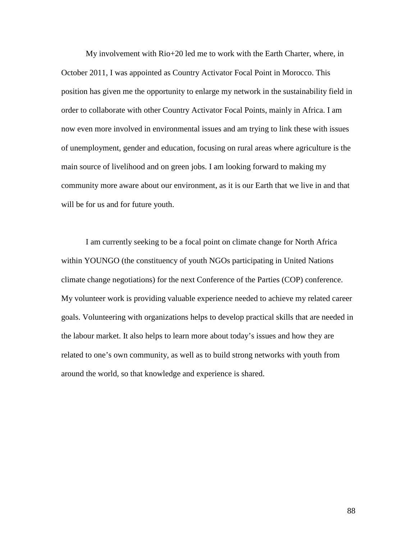My involvement with Rio+20 led me to work with the Earth Charter, where, in October 2011, I was appointed as Country Activator Focal Point in Morocco. This position has given me the opportunity to enlarge my network in the sustainability field in order to collaborate with other Country Activator Focal Points, mainly in Africa. I am now even more involved in environmental issues and am trying to link these with issues of unemployment, gender and education, focusing on rural areas where agriculture is the main source of livelihood and on green jobs. I am looking forward to making my community more aware about our environment, as it is our Earth that we live in and that will be for us and for future youth.

I am currently seeking to be a focal point on climate change for North Africa within YOUNGO (the constituency of youth NGOs participating in United Nations climate change negotiations) for the next Conference of the Parties (COP) conference. My volunteer work is providing valuable experience needed to achieve my related career goals. Volunteering with organizations helps to develop practical skills that are needed in the labour market. It also helps to learn more about today's issues and how they are related to one's own community, as well as to build strong networks with youth from around the world, so that knowledge and experience is shared.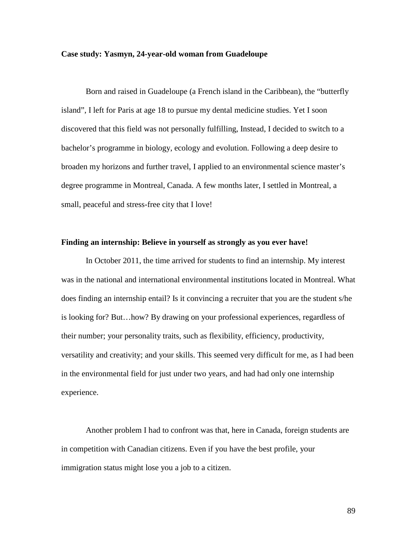# **Case study: Yasmyn, 24-year-old woman from Guadeloupe**

Born and raised in Guadeloupe (a French island in the Caribbean), the "butterfly island", I left for Paris at age 18 to pursue my dental medicine studies. Yet I soon discovered that this field was not personally fulfilling, Instead, I decided to switch to a bachelor's programme in biology, ecology and evolution. Following a deep desire to broaden my horizons and further travel, I applied to an environmental science master's degree programme in Montreal, Canada. A few months later, I settled in Montreal, a small, peaceful and stress-free city that I love!

#### **Finding an internship: Believe in yourself as strongly as you ever have!**

In October 2011, the time arrived for students to find an internship. My interest was in the national and international environmental institutions located in Montreal. What does finding an internship entail? Is it convincing a recruiter that you are the student s/he is looking for? But…how? By drawing on your professional experiences, regardless of their number; your personality traits, such as flexibility, efficiency, productivity, versatility and creativity; and your skills. This seemed very difficult for me, as I had been in the environmental field for just under two years, and had had only one internship experience.

Another problem I had to confront was that, here in Canada, foreign students are in competition with Canadian citizens. Even if you have the best profile, your immigration status might lose you a job to a citizen.

89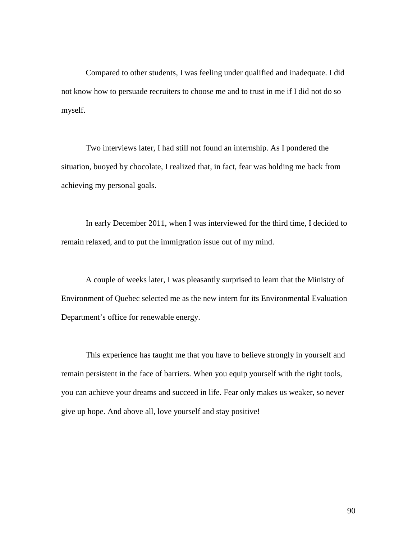Compared to other students, I was feeling under qualified and inadequate. I did not know how to persuade recruiters to choose me and to trust in me if I did not do so myself.

Two interviews later, I had still not found an internship. As I pondered the situation, buoyed by chocolate, I realized that, in fact, fear was holding me back from achieving my personal goals.

In early December 2011, when I was interviewed for the third time, I decided to remain relaxed, and to put the immigration issue out of my mind.

A couple of weeks later, I was pleasantly surprised to learn that the Ministry of Environment of Quebec selected me as the new intern for its Environmental Evaluation Department's office for renewable energy.

This experience has taught me that you have to believe strongly in yourself and remain persistent in the face of barriers. When you equip yourself with the right tools, you can achieve your dreams and succeed in life. Fear only makes us weaker, so never give up hope. And above all, love yourself and stay positive!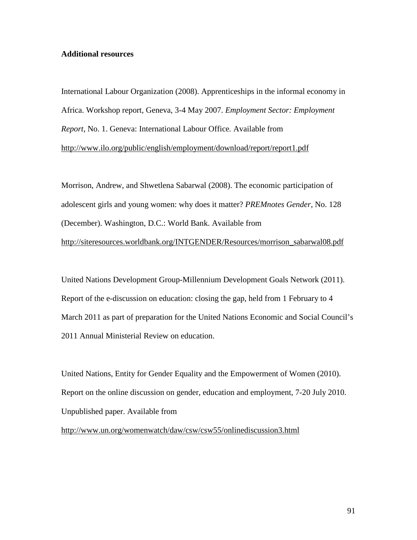## **Additional resources**

International Labour Organization (2008). Apprenticeships in the informal economy in Africa. Workshop report, Geneva, 3-4 May 2007. *Employment Sector: Employment Report*, No. 1. Geneva: International Labour Office*.* Available from http://www.ilo.org/public/english/employment/download/report/report1.pdf

Morrison, Andrew, and Shwetlena Sabarwal (2008). The economic participation of adolescent girls and young women: why does it matter? *PREMnotes Gender*, No. 128 (December). Washington, D.C.: World Bank. Available from http://siteresources.worldbank.org/INTGENDER/Resources/morrison\_sabarwal08.pdf

United Nations Development Group-Millennium Development Goals Network (2011). Report of the e-discussion on education: closing the gap, held from 1 February to 4 March 2011 as part of preparation for the United Nations Economic and Social Council's 2011 Annual Ministerial Review on education.

United Nations, Entity for Gender Equality and the Empowerment of Women (2010). Report on the online discussion on gender, education and employment, 7-20 July 2010. Unpublished paper. Available from

http://www.un.org/womenwatch/daw/csw/csw55/onlinediscussion3.html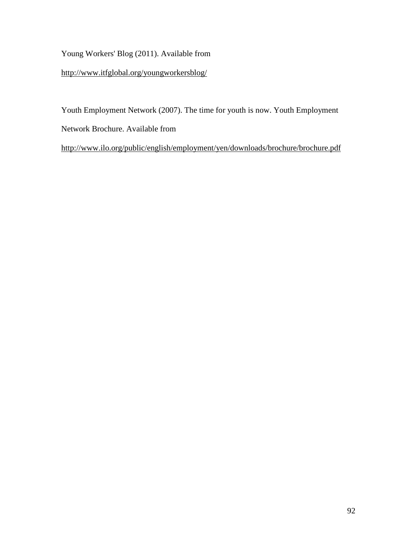Young Workers' Blog (2011). Available from

http://www.itfglobal.org/youngworkersblog/

Youth Employment Network (2007). The time for youth is now. Youth Employment

Network Brochure. Available from

http://www.ilo.org/public/english/employment/yen/downloads/brochure/brochure.pdf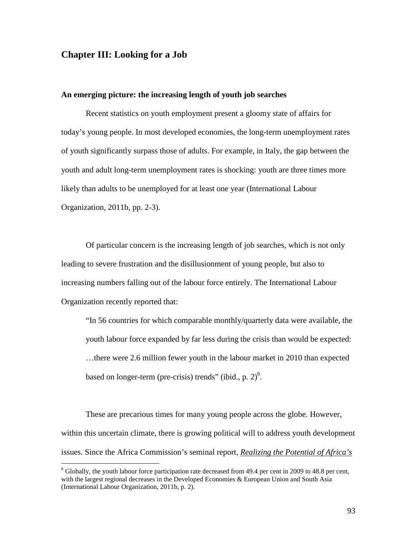# **Chapter III: Looking for a Job**

<u>.</u>

## **An emerging picture: the increasing length of youth job searches**

 Recent statistics on youth employment present a gloomy state of affairs for today's young people. In most developed economies, the long-term unemployment rates of youth significantly surpass those of adults. For example, in Italy, the gap between the youth and adult long-term unemployment rates is shocking: youth are three times more likely than adults to be unemployed for at least one year (International Labour Organization, 2011b, pp. 2-3).

Of particular concern is the increasing length of job searches, which is not only leading to severe frustration and the disillusionment of young people, but also to increasing numbers falling out of the labour force entirely. The International Labour Organization recently reported that:

"In 56 countries for which comparable monthly/quarterly data were available, the youth labour force expanded by far less during the crisis than would be expected: …there were 2.6 million fewer youth in the labour market in 2010 than expected based on longer-term (pre-crisis) trends" (ibid., p.  $2)^6$ .

These are precarious times for many young people across the globe. However, within this uncertain climate, there is growing political will to address youth development issues. Since the Africa Commission's seminal report, *Realizing the Potential of Africa's* 

<sup>&</sup>lt;sup>6</sup> Globally, the youth labour force participation rate decreased from 49.4 per cent in 2009 to 48.8 per cent, with the largest regional decreases in the Developed Economies & European Union and South Asia (International Labour Organization, 2011b, p. 2).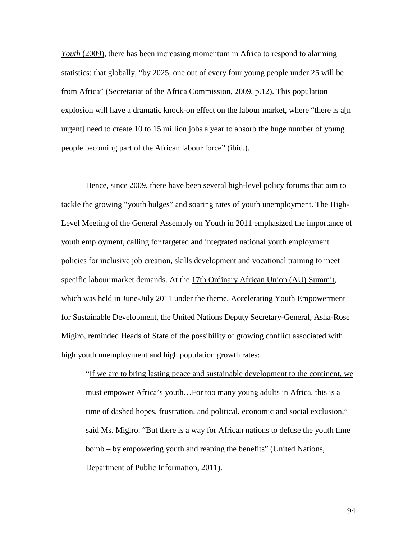*Youth* (2009), there has been increasing momentum in Africa to respond to alarming statistics: that globally, "by 2025, one out of every four young people under 25 will be from Africa" (Secretariat of the Africa Commission, 2009, p.12). This population explosion will have a dramatic knock-on effect on the labour market, where "there is a[n urgent] need to create 10 to 15 million jobs a year to absorb the huge number of young people becoming part of the African labour force" (ibid.).

Hence, since 2009, there have been several high-level policy forums that aim to tackle the growing "youth bulges" and soaring rates of youth unemployment. The High-Level Meeting of the General Assembly on Youth in 2011 emphasized the importance of youth employment, calling for targeted and integrated national youth employment policies for inclusive job creation, skills development and vocational training to meet specific labour market demands. At the 17th Ordinary African Union (AU) Summit, which was held in June-July 2011 under the theme, Accelerating Youth Empowerment for Sustainable Development, the United Nations Deputy Secretary-General, Asha-Rose Migiro, reminded Heads of State of the possibility of growing conflict associated with high youth unemployment and high population growth rates:

"If we are to bring lasting peace and sustainable development to the continent, we must empower Africa's youth…For too many young adults in Africa, this is a time of dashed hopes, frustration, and political, economic and social exclusion," said Ms. Migiro. "But there is a way for African nations to defuse the youth time bomb – by empowering youth and reaping the benefits" (United Nations, Department of Public Information, 2011).

94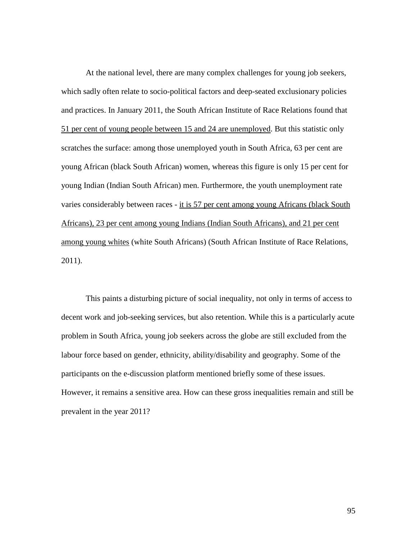At the national level, there are many complex challenges for young job seekers, which sadly often relate to socio-political factors and deep-seated exclusionary policies and practices. In January 2011, the South African Institute of Race Relations found that 51 per cent of young people between 15 and 24 are unemployed. But this statistic only scratches the surface: among those unemployed youth in South Africa, 63 per cent are young African (black South African) women, whereas this figure is only 15 per cent for young Indian (Indian South African) men. Furthermore, the youth unemployment rate varies considerably between races - it is 57 per cent among young Africans (black South Africans), 23 per cent among young Indians (Indian South Africans), and 21 per cent among young whites (white South Africans) (South African Institute of Race Relations, 2011).

This paints a disturbing picture of social inequality, not only in terms of access to decent work and job-seeking services, but also retention. While this is a particularly acute problem in South Africa, young job seekers across the globe are still excluded from the labour force based on gender, ethnicity, ability/disability and geography. Some of the participants on the e-discussion platform mentioned briefly some of these issues. However, it remains a sensitive area. How can these gross inequalities remain and still be prevalent in the year 2011?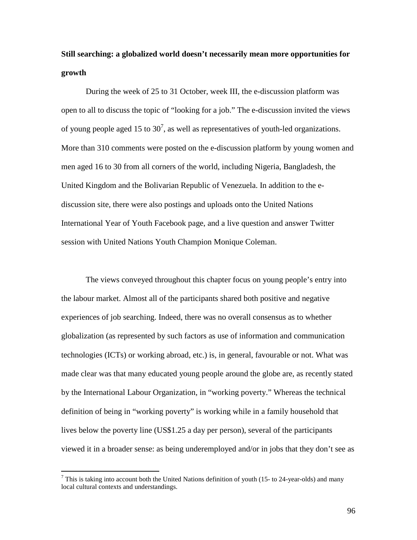# **Still searching: a globalized world doesn't necessarily mean more opportunities for growth**

During the week of 25 to 31 October, week III, the e-discussion platform was open to all to discuss the topic of "looking for a job." The e-discussion invited the views of young people aged 15 to 30<sup>7</sup>, as well as representatives of youth-led organizations. More than 310 comments were posted on the e-discussion platform by young women and men aged 16 to 30 from all corners of the world, including Nigeria, Bangladesh, the United Kingdom and the Bolivarian Republic of Venezuela. In addition to the ediscussion site, there were also postings and uploads onto the United Nations International Year of Youth Facebook page, and a live question and answer Twitter session with United Nations Youth Champion Monique Coleman.

The views conveyed throughout this chapter focus on young people's entry into the labour market. Almost all of the participants shared both positive and negative experiences of job searching. Indeed, there was no overall consensus as to whether globalization (as represented by such factors as use of information and communication technologies (ICTs) or working abroad, etc.) is, in general, favourable or not. What was made clear was that many educated young people around the globe are, as recently stated by the International Labour Organization, in "working poverty." Whereas the technical definition of being in "working poverty" is working while in a family household that lives below the poverty line (US\$1.25 a day per person), several of the participants viewed it in a broader sense: as being underemployed and/or in jobs that they don't see as

This is taking into account both the United Nations definition of youth (15- to 24-year-olds) and many local cultural contexts and understandings.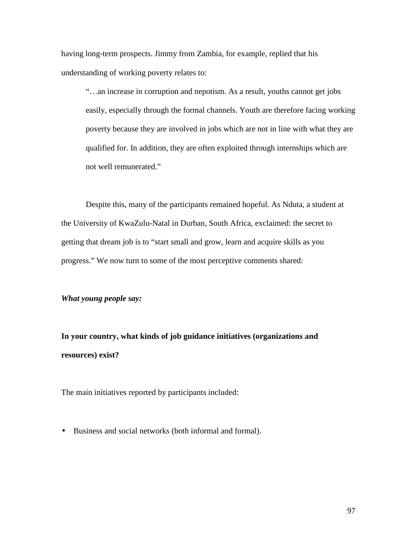having long-term prospects. Jimmy from Zambia, for example, replied that his understanding of working poverty relates to:

"…an increase in corruption and nepotism. As a result, youths cannot get jobs easily, especially through the formal channels. Youth are therefore facing working poverty because they are involved in jobs which are not in line with what they are qualified for. In addition, they are often exploited through internships which are not well remunerated."

 Despite this, many of the participants remained hopeful. As Nduta, a student at the University of KwaZulu-Natal in Durban, South Africa, exclaimed: the secret to getting that dream job is to "start small and grow, learn and acquire skills as you progress." We now turn to some of the most perceptive comments shared:

# *What young people say:*

**In your country, what kinds of job guidance initiatives (organizations and resources) exist?** 

The main initiatives reported by participants included:

• Business and social networks (both informal and formal).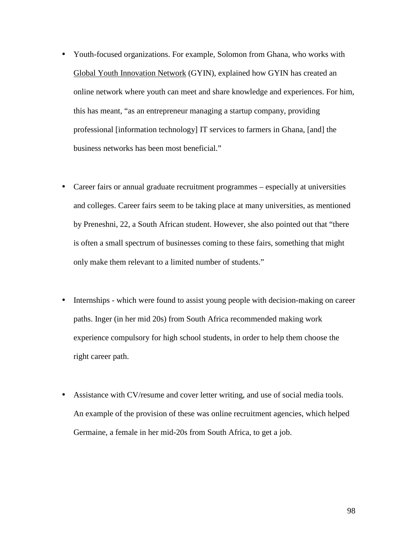- Youth-focused organizations. For example, Solomon from Ghana, who works with Global Youth Innovation Network (GYIN), explained how GYIN has created an online network where youth can meet and share knowledge and experiences. For him, this has meant, "as an entrepreneur managing a startup company, providing professional [information technology] IT services to farmers in Ghana, [and] the business networks has been most beneficial."
- Career fairs or annual graduate recruitment programmes especially at universities and colleges. Career fairs seem to be taking place at many universities, as mentioned by Preneshni, 22, a South African student. However, she also pointed out that "there is often a small spectrum of businesses coming to these fairs, something that might only make them relevant to a limited number of students."
- Internships which were found to assist young people with decision-making on career paths. Inger (in her mid 20s) from South Africa recommended making work experience compulsory for high school students, in order to help them choose the right career path.
- Assistance with CV/resume and cover letter writing, and use of social media tools. An example of the provision of these was online recruitment agencies, which helped Germaine, a female in her mid-20s from South Africa, to get a job.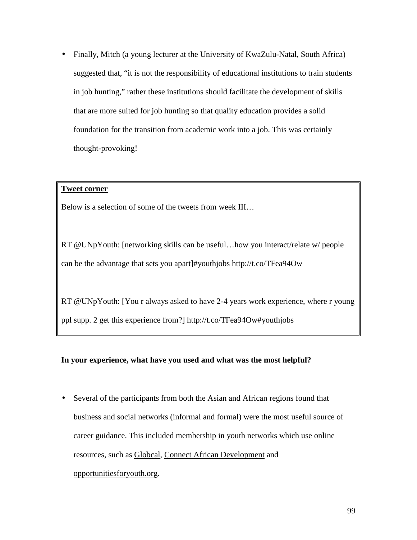• Finally, Mitch (a young lecturer at the University of KwaZulu-Natal, South Africa) suggested that, "it is not the responsibility of educational institutions to train students in job hunting," rather these institutions should facilitate the development of skills that are more suited for job hunting so that quality education provides a solid foundation for the transition from academic work into a job. This was certainly thought-provoking!

# **Tweet corner**

Below is a selection of some of the tweets from week III…

RT @UNpYouth: [networking skills can be useful…how you interact/relate w/ people can be the advantage that sets you apart]#youthjobs http://t.co/TFea94Ow

RT @UNpYouth: [You r always asked to have 2-4 years work experience, where r young ppl supp. 2 get this experience from?] http://t.co/TFea94Ow#youthjobs

## **In your experience, what have you used and what was the most helpful?**

• Several of the participants from both the Asian and African regions found that business and social networks (informal and formal) were the most useful source of career guidance. This included membership in youth networks which use online resources, such as Globcal, Connect African Development and opportunitiesforyouth.org.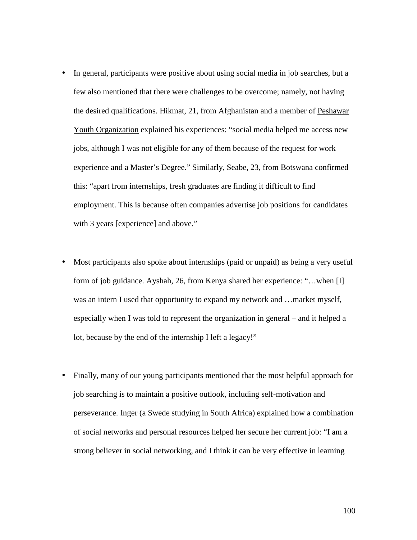- In general, participants were positive about using social media in job searches, but a few also mentioned that there were challenges to be overcome; namely, not having the desired qualifications. Hikmat, 21, from Afghanistan and a member of Peshawar Youth Organization explained his experiences: "social media helped me access new jobs, although I was not eligible for any of them because of the request for work experience and a Master's Degree." Similarly, Seabe, 23, from Botswana confirmed this: "apart from internships, fresh graduates are finding it difficult to find employment. This is because often companies advertise job positions for candidates with 3 years [experience] and above."
- Most participants also spoke about internships (paid or unpaid) as being a very useful form of job guidance. Ayshah, 26, from Kenya shared her experience: "…when [I] was an intern I used that opportunity to expand my network and ...market myself, especially when I was told to represent the organization in general – and it helped a lot, because by the end of the internship I left a legacy!"
- Finally, many of our young participants mentioned that the most helpful approach for job searching is to maintain a positive outlook, including self-motivation and perseverance. Inger (a Swede studying in South Africa) explained how a combination of social networks and personal resources helped her secure her current job: "I am a strong believer in social networking, and I think it can be very effective in learning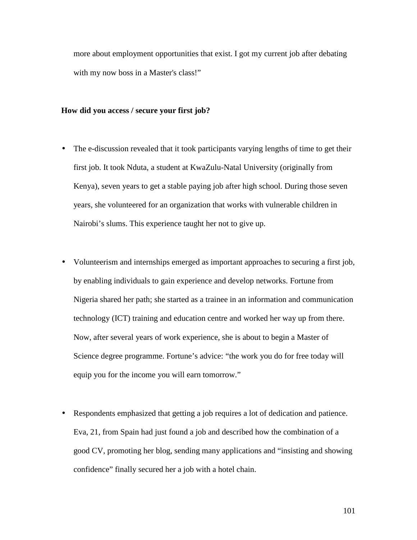more about employment opportunities that exist. I got my current job after debating with my now boss in a Master's class!"

## **How did you access / secure your first job?**

- The e-discussion revealed that it took participants varying lengths of time to get their first job. It took Nduta, a student at KwaZulu-Natal University (originally from Kenya), seven years to get a stable paying job after high school. During those seven years, she volunteered for an organization that works with vulnerable children in Nairobi's slums. This experience taught her not to give up.
- Volunteerism and internships emerged as important approaches to securing a first job, by enabling individuals to gain experience and develop networks. Fortune from Nigeria shared her path; she started as a trainee in an information and communication technology (ICT) training and education centre and worked her way up from there. Now, after several years of work experience, she is about to begin a Master of Science degree programme. Fortune's advice: "the work you do for free today will equip you for the income you will earn tomorrow."
- Respondents emphasized that getting a job requires a lot of dedication and patience. Eva, 21, from Spain had just found a job and described how the combination of a good CV, promoting her blog, sending many applications and "insisting and showing confidence" finally secured her a job with a hotel chain.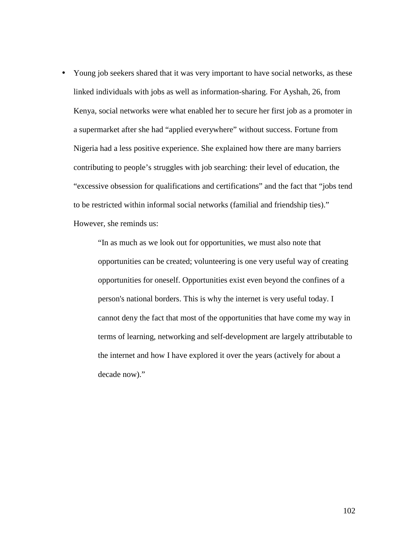• Young job seekers shared that it was very important to have social networks, as these linked individuals with jobs as well as information-sharing. For Ayshah, 26, from Kenya, social networks were what enabled her to secure her first job as a promoter in a supermarket after she had "applied everywhere" without success. Fortune from Nigeria had a less positive experience. She explained how there are many barriers contributing to people's struggles with job searching: their level of education, the "excessive obsession for qualifications and certifications" and the fact that "jobs tend to be restricted within informal social networks (familial and friendship ties)." However, she reminds us:

> "In as much as we look out for opportunities, we must also note that opportunities can be created; volunteering is one very useful way of creating opportunities for oneself. Opportunities exist even beyond the confines of a person's national borders. This is why the internet is very useful today. I cannot deny the fact that most of the opportunities that have come my way in terms of learning, networking and self-development are largely attributable to the internet and how I have explored it over the years (actively for about a decade now)."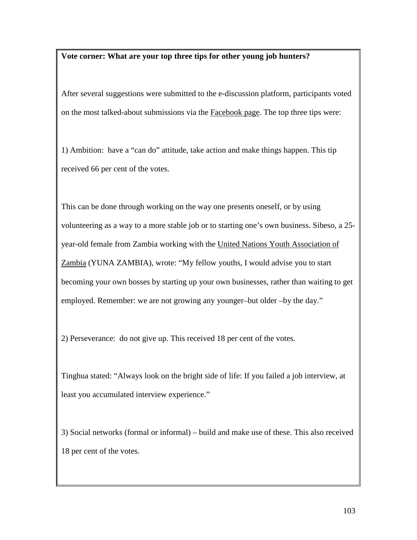# **Vote corner: What are your top three tips for other young job hunters?**

After several suggestions were submitted to the e-discussion platform, participants voted on the most talked-about submissions via the Facebook page. The top three tips were:

1) Ambition: have a "can do" attitude, take action and make things happen. This tip received 66 per cent of the votes.

This can be done through working on the way one presents oneself, or by using volunteering as a way to a more stable job or to starting one's own business. Sibeso, a 25 year-old female from Zambia working with the United Nations Youth Association of Zambia (YUNA ZAMBIA), wrote: "My fellow youths, I would advise you to start becoming your own bosses by starting up your own businesses, rather than waiting to get employed. Remember: we are not growing any younger–but older –by the day."

2) Perseverance: do not give up. This received 18 per cent of the votes.

Tinghua stated: "Always look on the bright side of life: If you failed a job interview, at least you accumulated interview experience."

3) Social networks (formal or informal) – build and make use of these. This also received 18 per cent of the votes.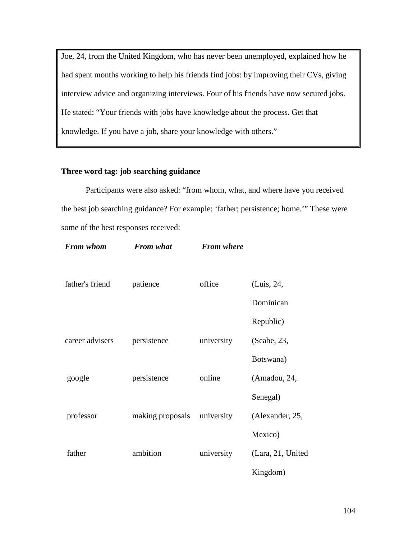Joe, 24, from the United Kingdom, who has never been unemployed, explained how he had spent months working to help his friends find jobs: by improving their CVs, giving interview advice and organizing interviews. Four of his friends have now secured jobs. He stated: "Your friends with jobs have knowledge about the process. Get that knowledge. If you have a job, share your knowledge with others."

# **Three word tag: job searching guidance**

*From whom From what From where* 

Participants were also asked: "from whom, what, and where have you received the best job searching guidance? For example: 'father; persistence; home.'" These were some of the best responses received:

| 1 I viit with | 1 I viit witch c |                             |
|---------------|------------------|-----------------------------|
| patience      | office           | (Luis, 24,                  |
|               |                  | Dominican                   |
|               |                  | Republic)                   |
| persistence   | university       | (Seabe, 23,                 |
|               |                  | Botswana)                   |
| persistence   | online           | (Amadou, 24,                |
|               |                  | Senegal)                    |
|               |                  | (Alexander, 25,             |
|               |                  | Mexico)                     |
| ambition      | university       | (Lara, 21, United           |
|               |                  | Kingdom)                    |
|               |                  | making proposals university |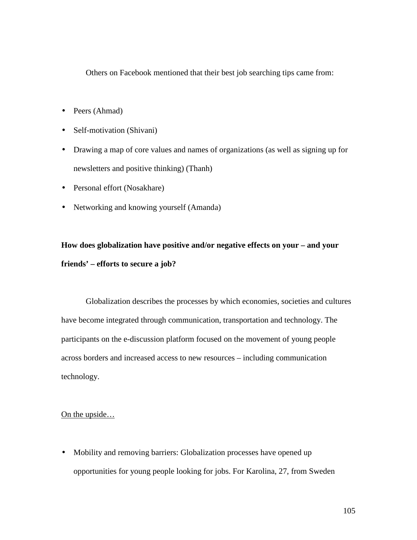Others on Facebook mentioned that their best job searching tips came from:

- Peers (Ahmad)
- Self-motivation (Shivani)
- Drawing a map of core values and names of organizations (as well as signing up for newsletters and positive thinking) (Thanh)
- Personal effort (Nosakhare)
- Networking and knowing yourself (Amanda)

**How does globalization have positive and/or negative effects on your – and your friends' – efforts to secure a job?**

Globalization describes the processes by which economies, societies and cultures have become integrated through communication, transportation and technology. The participants on the e-discussion platform focused on the movement of young people across borders and increased access to new resources – including communication technology.

## On the upside…

• Mobility and removing barriers: Globalization processes have opened up opportunities for young people looking for jobs. For Karolina, 27, from Sweden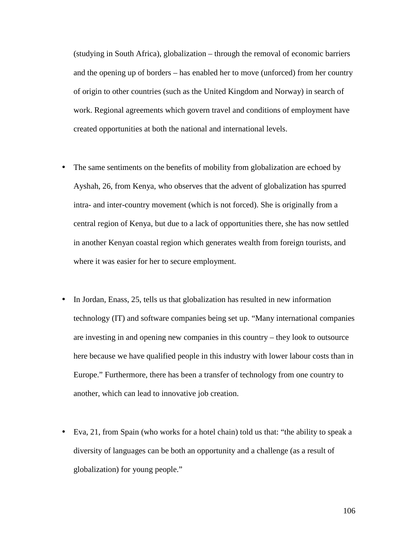(studying in South Africa), globalization – through the removal of economic barriers and the opening up of borders – has enabled her to move (unforced) from her country of origin to other countries (such as the United Kingdom and Norway) in search of work. Regional agreements which govern travel and conditions of employment have created opportunities at both the national and international levels.

- The same sentiments on the benefits of mobility from globalization are echoed by Ayshah, 26, from Kenya, who observes that the advent of globalization has spurred intra- and inter-country movement (which is not forced). She is originally from a central region of Kenya, but due to a lack of opportunities there, she has now settled in another Kenyan coastal region which generates wealth from foreign tourists, and where it was easier for her to secure employment.
- In Jordan, Enass, 25, tells us that globalization has resulted in new information technology (IT) and software companies being set up. "Many international companies are investing in and opening new companies in this country – they look to outsource here because we have qualified people in this industry with lower labour costs than in Europe." Furthermore, there has been a transfer of technology from one country to another, which can lead to innovative job creation.
- Eva, 21, from Spain (who works for a hotel chain) told us that: "the ability to speak a diversity of languages can be both an opportunity and a challenge (as a result of globalization) for young people."

106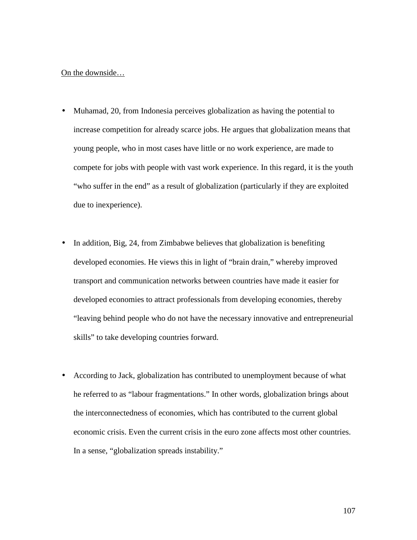## On the downside…

- Muhamad, 20, from Indonesia perceives globalization as having the potential to increase competition for already scarce jobs. He argues that globalization means that young people, who in most cases have little or no work experience, are made to compete for jobs with people with vast work experience. In this regard, it is the youth "who suffer in the end" as a result of globalization (particularly if they are exploited due to inexperience).
- In addition, Big, 24, from Zimbabwe believes that globalization is benefiting developed economies. He views this in light of "brain drain," whereby improved transport and communication networks between countries have made it easier for developed economies to attract professionals from developing economies, thereby "leaving behind people who do not have the necessary innovative and entrepreneurial skills" to take developing countries forward.
- According to Jack, globalization has contributed to unemployment because of what he referred to as "labour fragmentations." In other words, globalization brings about the interconnectedness of economies, which has contributed to the current global economic crisis. Even the current crisis in the euro zone affects most other countries. In a sense, "globalization spreads instability."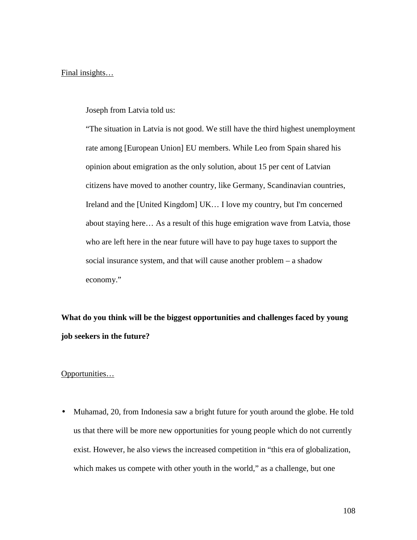## Final insights…

Joseph from Latvia told us:

"The situation in Latvia is not good. We still have the third highest unemployment rate among [European Union] EU members. While Leo from Spain shared his opinion about emigration as the only solution, about 15 per cent of Latvian citizens have moved to another country, like Germany, Scandinavian countries, Ireland and the [United Kingdom] UK… I love my country, but I'm concerned about staying here… As a result of this huge emigration wave from Latvia, those who are left here in the near future will have to pay huge taxes to support the social insurance system, and that will cause another problem – a shadow economy."

**What do you think will be the biggest opportunities and challenges faced by young job seekers in the future?** 

# Opportunities…

• Muhamad, 20, from Indonesia saw a bright future for youth around the globe. He told us that there will be more new opportunities for young people which do not currently exist. However, he also views the increased competition in "this era of globalization, which makes us compete with other youth in the world," as a challenge, but one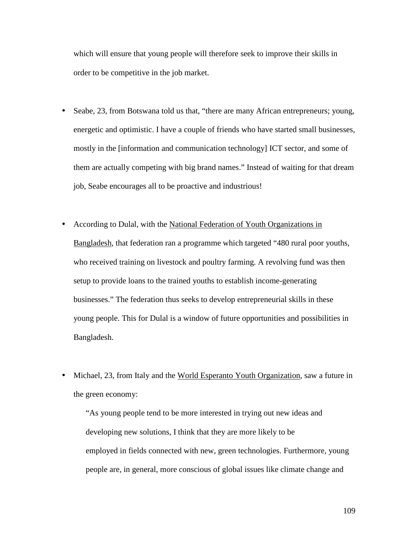which will ensure that young people will therefore seek to improve their skills in order to be competitive in the job market.

- Seabe, 23, from Botswana told us that, "there are many African entrepreneurs; young, energetic and optimistic. I have a couple of friends who have started small businesses, mostly in the [information and communication technology] ICT sector, and some of them are actually competing with big brand names." Instead of waiting for that dream job, Seabe encourages all to be proactive and industrious!
- According to Dulal, with the National Federation of Youth Organizations in Bangladesh, that federation ran a programme which targeted "480 rural poor youths, who received training on livestock and poultry farming. A revolving fund was then setup to provide loans to the trained youths to establish income-generating businesses." The federation thus seeks to develop entrepreneurial skills in these young people. This for Dulal is a window of future opportunities and possibilities in Bangladesh.
- Michael, 23, from Italy and the World Esperanto Youth Organization, saw a future in the green economy:

"As young people tend to be more interested in trying out new ideas and developing new solutions, I think that they are more likely to be employed in fields connected with new, green technologies. Furthermore, young people are, in general, more conscious of global issues like climate change and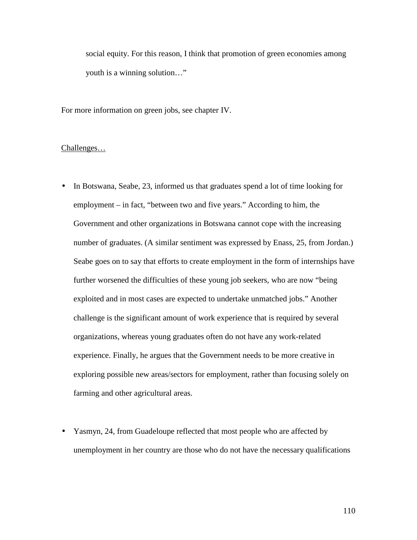social equity. For this reason, I think that promotion of green economies among youth is a winning solution…"

For more information on green jobs, see chapter IV.

### Challenges…

- In Botswana, Seabe, 23, informed us that graduates spend a lot of time looking for employment – in fact, "between two and five years." According to him, the Government and other organizations in Botswana cannot cope with the increasing number of graduates. (A similar sentiment was expressed by Enass, 25, from Jordan.) Seabe goes on to say that efforts to create employment in the form of internships have further worsened the difficulties of these young job seekers, who are now "being exploited and in most cases are expected to undertake unmatched jobs." Another challenge is the significant amount of work experience that is required by several organizations, whereas young graduates often do not have any work-related experience. Finally, he argues that the Government needs to be more creative in exploring possible new areas/sectors for employment, rather than focusing solely on farming and other agricultural areas.
- Yasmyn, 24, from Guadeloupe reflected that most people who are affected by unemployment in her country are those who do not have the necessary qualifications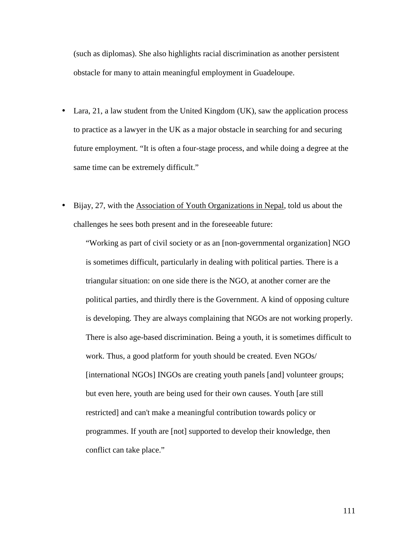(such as diplomas). She also highlights racial discrimination as another persistent obstacle for many to attain meaningful employment in Guadeloupe.

- Lara, 21, a law student from the United Kingdom (UK), saw the application process to practice as a lawyer in the UK as a major obstacle in searching for and securing future employment. "It is often a four-stage process, and while doing a degree at the same time can be extremely difficult."
- Bijay, 27, with the Association of Youth Organizations in Nepal, told us about the challenges he sees both present and in the foreseeable future:

"Working as part of civil society or as an [non-governmental organization] NGO is sometimes difficult, particularly in dealing with political parties. There is a triangular situation: on one side there is the NGO, at another corner are the political parties, and thirdly there is the Government. A kind of opposing culture is developing. They are always complaining that NGOs are not working properly. There is also age-based discrimination. Being a youth, it is sometimes difficult to work. Thus, a good platform for youth should be created. Even NGOs/ [international NGOs] INGOs are creating youth panels [and] volunteer groups; but even here, youth are being used for their own causes. Youth [are still restricted] and can't make a meaningful contribution towards policy or programmes. If youth are [not] supported to develop their knowledge, then conflict can take place."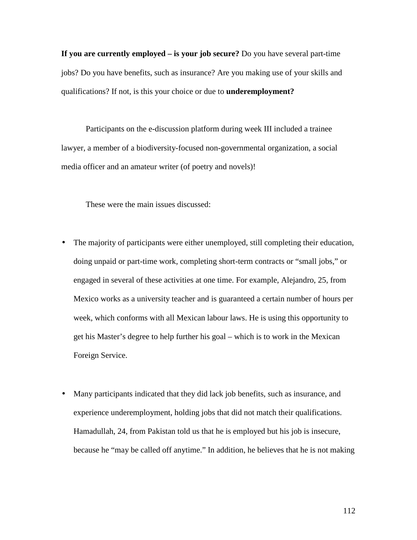**If you are currently employed – is your job secure?** Do you have several part-time jobs? Do you have benefits, such as insurance? Are you making use of your skills and qualifications? If not, is this your choice or due to **underemployment?** 

Participants on the e-discussion platform during week III included a trainee lawyer, a member of a biodiversity-focused non-governmental organization, a social media officer and an amateur writer (of poetry and novels)!

These were the main issues discussed:

- The majority of participants were either unemployed, still completing their education, doing unpaid or part-time work, completing short-term contracts or "small jobs," or engaged in several of these activities at one time. For example, Alejandro, 25, from Mexico works as a university teacher and is guaranteed a certain number of hours per week, which conforms with all Mexican labour laws. He is using this opportunity to get his Master's degree to help further his goal – which is to work in the Mexican Foreign Service.
- Many participants indicated that they did lack job benefits, such as insurance, and experience underemployment, holding jobs that did not match their qualifications. Hamadullah, 24, from Pakistan told us that he is employed but his job is insecure, because he "may be called off anytime." In addition, he believes that he is not making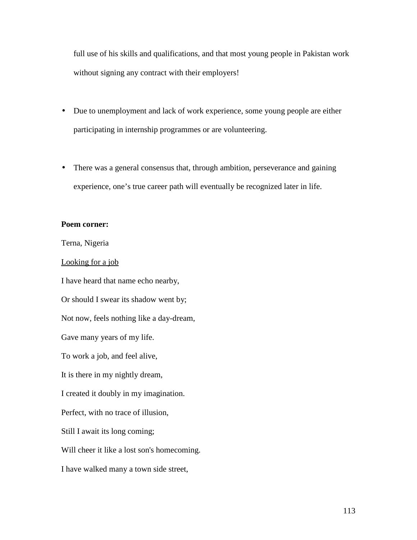full use of his skills and qualifications, and that most young people in Pakistan work without signing any contract with their employers!

- Due to unemployment and lack of work experience, some young people are either participating in internship programmes or are volunteering.
- There was a general consensus that, through ambition, perseverance and gaining experience, one's true career path will eventually be recognized later in life.

### **Poem corner:**

Terna, Nigeria

Looking for a job

I have heard that name echo nearby, Or should I swear its shadow went by; Not now, feels nothing like a day-dream, Gave many years of my life. To work a job, and feel alive, It is there in my nightly dream, I created it doubly in my imagination. Perfect, with no trace of illusion, Still I await its long coming; Will cheer it like a lost son's homecoming. I have walked many a town side street,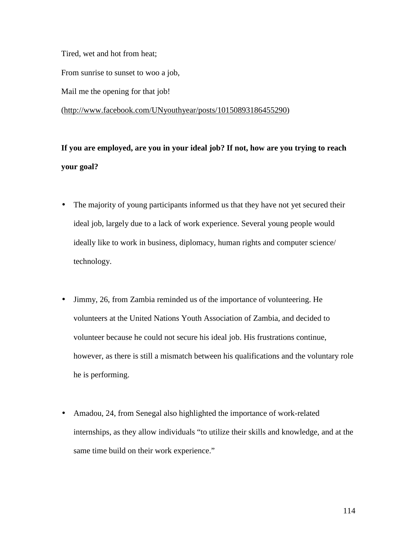Tired, wet and hot from heat; From sunrise to sunset to woo a job, Mail me the opening for that job! (http://www.facebook.com/UNyouthyear/posts/10150893186455290)

**If you are employed, are you in your ideal job? If not, how are you trying to reach your goal?** 

- The majority of young participants informed us that they have not yet secured their ideal job, largely due to a lack of work experience. Several young people would ideally like to work in business, diplomacy, human rights and computer science/ technology.
- Jimmy, 26, from Zambia reminded us of the importance of volunteering. He volunteers at the United Nations Youth Association of Zambia, and decided to volunteer because he could not secure his ideal job. His frustrations continue, however, as there is still a mismatch between his qualifications and the voluntary role he is performing.
- Amadou, 24, from Senegal also highlighted the importance of work-related internships, as they allow individuals "to utilize their skills and knowledge, and at the same time build on their work experience."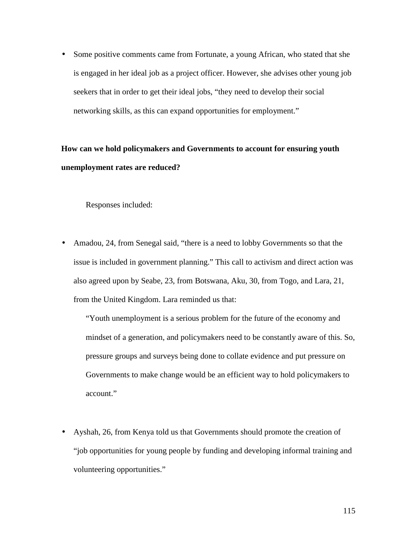• Some positive comments came from Fortunate, a young African, who stated that she is engaged in her ideal job as a project officer. However, she advises other young job seekers that in order to get their ideal jobs, "they need to develop their social networking skills, as this can expand opportunities for employment."

**How can we hold policymakers and Governments to account for ensuring youth unemployment rates are reduced?** 

Responses included:

• Amadou, 24, from Senegal said, "there is a need to lobby Governments so that the issue is included in government planning." This call to activism and direct action was also agreed upon by Seabe, 23, from Botswana, Aku, 30, from Togo, and Lara, 21, from the United Kingdom. Lara reminded us that:

"Youth unemployment is a serious problem for the future of the economy and mindset of a generation, and policymakers need to be constantly aware of this. So, pressure groups and surveys being done to collate evidence and put pressure on Governments to make change would be an efficient way to hold policymakers to account."

• Ayshah, 26, from Kenya told us that Governments should promote the creation of "job opportunities for young people by funding and developing informal training and volunteering opportunities."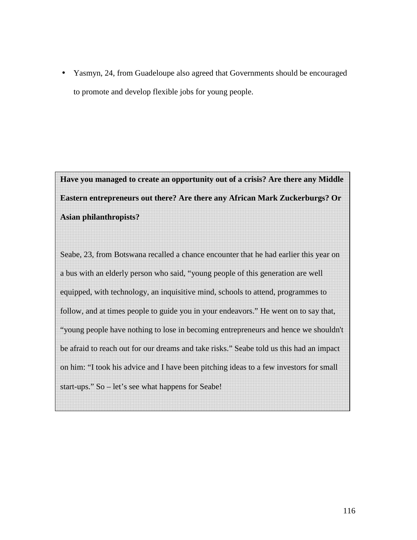• Yasmyn, 24, from Guadeloupe also agreed that Governments should be encouraged to promote and develop flexible jobs for young people.

**Have you managed to create an opportunity out of a crisis? Are there any Middle Eastern entrepreneurs out there? Are there any African Mark Zuckerburgs? Or Asian philanthropists?** 

Seabe, 23, from Botswana recalled a chance encounter that he had earlier this year on a bus with an elderly person who said, "young people of this generation are well equipped, with technology, an inquisitive mind, schools to attend, programmes to follow, and at times people to guide you in your endeavors." He went on to say that, "young people have nothing to lose in becoming entrepreneurs and hence we shouldn't be afraid to reach out for our dreams and take risks." Seabe told us this had an impact on him: "I took his advice and I have been pitching ideas to a few investors for small start-ups." So – let's see what happens for Seabe!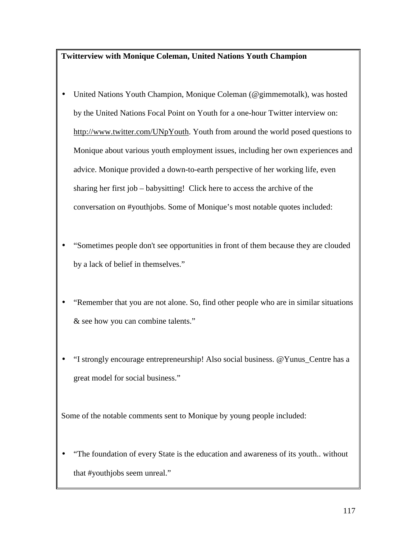## **Twitterview with Monique Coleman, United Nations Youth Champion**

- United Nations Youth Champion, Monique Coleman (@gimmemotalk), was hosted by the United Nations Focal Point on Youth for a one-hour Twitter interview on: http://www.twitter.com/UNpYouth. Youth from around the world posed questions to Monique about various youth employment issues, including her own experiences and advice. Monique provided a down-to-earth perspective of her working life, even sharing her first job – babysitting! Click here to access the archive of the conversation on #youthjobs. Some of Monique's most notable quotes included:
- "Sometimes people don't see opportunities in front of them because they are clouded by a lack of belief in themselves."
- "Remember that you are not alone. So, find other people who are in similar situations & see how you can combine talents."
- "I strongly encourage entrepreneurship! Also social business. @Yunus\_Centre has a great model for social business."

Some of the notable comments sent to Monique by young people included:

• "The foundation of every State is the education and awareness of its youth.. without that #youthjobs seem unreal."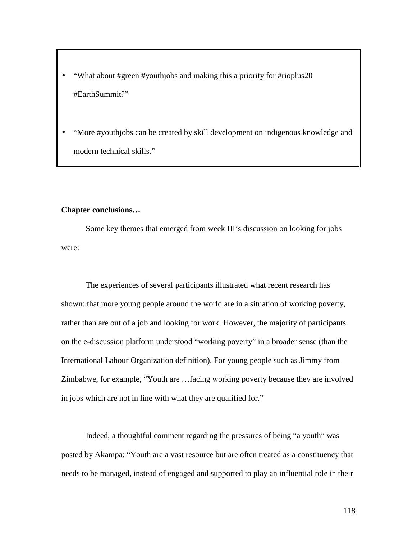• "What about #green #youthjobs and making this a priority for #rioplus20 #EarthSummit?"

• "More #youthjobs can be created by skill development on indigenous knowledge and modern technical skills."

## **Chapter conclusions…**

Some key themes that emerged from week III's discussion on looking for jobs were:

The experiences of several participants illustrated what recent research has shown: that more young people around the world are in a situation of working poverty, rather than are out of a job and looking for work. However, the majority of participants on the e-discussion platform understood "working poverty" in a broader sense (than the International Labour Organization definition). For young people such as Jimmy from Zimbabwe, for example, "Youth are …facing working poverty because they are involved in jobs which are not in line with what they are qualified for."

Indeed, a thoughtful comment regarding the pressures of being "a youth" was posted by Akampa: "Youth are a vast resource but are often treated as a constituency that needs to be managed, instead of engaged and supported to play an influential role in their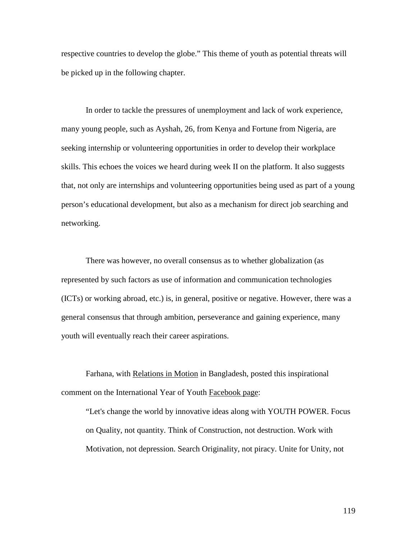respective countries to develop the globe." This theme of youth as potential threats will be picked up in the following chapter.

In order to tackle the pressures of unemployment and lack of work experience, many young people, such as Ayshah, 26, from Kenya and Fortune from Nigeria, are seeking internship or volunteering opportunities in order to develop their workplace skills. This echoes the voices we heard during week II on the platform. It also suggests that, not only are internships and volunteering opportunities being used as part of a young person's educational development, but also as a mechanism for direct job searching and networking.

There was however, no overall consensus as to whether globalization (as represented by such factors as use of information and communication technologies (ICTs) or working abroad, etc.) is, in general, positive or negative. However, there was a general consensus that through ambition, perseverance and gaining experience, many youth will eventually reach their career aspirations.

Farhana, with Relations in Motion in Bangladesh, posted this inspirational comment on the International Year of Youth Facebook page:

"Let's change the world by innovative ideas along with YOUTH POWER. Focus on Quality, not quantity. Think of Construction, not destruction. Work with Motivation, not depression. Search Originality, not piracy. Unite for Unity, not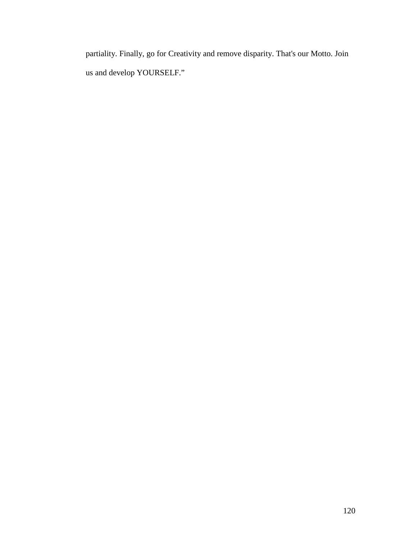partiality. Finally, go for Creativity and remove disparity. That's our Motto. Join us and develop YOURSELF."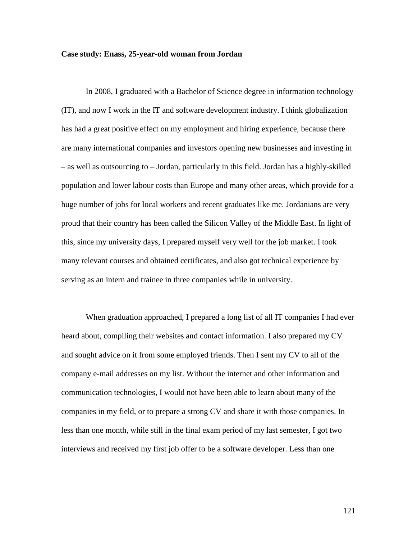#### **Case study: Enass, 25-year-old woman from Jordan**

In 2008, I graduated with a Bachelor of Science degree in information technology (IT), and now I work in the IT and software development industry. I think globalization has had a great positive effect on my employment and hiring experience, because there are many international companies and investors opening new businesses and investing in – as well as outsourcing to – Jordan, particularly in this field. Jordan has a highly-skilled population and lower labour costs than Europe and many other areas, which provide for a huge number of jobs for local workers and recent graduates like me. Jordanians are very proud that their country has been called the Silicon Valley of the Middle East. In light of this, since my university days, I prepared myself very well for the job market. I took many relevant courses and obtained certificates, and also got technical experience by serving as an intern and trainee in three companies while in university.

When graduation approached, I prepared a long list of all IT companies I had ever heard about, compiling their websites and contact information. I also prepared my CV and sought advice on it from some employed friends. Then I sent my CV to all of the company e-mail addresses on my list. Without the internet and other information and communication technologies, I would not have been able to learn about many of the companies in my field, or to prepare a strong CV and share it with those companies. In less than one month, while still in the final exam period of my last semester, I got two interviews and received my first job offer to be a software developer. Less than one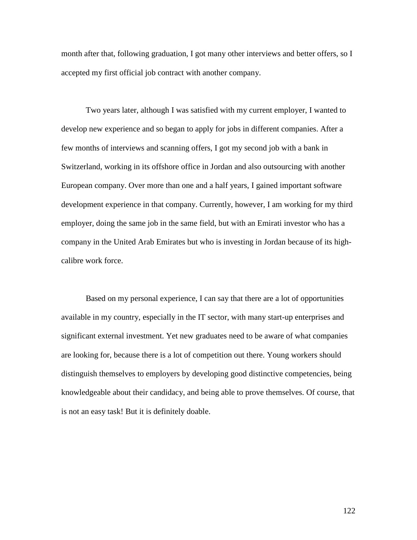month after that, following graduation, I got many other interviews and better offers, so I accepted my first official job contract with another company.

Two years later, although I was satisfied with my current employer, I wanted to develop new experience and so began to apply for jobs in different companies. After a few months of interviews and scanning offers, I got my second job with a bank in Switzerland, working in its offshore office in Jordan and also outsourcing with another European company. Over more than one and a half years, I gained important software development experience in that company. Currently, however, I am working for my third employer, doing the same job in the same field, but with an Emirati investor who has a company in the United Arab Emirates but who is investing in Jordan because of its highcalibre work force.

Based on my personal experience, I can say that there are a lot of opportunities available in my country, especially in the IT sector, with many start-up enterprises and significant external investment. Yet new graduates need to be aware of what companies are looking for, because there is a lot of competition out there. Young workers should distinguish themselves to employers by developing good distinctive competencies, being knowledgeable about their candidacy, and being able to prove themselves. Of course, that is not an easy task! But it is definitely doable.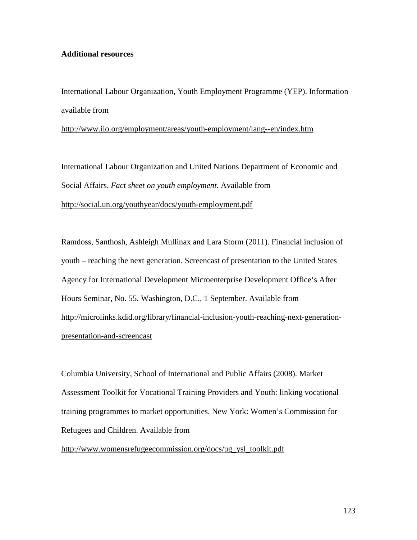#### **Additional resources**

International Labour Organization, Youth Employment Programme (YEP). Information available from

http://www.ilo.org/employment/areas/youth-employment/lang--en/index.htm

International Labour Organization and United Nations Department of Economic and Social Affairs. *Fact sheet on youth employment*. Available from http://social.un.org/youthyear/docs/youth-employment.pdf

Ramdoss, Santhosh, Ashleigh Mullinax and Lara Storm (2011). Financial inclusion of youth – reaching the next generation. Screencast of presentation to the United States Agency for International Development Microenterprise Development Office's After Hours Seminar, No. 55. Washington, D.C., 1 September. Available from http://microlinks.kdid.org/library/financial-inclusion-youth-reaching-next-generationpresentation-and-screencast

Columbia University, School of International and Public Affairs (2008). Market Assessment Toolkit for Vocational Training Providers and Youth: linking vocational training programmes to market opportunities. New York: Women's Commission for Refugees and Children. Available from

http://www.womensrefugeecommission.org/docs/ug\_ysl\_toolkit.pdf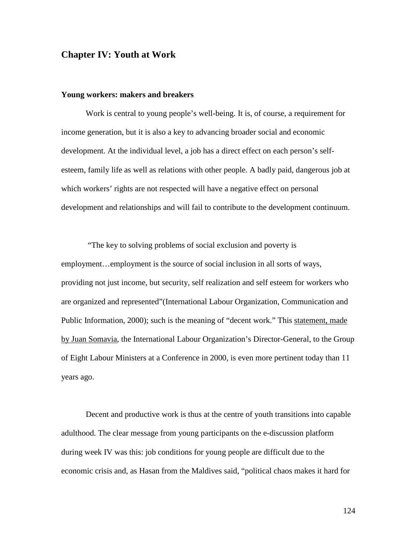## **Chapter IV: Youth at Work**

#### **Young workers: makers and breakers**

Work is central to young people's well-being. It is, of course, a requirement for income generation, but it is also a key to advancing broader social and economic development. At the individual level, a job has a direct effect on each person's selfesteem, family life as well as relations with other people. A badly paid, dangerous job at which workers' rights are not respected will have a negative effect on personal development and relationships and will fail to contribute to the development continuum.

 "The key to solving problems of social exclusion and poverty is employment…employment is the source of social inclusion in all sorts of ways, providing not just income, but security, self realization and self esteem for workers who are organized and represented"(International Labour Organization, Communication and Public Information, 2000); such is the meaning of "decent work." This statement, made by Juan Somavia, the International Labour Organization's Director-General, to the Group of Eight Labour Ministers at a Conference in 2000, is even more pertinent today than 11 years ago.

Decent and productive work is thus at the centre of youth transitions into capable adulthood. The clear message from young participants on the e-discussion platform during week IV was this: job conditions for young people are difficult due to the economic crisis and, as Hasan from the Maldives said, "political chaos makes it hard for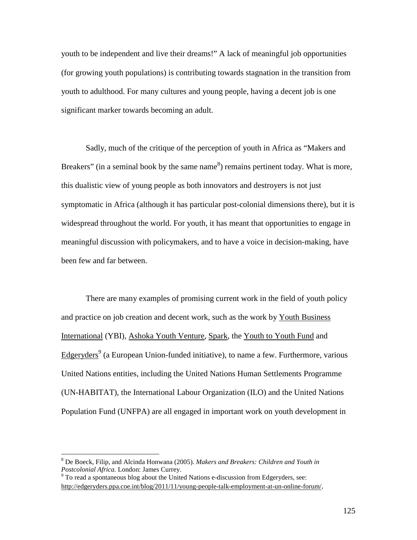youth to be independent and live their dreams!" A lack of meaningful job opportunities (for growing youth populations) is contributing towards stagnation in the transition from youth to adulthood. For many cultures and young people, having a decent job is one significant marker towards becoming an adult.

Sadly, much of the critique of the perception of youth in Africa as "Makers and Breakers" (in a seminal book by the same name $\delta$ ) remains pertinent today. What is more, this dualistic view of young people as both innovators and destroyers is not just symptomatic in Africa (although it has particular post-colonial dimensions there), but it is widespread throughout the world. For youth, it has meant that opportunities to engage in meaningful discussion with policymakers, and to have a voice in decision-making, have been few and far between.

There are many examples of promising current work in the field of youth policy and practice on job creation and decent work, such as the work by Youth Business International (YBI), Ashoka Youth Venture, Spark, the Youth to Youth Fund and Edgeryders<sup>9</sup> (a European Union-funded initiative), to name a few. Furthermore, various United Nations entities, including the United Nations Human Settlements Programme (UN-HABITAT), the International Labour Organization (ILO) and the United Nations Population Fund (UNFPA) are all engaged in important work on youth development in

 $\overline{a}$ 

<sup>8</sup> De Boeck, Filip, and Alcinda Honwana (2005). *Makers and Breakers: Children and Youth in Postcolonial Africa.* London: James Currey.

<sup>&</sup>lt;sup>9</sup> To read a spontaneous blog about the United Nations e-discussion from Edgeryders, see: http://edgeryders.ppa.coe.int/blog/2011/11/young-people-talk-employment-at-un-online-forum/.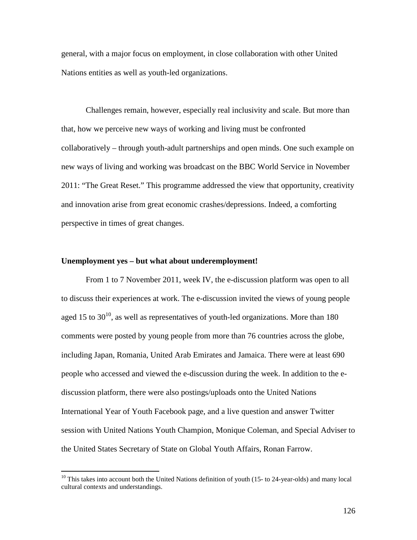general, with a major focus on employment, in close collaboration with other United Nations entities as well as youth-led organizations.

Challenges remain, however, especially real inclusivity and scale. But more than that, how we perceive new ways of working and living must be confronted collaboratively – through youth-adult partnerships and open minds. One such example on new ways of living and working was broadcast on the BBC World Service in November 2011: "The Great Reset." This programme addressed the view that opportunity, creativity and innovation arise from great economic crashes/depressions. Indeed, a comforting perspective in times of great changes.

#### **Unemployment yes – but what about underemployment!**

 $\overline{a}$ 

From 1 to 7 November 2011, week IV, the e-discussion platform was open to all to discuss their experiences at work. The e-discussion invited the views of young people aged 15 to  $30^{10}$ , as well as representatives of youth-led organizations. More than 180 comments were posted by young people from more than 76 countries across the globe, including Japan, Romania, United Arab Emirates and Jamaica. There were at least 690 people who accessed and viewed the e-discussion during the week. In addition to the ediscussion platform, there were also postings/uploads onto the United Nations International Year of Youth Facebook page, and a live question and answer Twitter session with United Nations Youth Champion, Monique Coleman, and Special Adviser to the United States Secretary of State on Global Youth Affairs, Ronan Farrow.

 $10$  This takes into account both the United Nations definition of youth (15- to 24-year-olds) and many local cultural contexts and understandings.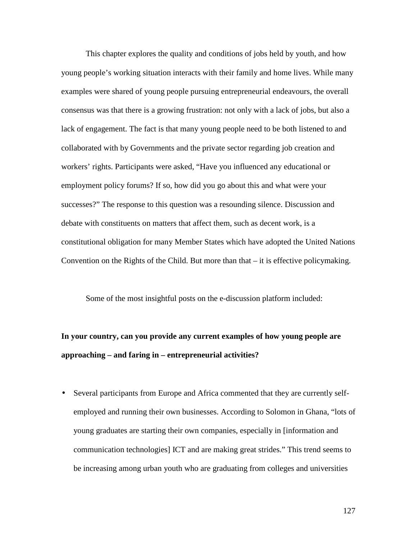This chapter explores the quality and conditions of jobs held by youth, and how young people's working situation interacts with their family and home lives. While many examples were shared of young people pursuing entrepreneurial endeavours, the overall consensus was that there is a growing frustration: not only with a lack of jobs, but also a lack of engagement. The fact is that many young people need to be both listened to and collaborated with by Governments and the private sector regarding job creation and workers' rights. Participants were asked, "Have you influenced any educational or employment policy forums? If so, how did you go about this and what were your successes?" The response to this question was a resounding silence. Discussion and debate with constituents on matters that affect them, such as decent work, is a constitutional obligation for many Member States which have adopted the United Nations Convention on the Rights of the Child. But more than that  $-$  it is effective policymaking.

Some of the most insightful posts on the e-discussion platform included:

**In your country, can you provide any current examples of how young people are approaching – and faring in – entrepreneurial activities?**

• Several participants from Europe and Africa commented that they are currently selfemployed and running their own businesses. According to Solomon in Ghana, "lots of young graduates are starting their own companies, especially in [information and communication technologies] ICT and are making great strides." This trend seems to be increasing among urban youth who are graduating from colleges and universities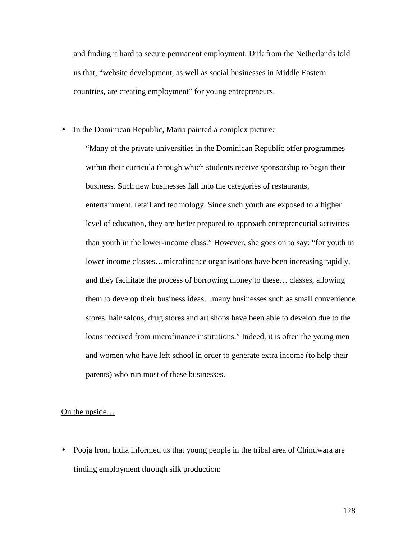and finding it hard to secure permanent employment. Dirk from the Netherlands told us that, "website development, as well as social businesses in Middle Eastern countries, are creating employment" for young entrepreneurs.

• In the Dominican Republic, Maria painted a complex picture:

"Many of the private universities in the Dominican Republic offer programmes within their curricula through which students receive sponsorship to begin their business. Such new businesses fall into the categories of restaurants, entertainment, retail and technology. Since such youth are exposed to a higher level of education, they are better prepared to approach entrepreneurial activities than youth in the lower-income class." However, she goes on to say: "for youth in lower income classes…microfinance organizations have been increasing rapidly, and they facilitate the process of borrowing money to these… classes, allowing them to develop their business ideas…many businesses such as small convenience stores, hair salons, drug stores and art shops have been able to develop due to the loans received from microfinance institutions." Indeed, it is often the young men and women who have left school in order to generate extra income (to help their parents) who run most of these businesses.

## On the upside…

• Pooja from India informed us that young people in the tribal area of Chindwara are finding employment through silk production: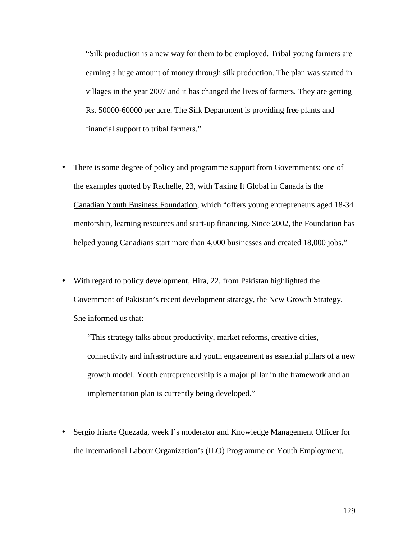"Silk production is a new way for them to be employed. Tribal young farmers are earning a huge amount of money through silk production. The plan was started in villages in the year 2007 and it has changed the lives of farmers. They are getting Rs. 50000-60000 per acre. The Silk Department is providing free plants and financial support to tribal farmers."

- There is some degree of policy and programme support from Governments: one of the examples quoted by Rachelle, 23, with Taking It Global in Canada is the Canadian Youth Business Foundation, which "offers young entrepreneurs aged 18-34 mentorship, learning resources and start-up financing. Since 2002, the Foundation has helped young Canadians start more than 4,000 businesses and created 18,000 jobs."
- With regard to policy development, Hira, 22, from Pakistan highlighted the Government of Pakistan's recent development strategy, the New Growth Strategy. She informed us that:

"This strategy talks about productivity, market reforms, creative cities, connectivity and infrastructure and youth engagement as essential pillars of a new growth model. Youth entrepreneurship is a major pillar in the framework and an implementation plan is currently being developed."

• Sergio Iriarte Quezada, week I's moderator and Knowledge Management Officer for the International Labour Organization's (ILO) Programme on Youth Employment,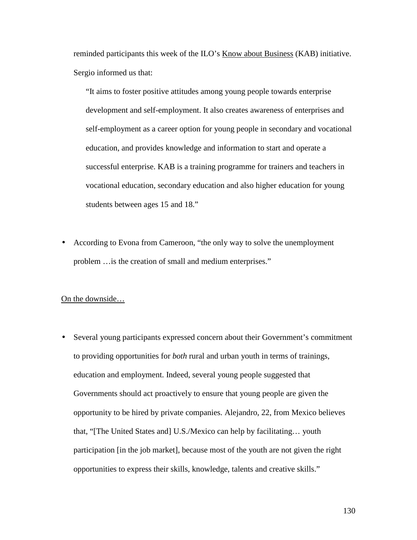reminded participants this week of the ILO's Know about Business (KAB) initiative. Sergio informed us that:

"It aims to foster positive attitudes among young people towards enterprise development and self-employment. It also creates awareness of enterprises and self-employment as a career option for young people in secondary and vocational education, and provides knowledge and information to start and operate a successful enterprise. KAB is a training programme for trainers and teachers in vocational education, secondary education and also higher education for young students between ages 15 and 18."

• According to Evona from Cameroon, "the only way to solve the unemployment problem …is the creation of small and medium enterprises."

#### On the downside…

• Several young participants expressed concern about their Government's commitment to providing opportunities for *both* rural and urban youth in terms of trainings, education and employment. Indeed, several young people suggested that Governments should act proactively to ensure that young people are given the opportunity to be hired by private companies. Alejandro, 22, from Mexico believes that, "[The United States and] U.S./Mexico can help by facilitating… youth participation [in the job market], because most of the youth are not given the right opportunities to express their skills, knowledge, talents and creative skills."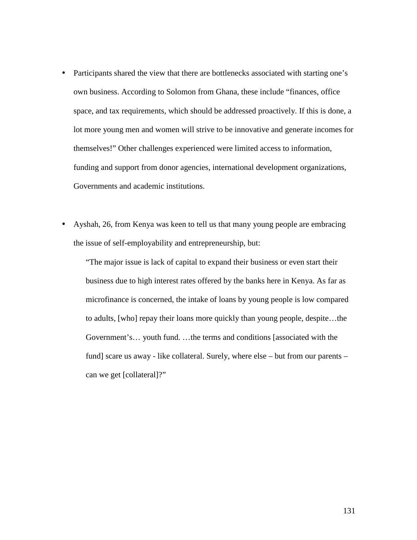- Participants shared the view that there are bottlenecks associated with starting one's own business. According to Solomon from Ghana, these include "finances, office space, and tax requirements, which should be addressed proactively. If this is done, a lot more young men and women will strive to be innovative and generate incomes for themselves!" Other challenges experienced were limited access to information, funding and support from donor agencies, international development organizations, Governments and academic institutions.
- Ayshah, 26, from Kenya was keen to tell us that many young people are embracing the issue of self-employability and entrepreneurship, but:

"The major issue is lack of capital to expand their business or even start their business due to high interest rates offered by the banks here in Kenya. As far as microfinance is concerned, the intake of loans by young people is low compared to adults, [who] repay their loans more quickly than young people, despite…the Government's… youth fund. …the terms and conditions [associated with the fund] scare us away - like collateral. Surely, where else – but from our parents – can we get [collateral]?"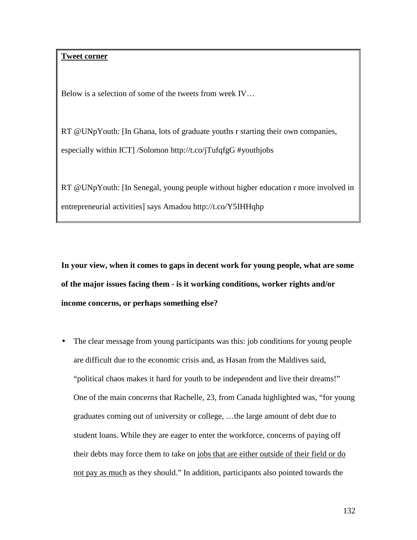## **Tweet corner**

Below is a selection of some of the tweets from week IV…

RT @UNpYouth: [In Ghana, lots of graduate youths r starting their own companies, especially within ICT] /Solomon http://t.co/jTufqfgG #youthjobs

RT @UNpYouth: [In Senegal, young people without higher education r more involved in entrepreneurial activities] says Amadou http://t.co/Y5IHHqhp

**In your view, when it comes to gaps in decent work for young people, what are some of the major issues facing them - is it working conditions, worker rights and/or income concerns, or perhaps something else?** 

• The clear message from young participants was this: job conditions for young people are difficult due to the economic crisis and, as Hasan from the Maldives said, "political chaos makes it hard for youth to be independent and live their dreams!" One of the main concerns that Rachelle, 23, from Canada highlighted was, "for young graduates coming out of university or college, …the large amount of debt due to student loans. While they are eager to enter the workforce, concerns of paying off their debts may force them to take on jobs that are either outside of their field or do not pay as much as they should." In addition, participants also pointed towards the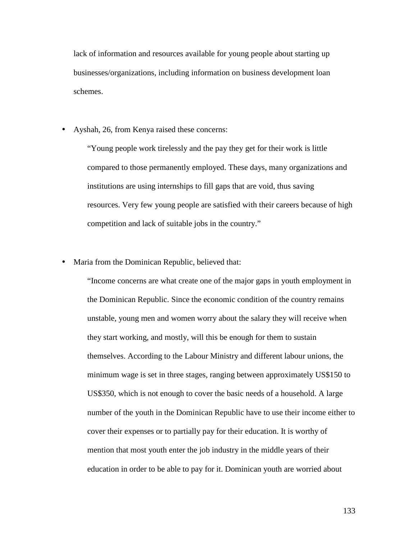lack of information and resources available for young people about starting up businesses/organizations, including information on business development loan schemes.

• Ayshah, 26, from Kenya raised these concerns:

"Young people work tirelessly and the pay they get for their work is little compared to those permanently employed. These days, many organizations and institutions are using internships to fill gaps that are void, thus saving resources. Very few young people are satisfied with their careers because of high competition and lack of suitable jobs in the country."

Maria from the Dominican Republic, believed that:

"Income concerns are what create one of the major gaps in youth employment in the Dominican Republic. Since the economic condition of the country remains unstable, young men and women worry about the salary they will receive when they start working, and mostly, will this be enough for them to sustain themselves. According to the Labour Ministry and different labour unions, the minimum wage is set in three stages, ranging between approximately US\$150 to US\$350, which is not enough to cover the basic needs of a household. A large number of the youth in the Dominican Republic have to use their income either to cover their expenses or to partially pay for their education. It is worthy of mention that most youth enter the job industry in the middle years of their education in order to be able to pay for it. Dominican youth are worried about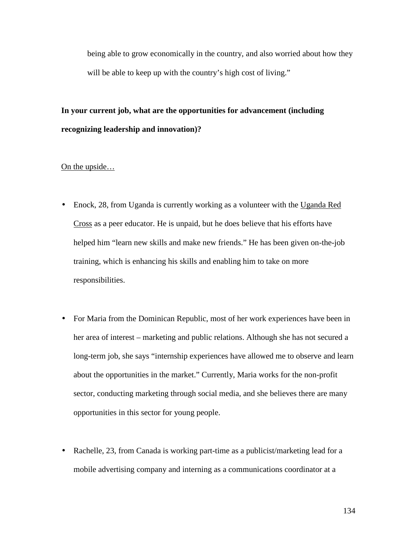being able to grow economically in the country, and also worried about how they will be able to keep up with the country's high cost of living."

# **In your current job, what are the opportunities for advancement (including recognizing leadership and innovation)?**

### On the upside…

- Enock, 28, from Uganda is currently working as a volunteer with the Uganda Red Cross as a peer educator. He is unpaid, but he does believe that his efforts have helped him "learn new skills and make new friends." He has been given on-the-job training, which is enhancing his skills and enabling him to take on more responsibilities.
- For Maria from the Dominican Republic, most of her work experiences have been in her area of interest – marketing and public relations. Although she has not secured a long-term job, she says "internship experiences have allowed me to observe and learn about the opportunities in the market." Currently, Maria works for the non-profit sector, conducting marketing through social media, and she believes there are many opportunities in this sector for young people.
- Rachelle, 23, from Canada is working part-time as a publicist/marketing lead for a mobile advertising company and interning as a communications coordinator at a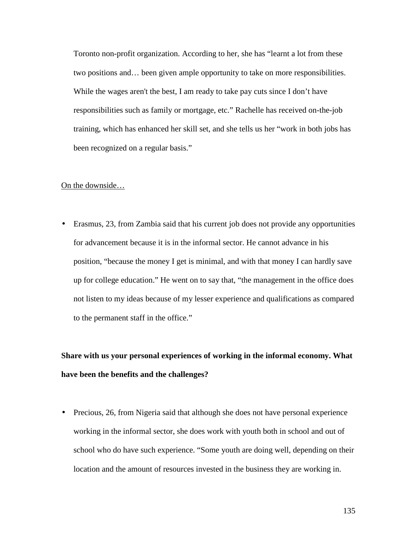Toronto non-profit organization. According to her, she has "learnt a lot from these two positions and… been given ample opportunity to take on more responsibilities. While the wages aren't the best, I am ready to take pay cuts since I don't have responsibilities such as family or mortgage, etc." Rachelle has received on-the-job training, which has enhanced her skill set, and she tells us her "work in both jobs has been recognized on a regular basis."

## On the downside…

• Erasmus, 23, from Zambia said that his current job does not provide any opportunities for advancement because it is in the informal sector. He cannot advance in his position, "because the money I get is minimal, and with that money I can hardly save up for college education." He went on to say that, "the management in the office does not listen to my ideas because of my lesser experience and qualifications as compared to the permanent staff in the office."

# **Share with us your personal experiences of working in the informal economy. What have been the benefits and the challenges?**

• Precious, 26, from Nigeria said that although she does not have personal experience working in the informal sector, she does work with youth both in school and out of school who do have such experience. "Some youth are doing well, depending on their location and the amount of resources invested in the business they are working in.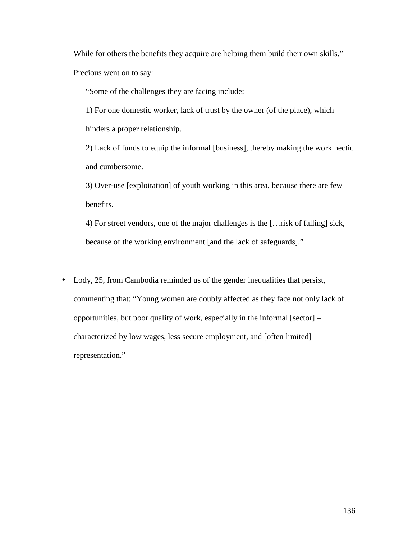While for others the benefits they acquire are helping them build their own skills." Precious went on to say:

"Some of the challenges they are facing include:

1) For one domestic worker, lack of trust by the owner (of the place), which hinders a proper relationship.

2) Lack of funds to equip the informal [business], thereby making the work hectic and cumbersome.

3) Over-use [exploitation] of youth working in this area, because there are few benefits.

4) For street vendors, one of the major challenges is the […risk of falling] sick, because of the working environment [and the lack of safeguards]."

• Lody, 25, from Cambodia reminded us of the gender inequalities that persist, commenting that: "Young women are doubly affected as they face not only lack of opportunities, but poor quality of work, especially in the informal [sector] – characterized by low wages, less secure employment, and [often limited] representation."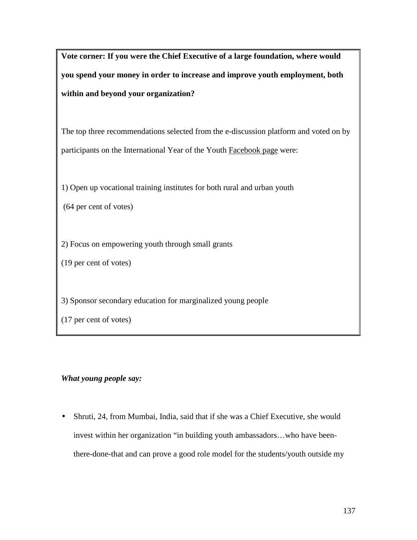```
Vote corner: If you were the Chief Executive of a large foundation, where would 
you spend your money in order to increase and improve youth employment, both 
within and beyond your organization?
```
The top three recommendations selected from the e-discussion platform and voted on by participants on the International Year of the Youth Facebook page were:

1) Open up vocational training institutes for both rural and urban youth

(64 per cent of votes)

2) Focus on empowering youth through small grants

(19 per cent of votes)

3) Sponsor secondary education for marginalized young people

(17 per cent of votes)

*What young people say:* 

• Shruti, 24, from Mumbai, India, said that if she was a Chief Executive, she would invest within her organization "in building youth ambassadors…who have beenthere-done-that and can prove a good role model for the students/youth outside my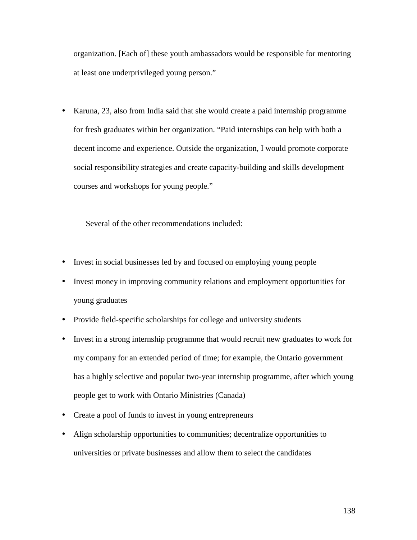organization. [Each of] these youth ambassadors would be responsible for mentoring at least one underprivileged young person."

• Karuna, 23, also from India said that she would create a paid internship programme for fresh graduates within her organization. "Paid internships can help with both a decent income and experience. Outside the organization, I would promote corporate social responsibility strategies and create capacity-building and skills development courses and workshops for young people."

Several of the other recommendations included:

- Invest in social businesses led by and focused on employing young people
- Invest money in improving community relations and employment opportunities for young graduates
- Provide field-specific scholarships for college and university students
- Invest in a strong internship programme that would recruit new graduates to work for my company for an extended period of time; for example, the Ontario government has a highly selective and popular two-year internship programme, after which young people get to work with Ontario Ministries (Canada)
- Create a pool of funds to invest in young entrepreneurs
- Align scholarship opportunities to communities; decentralize opportunities to universities or private businesses and allow them to select the candidates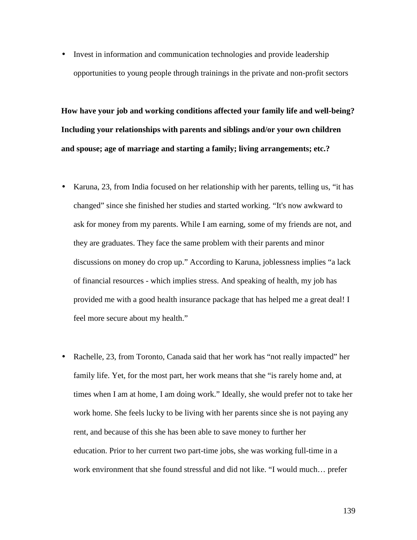• Invest in information and communication technologies and provide leadership opportunities to young people through trainings in the private and non-profit sectors

**How have your job and working conditions affected your family life and well-being? Including your relationships with parents and siblings and/or your own children and spouse; age of marriage and starting a family; living arrangements; etc.?** 

- Karuna, 23, from India focused on her relationship with her parents, telling us, "it has changed" since she finished her studies and started working. "It's now awkward to ask for money from my parents. While I am earning, some of my friends are not, and they are graduates. They face the same problem with their parents and minor discussions on money do crop up." According to Karuna, joblessness implies "a lack of financial resources - which implies stress. And speaking of health, my job has provided me with a good health insurance package that has helped me a great deal! I feel more secure about my health."
- Rachelle, 23, from Toronto, Canada said that her work has "not really impacted" her family life. Yet, for the most part, her work means that she "is rarely home and, at times when I am at home, I am doing work." Ideally, she would prefer not to take her work home. She feels lucky to be living with her parents since she is not paying any rent, and because of this she has been able to save money to further her education. Prior to her current two part-time jobs, she was working full-time in a work environment that she found stressful and did not like. "I would much… prefer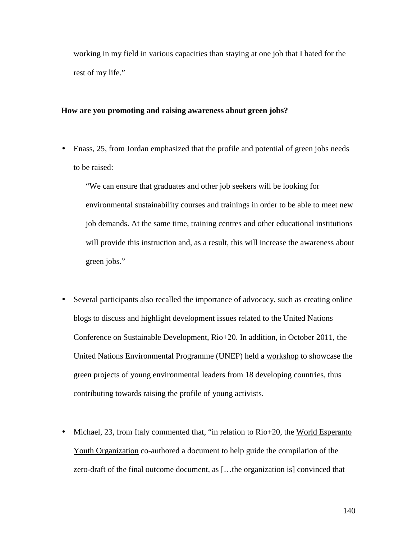working in my field in various capacities than staying at one job that I hated for the rest of my life."

#### **How are you promoting and raising awareness about green jobs?**

• Enass, 25, from Jordan emphasized that the profile and potential of green jobs needs to be raised:

"We can ensure that graduates and other job seekers will be looking for environmental sustainability courses and trainings in order to be able to meet new job demands. At the same time, training centres and other educational institutions will provide this instruction and, as a result, this will increase the awareness about green jobs."

- Several participants also recalled the importance of advocacy, such as creating online blogs to discuss and highlight development issues related to the United Nations Conference on Sustainable Development,  $Rio+20$ . In addition, in October 2011, the United Nations Environmental Programme (UNEP) held a workshop to showcase the green projects of young environmental leaders from 18 developing countries, thus contributing towards raising the profile of young activists.
- Michael, 23, from Italy commented that, "in relation to Rio+20, the World Esperanto Youth Organization co-authored a document to help guide the compilation of the zero-draft of the final outcome document, as […the organization is] convinced that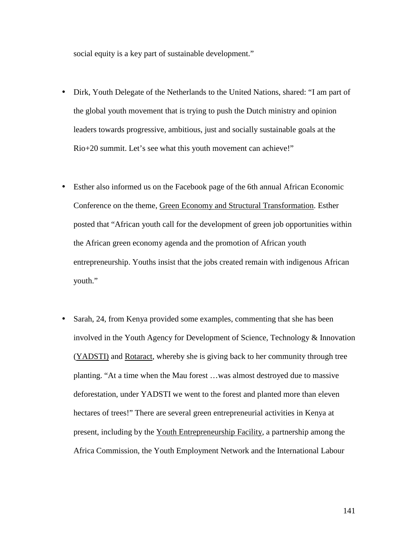social equity is a key part of sustainable development."

- Dirk, Youth Delegate of the Netherlands to the United Nations, shared: "I am part of the global youth movement that is trying to push the Dutch ministry and opinion leaders towards progressive, ambitious, just and socially sustainable goals at the Rio+20 summit. Let's see what this youth movement can achieve!"
- Esther also informed us on the Facebook page of the 6th annual African Economic Conference on the theme, Green Economy and Structural Transformation. Esther posted that "African youth call for the development of green job opportunities within the African green economy agenda and the promotion of African youth entrepreneurship. Youths insist that the jobs created remain with indigenous African youth."
- Sarah, 24, from Kenya provided some examples, commenting that she has been involved in the Youth Agency for Development of Science, Technology & Innovation (YADSTI) and Rotaract, whereby she is giving back to her community through tree planting. "At a time when the Mau forest …was almost destroyed due to massive deforestation, under YADSTI we went to the forest and planted more than eleven hectares of trees!" There are several green entrepreneurial activities in Kenya at present, including by the Youth Entrepreneurship Facility, a partnership among the Africa Commission, the Youth Employment Network and the International Labour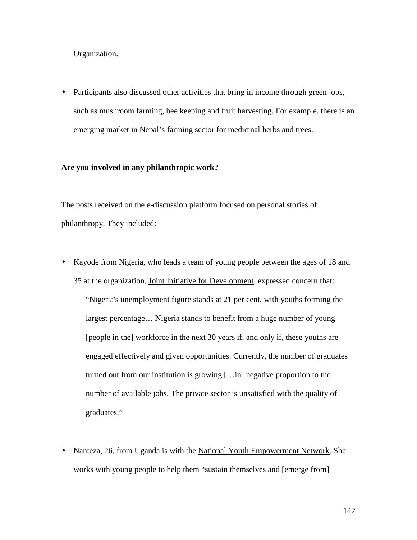Organization.

• Participants also discussed other activities that bring in income through green jobs, such as mushroom farming, bee keeping and fruit harvesting. For example, there is an emerging market in Nepal's farming sector for medicinal herbs and trees.

#### **Are you involved in any philanthropic work?**

The posts received on the e-discussion platform focused on personal stories of philanthropy. They included:

- Kayode from Nigeria, who leads a team of young people between the ages of 18 and 35 at the organization, Joint Initiative for Development, expressed concern that: "Nigeria's unemployment figure stands at 21 per cent, with youths forming the largest percentage… Nigeria stands to benefit from a huge number of young [people in the] workforce in the next 30 years if, and only if, these youths are engaged effectively and given opportunities. Currently, the number of graduates turned out from our institution is growing […in] negative proportion to the number of available jobs. The private sector is unsatisfied with the quality of graduates."
- Nanteza, 26, from Uganda is with the National Youth Empowerment Network. She works with young people to help them "sustain themselves and [emerge from]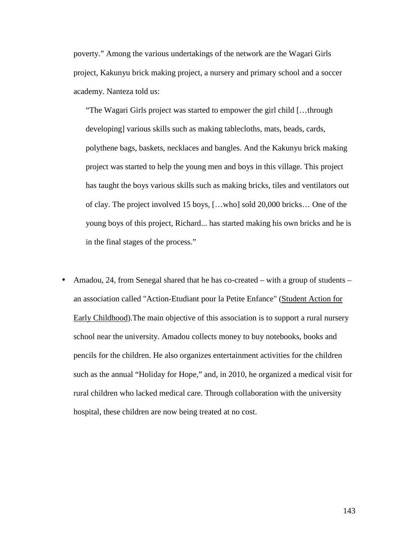poverty." Among the various undertakings of the network are the Wagari Girls project, Kakunyu brick making project, a nursery and primary school and a soccer academy. Nanteza told us:

"The Wagari Girls project was started to empower the girl child […through developing] various skills such as making tablecloths, mats, beads, cards, polythene bags, baskets, necklaces and bangles. And the Kakunyu brick making project was started to help the young men and boys in this village. This project has taught the boys various skills such as making bricks, tiles and ventilators out of clay. The project involved 15 boys, […who] sold 20,000 bricks… One of the young boys of this project, Richard... has started making his own bricks and he is in the final stages of the process."

• Amadou, 24, from Senegal shared that he has co-created – with a group of students – an association called "Action-Etudiant pour la Petite Enfance" (Student Action for Early Childhood).The main objective of this association is to support a rural nursery school near the university. Amadou collects money to buy notebooks, books and pencils for the children. He also organizes entertainment activities for the children such as the annual "Holiday for Hope," and, in 2010, he organized a medical visit for rural children who lacked medical care. Through collaboration with the university hospital, these children are now being treated at no cost.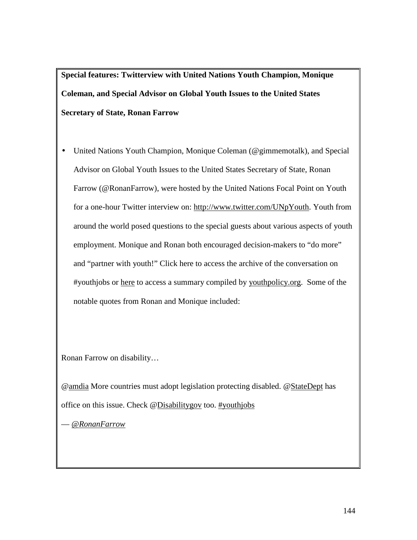**Special features: Twitterview with United Nations Youth Champion, Monique Coleman, and Special Advisor on Global Youth Issues to the United States Secretary of State, Ronan Farrow** 

• United Nations Youth Champion, Monique Coleman (@gimmemotalk), and Special Advisor on Global Youth Issues to the United States Secretary of State, Ronan Farrow (@RonanFarrow), were hosted by the United Nations Focal Point on Youth for a one-hour Twitter interview on: http://www.twitter.com/UNpYouth. Youth from around the world posed questions to the special guests about various aspects of youth employment. Monique and Ronan both encouraged decision-makers to "do more" and "partner with youth!" Click here to access the archive of the conversation on #youthjobs or here to access a summary compiled by youthpolicy.org. Some of the notable quotes from Ronan and Monique included:

Ronan Farrow on disability…

@amdia More countries must adopt legislation protecting disabled. @StateDept has office on this issue. Check @Disabilitygov too. #youthjobs

— *@RonanFarrow*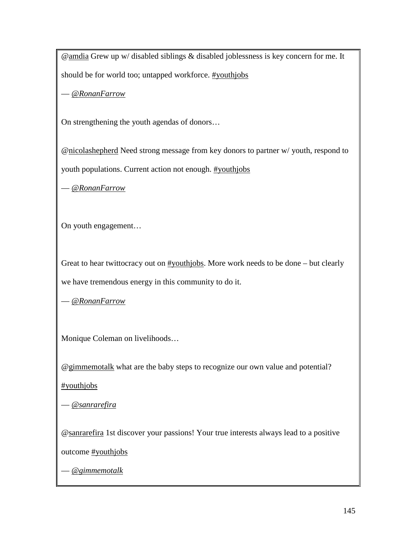@amdia Grew up w/ disabled siblings & disabled joblessness is key concern for me. It should be for world too; untapped workforce. **#youthjobs** 

— *@RonanFarrow*

On strengthening the youth agendas of donors…

@nicolashepherd Need strong message from key donors to partner w/ youth, respond to

youth populations. Current action not enough. #youthjobs

— *@RonanFarrow*

On youth engagement…

Great to hear twittocracy out on  $\frac{\text{#youthiobs}}{\text{#youthiobs}}$ . More work needs to be done – but clearly we have tremendous energy in this community to do it.

— *@RonanFarrow*

Monique Coleman on livelihoods…

@gimmemotalk what are the baby steps to recognize our own value and potential?

#youthjobs

— *@sanrarefira*

@sanrarefira 1st discover your passions! Your true interests always lead to a positive outcome #youthjobs

— *@gimmemotalk*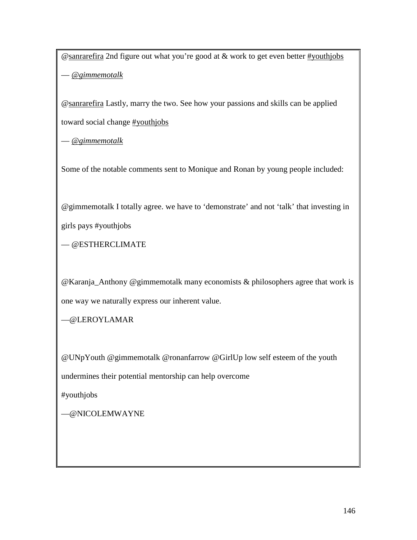$@{\text{sanrarefira}}$  2nd figure out what you're good at  $&$  work to get even better  $\frac{\text{#youthobs}}{\text{#yout}}$ — *@gimmemotalk*

@sanrarefira Lastly, marry the two. See how your passions and skills can be applied toward social change #youthjobs

— *@gimmemotalk*

Some of the notable comments sent to Monique and Ronan by young people included:

@gimmemotalk I totally agree. we have to 'demonstrate' and not 'talk' that investing in girls pays #youthjobs

— @ESTHERCLIMATE

@Karanja\_Anthony @gimmemotalk many economists & philosophers agree that work is one way we naturally express our inherent value.

—@LEROYLAMAR

@UNpYouth @gimmemotalk @ronanfarrow @GirlUp low self esteem of the youth undermines their potential mentorship can help overcome

#youthjobs

—@NICOLEMWAYNE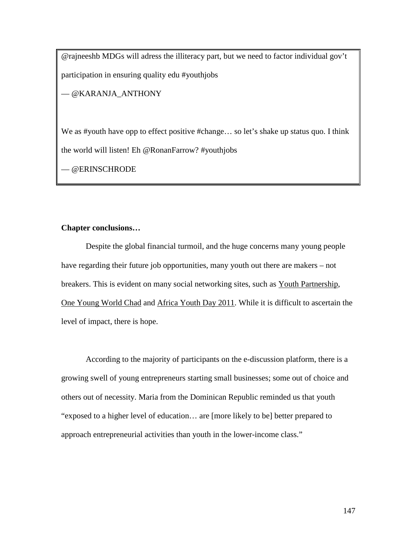@rajneeshb MDGs will adress the illiteracy part, but we need to factor individual gov't participation in ensuring quality edu #youthjobs

— @KARANJA\_ANTHONY

We as #youth have opp to effect positive #change... so let's shake up status quo. I think the world will listen! Eh @RonanFarrow? #youthjobs

— @ERINSCHRODE

### **Chapter conclusions…**

Despite the global financial turmoil, and the huge concerns many young people have regarding their future job opportunities, many youth out there are makers – not breakers. This is evident on many social networking sites, such as Youth Partnership, One Young World Chad and Africa Youth Day 2011. While it is difficult to ascertain the level of impact, there is hope.

According to the majority of participants on the e-discussion platform, there is a growing swell of young entrepreneurs starting small businesses; some out of choice and others out of necessity. Maria from the Dominican Republic reminded us that youth "exposed to a higher level of education… are [more likely to be] better prepared to approach entrepreneurial activities than youth in the lower-income class."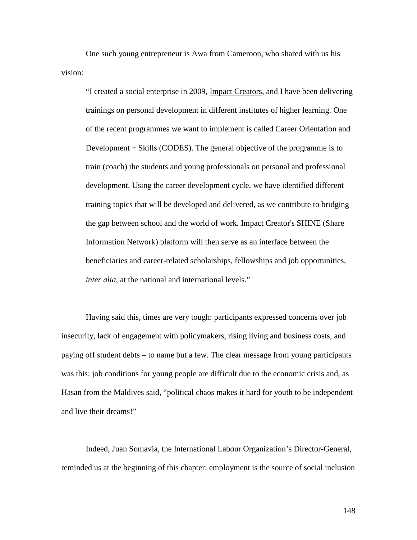One such young entrepreneur is Awa from Cameroon, who shared with us his vision:

"I created a social enterprise in 2009, Impact Creators, and I have been delivering trainings on personal development in different institutes of higher learning. One of the recent programmes we want to implement is called Career Orientation and Development + Skills (CODES). The general objective of the programme is to train (coach) the students and young professionals on personal and professional development. Using the career development cycle, we have identified different training topics that will be developed and delivered, as we contribute to bridging the gap between school and the world of work. Impact Creator's SHINE (Share Information Network) platform will then serve as an interface between the beneficiaries and career-related scholarships, fellowships and job opportunities, *inter alia*, at the national and international levels."

Having said this, times are very tough: participants expressed concerns over job insecurity, lack of engagement with policymakers, rising living and business costs, and paying off student debts – to name but a few. The clear message from young participants was this: job conditions for young people are difficult due to the economic crisis and, as Hasan from the Maldives said, "political chaos makes it hard for youth to be independent and live their dreams!"

Indeed, Juan Somavia, the International Labour Organization's Director-General, reminded us at the beginning of this chapter: employment is the source of social inclusion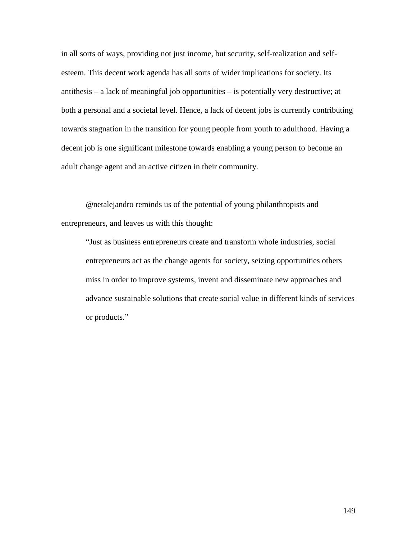in all sorts of ways, providing not just income, but security, self-realization and selfesteem. This decent work agenda has all sorts of wider implications for society. Its antithesis – a lack of meaningful job opportunities – is potentially very destructive; at both a personal and a societal level. Hence, a lack of decent jobs is currently contributing towards stagnation in the transition for young people from youth to adulthood. Having a decent job is one significant milestone towards enabling a young person to become an adult change agent and an active citizen in their community.

@netalejandro reminds us of the potential of young philanthropists and entrepreneurs, and leaves us with this thought:

"Just as business entrepreneurs create and transform whole industries, social entrepreneurs act as the change agents for society, seizing opportunities others miss in order to improve systems, invent and disseminate new approaches and advance sustainable solutions that create social value in different kinds of services or products."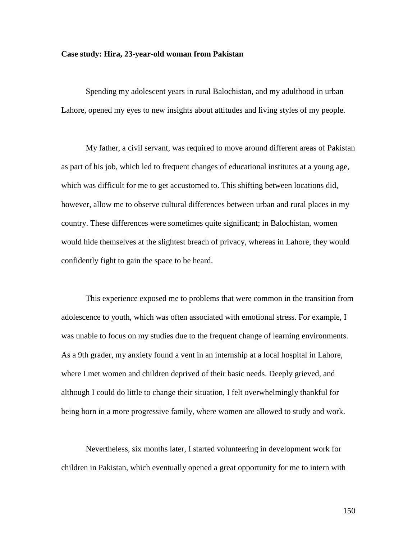#### **Case study: Hira, 23-year-old woman from Pakistan**

Spending my adolescent years in rural Balochistan, and my adulthood in urban Lahore, opened my eyes to new insights about attitudes and living styles of my people.

My father, a civil servant, was required to move around different areas of Pakistan as part of his job, which led to frequent changes of educational institutes at a young age, which was difficult for me to get accustomed to. This shifting between locations did, however, allow me to observe cultural differences between urban and rural places in my country. These differences were sometimes quite significant; in Balochistan, women would hide themselves at the slightest breach of privacy, whereas in Lahore, they would confidently fight to gain the space to be heard.

This experience exposed me to problems that were common in the transition from adolescence to youth, which was often associated with emotional stress. For example, I was unable to focus on my studies due to the frequent change of learning environments. As a 9th grader, my anxiety found a vent in an internship at a local hospital in Lahore, where I met women and children deprived of their basic needs. Deeply grieved, and although I could do little to change their situation, I felt overwhelmingly thankful for being born in a more progressive family, where women are allowed to study and work.

Nevertheless, six months later, I started volunteering in development work for children in Pakistan, which eventually opened a great opportunity for me to intern with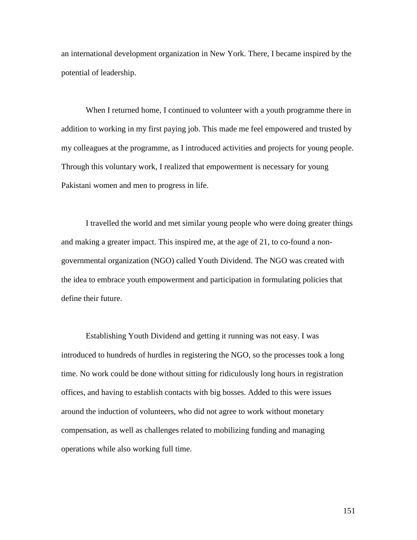an international development organization in New York. There, I became inspired by the potential of leadership.

When I returned home, I continued to volunteer with a youth programme there in addition to working in my first paying job. This made me feel empowered and trusted by my colleagues at the programme, as I introduced activities and projects for young people. Through this voluntary work, I realized that empowerment is necessary for young Pakistani women and men to progress in life.

I travelled the world and met similar young people who were doing greater things and making a greater impact. This inspired me, at the age of 21, to co-found a nongovernmental organization (NGO) called Youth Dividend. The NGO was created with the idea to embrace youth empowerment and participation in formulating policies that define their future.

Establishing Youth Dividend and getting it running was not easy. I was introduced to hundreds of hurdles in registering the NGO, so the processes took a long time. No work could be done without sitting for ridiculously long hours in registration offices, and having to establish contacts with big bosses. Added to this were issues around the induction of volunteers, who did not agree to work without monetary compensation, as well as challenges related to mobilizing funding and managing operations while also working full time.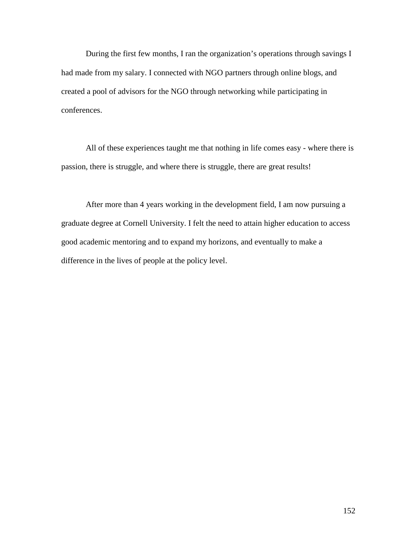During the first few months, I ran the organization's operations through savings I had made from my salary. I connected with NGO partners through online blogs, and created a pool of advisors for the NGO through networking while participating in conferences.

All of these experiences taught me that nothing in life comes easy - where there is passion, there is struggle, and where there is struggle, there are great results!

After more than 4 years working in the development field, I am now pursuing a graduate degree at Cornell University. I felt the need to attain higher education to access good academic mentoring and to expand my horizons, and eventually to make a difference in the lives of people at the policy level.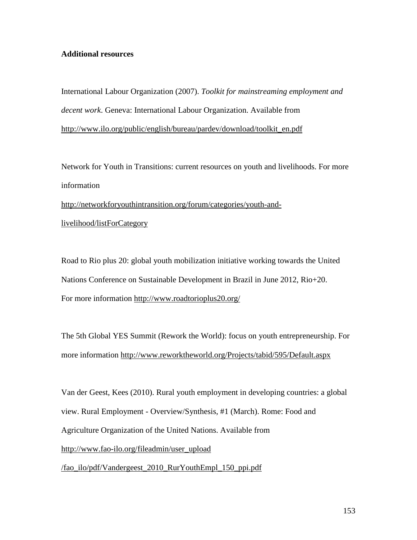#### **Additional resources**

International Labour Organization (2007). *Toolkit for mainstreaming employment and decent work*. Geneva: International Labour Organization. Available from http://www.ilo.org/public/english/bureau/pardev/download/toolkit\_en.pdf

Network for Youth in Transitions: current resources on youth and livelihoods. For more information http://networkforyouthintransition.org/forum/categories/youth-and-

livelihood/listForCategory

Road to Rio plus 20: global youth mobilization initiative working towards the United Nations Conference on Sustainable Development in Brazil in June 2012, Rio+20. For more information http://www.roadtorioplus20.org/

The 5th Global YES Summit (Rework the World): focus on youth entrepreneurship. For more information http://www.reworktheworld.org/Projects/tabid/595/Default.aspx

Van der Geest, Kees (2010). Rural youth employment in developing countries: a global view. Rural Employment - Overview/Synthesis, #1 (March). Rome: Food and Agriculture Organization of the United Nations. Available from http://www.fao-ilo.org/fileadmin/user\_upload /fao\_ilo/pdf/Vandergeest\_2010\_RurYouthEmpl\_150\_ppi.pdf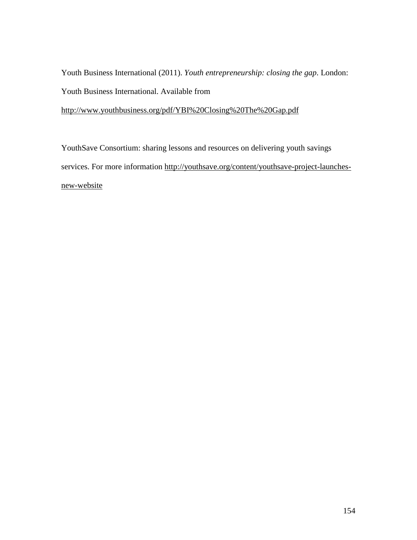Youth Business International (2011). *Youth entrepreneurship: closing the gap*. London: Youth Business International. Available from

http://www.youthbusiness.org/pdf/YBI%20Closing%20The%20Gap.pdf

YouthSave Consortium: sharing lessons and resources on delivering youth savings services. For more information http://youthsave.org/content/youthsave-project-launchesnew-website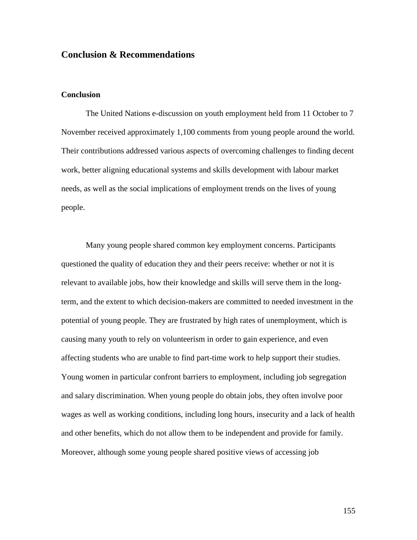# **Conclusion & Recommendations**

## **Conclusion**

The United Nations e-discussion on youth employment held from 11 October to 7 November received approximately 1,100 comments from young people around the world. Their contributions addressed various aspects of overcoming challenges to finding decent work, better aligning educational systems and skills development with labour market needs, as well as the social implications of employment trends on the lives of young people.

Many young people shared common key employment concerns. Participants questioned the quality of education they and their peers receive: whether or not it is relevant to available jobs, how their knowledge and skills will serve them in the longterm, and the extent to which decision-makers are committed to needed investment in the potential of young people. They are frustrated by high rates of unemployment, which is causing many youth to rely on volunteerism in order to gain experience, and even affecting students who are unable to find part-time work to help support their studies. Young women in particular confront barriers to employment, including job segregation and salary discrimination. When young people do obtain jobs, they often involve poor wages as well as working conditions, including long hours, insecurity and a lack of health and other benefits, which do not allow them to be independent and provide for family. Moreover, although some young people shared positive views of accessing job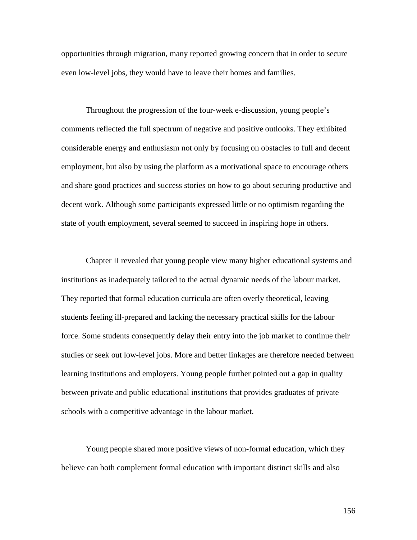opportunities through migration, many reported growing concern that in order to secure even low-level jobs, they would have to leave their homes and families.

Throughout the progression of the four-week e-discussion, young people's comments reflected the full spectrum of negative and positive outlooks. They exhibited considerable energy and enthusiasm not only by focusing on obstacles to full and decent employment, but also by using the platform as a motivational space to encourage others and share good practices and success stories on how to go about securing productive and decent work. Although some participants expressed little or no optimism regarding the state of youth employment, several seemed to succeed in inspiring hope in others.

Chapter II revealed that young people view many higher educational systems and institutions as inadequately tailored to the actual dynamic needs of the labour market. They reported that formal education curricula are often overly theoretical, leaving students feeling ill-prepared and lacking the necessary practical skills for the labour force. Some students consequently delay their entry into the job market to continue their studies or seek out low-level jobs. More and better linkages are therefore needed between learning institutions and employers. Young people further pointed out a gap in quality between private and public educational institutions that provides graduates of private schools with a competitive advantage in the labour market.

Young people shared more positive views of non-formal education, which they believe can both complement formal education with important distinct skills and also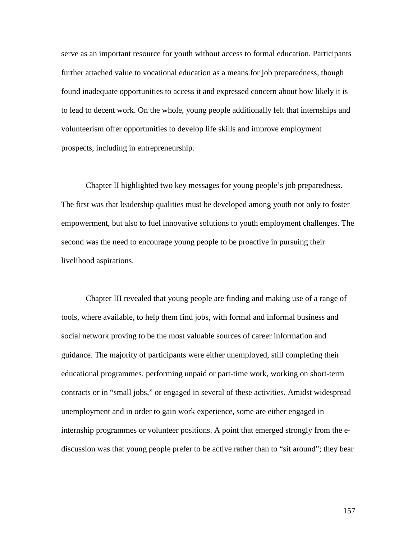serve as an important resource for youth without access to formal education. Participants further attached value to vocational education as a means for job preparedness, though found inadequate opportunities to access it and expressed concern about how likely it is to lead to decent work. On the whole, young people additionally felt that internships and volunteerism offer opportunities to develop life skills and improve employment prospects, including in entrepreneurship.

Chapter II highlighted two key messages for young people's job preparedness. The first was that leadership qualities must be developed among youth not only to foster empowerment, but also to fuel innovative solutions to youth employment challenges. The second was the need to encourage young people to be proactive in pursuing their livelihood aspirations.

Chapter III revealed that young people are finding and making use of a range of tools, where available, to help them find jobs, with formal and informal business and social network proving to be the most valuable sources of career information and guidance. The majority of participants were either unemployed, still completing their educational programmes, performing unpaid or part-time work, working on short-term contracts or in "small jobs," or engaged in several of these activities. Amidst widespread unemployment and in order to gain work experience, some are either engaged in internship programmes or volunteer positions. A point that emerged strongly from the ediscussion was that young people prefer to be active rather than to "sit around"; they bear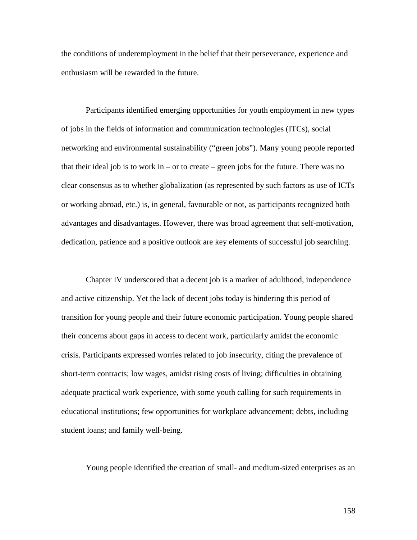the conditions of underemployment in the belief that their perseverance, experience and enthusiasm will be rewarded in the future.

Participants identified emerging opportunities for youth employment in new types of jobs in the fields of information and communication technologies (ITCs), social networking and environmental sustainability ("green jobs"). Many young people reported that their ideal job is to work in – or to create – green jobs for the future. There was no clear consensus as to whether globalization (as represented by such factors as use of ICTs or working abroad, etc.) is, in general, favourable or not, as participants recognized both advantages and disadvantages. However, there was broad agreement that self-motivation, dedication, patience and a positive outlook are key elements of successful job searching.

Chapter IV underscored that a decent job is a marker of adulthood, independence and active citizenship. Yet the lack of decent jobs today is hindering this period of transition for young people and their future economic participation. Young people shared their concerns about gaps in access to decent work, particularly amidst the economic crisis. Participants expressed worries related to job insecurity, citing the prevalence of short-term contracts; low wages, amidst rising costs of living; difficulties in obtaining adequate practical work experience, with some youth calling for such requirements in educational institutions; few opportunities for workplace advancement; debts, including student loans; and family well-being.

Young people identified the creation of small- and medium-sized enterprises as an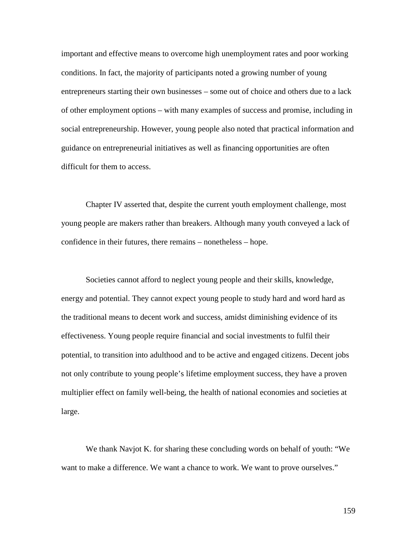important and effective means to overcome high unemployment rates and poor working conditions. In fact, the majority of participants noted a growing number of young entrepreneurs starting their own businesses – some out of choice and others due to a lack of other employment options – with many examples of success and promise, including in social entrepreneurship. However, young people also noted that practical information and guidance on entrepreneurial initiatives as well as financing opportunities are often difficult for them to access.

Chapter IV asserted that, despite the current youth employment challenge, most young people are makers rather than breakers. Although many youth conveyed a lack of confidence in their futures, there remains – nonetheless – hope.

Societies cannot afford to neglect young people and their skills, knowledge, energy and potential. They cannot expect young people to study hard and word hard as the traditional means to decent work and success, amidst diminishing evidence of its effectiveness. Young people require financial and social investments to fulfil their potential, to transition into adulthood and to be active and engaged citizens. Decent jobs not only contribute to young people's lifetime employment success, they have a proven multiplier effect on family well-being, the health of national economies and societies at large.

We thank Navjot K. for sharing these concluding words on behalf of youth: "We want to make a difference. We want a chance to work. We want to prove ourselves."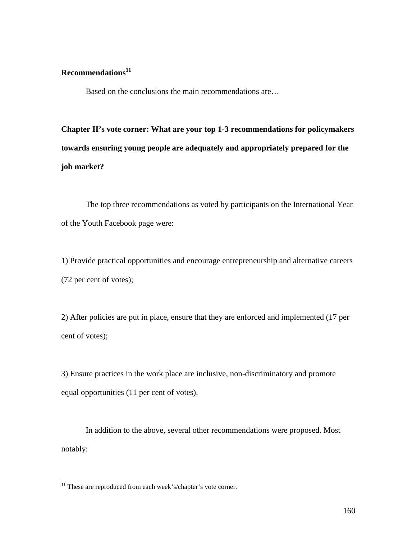# **Recommendations<sup>11</sup>**

Based on the conclusions the main recommendations are…

**Chapter II's vote corner: What are your top 1-3 recommendations for policymakers towards ensuring young people are adequately and appropriately prepared for the job market?** 

The top three recommendations as voted by participants on the International Year of the Youth Facebook page were:

1) Provide practical opportunities and encourage entrepreneurship and alternative careers (72 per cent of votes);

2) After policies are put in place, ensure that they are enforced and implemented (17 per cent of votes);

3) Ensure practices in the work place are inclusive, non-discriminatory and promote equal opportunities (11 per cent of votes).

In addition to the above, several other recommendations were proposed. Most notably:

<u>.</u>

 $11$  These are reproduced from each week's/chapter's vote corner.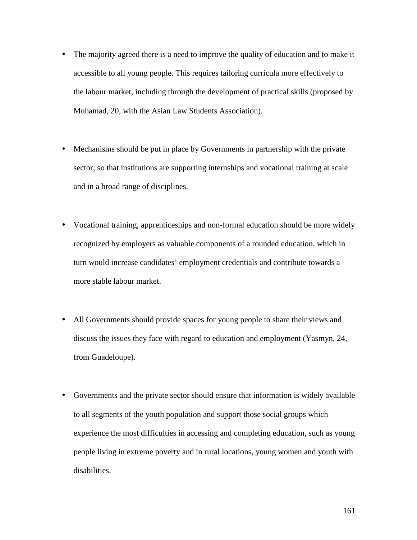- The majority agreed there is a need to improve the quality of education and to make it accessible to all young people. This requires tailoring curricula more effectively to the labour market, including through the development of practical skills (proposed by Muhamad, 20, with the Asian Law Students Association).
- Mechanisms should be put in place by Governments in partnership with the private sector; so that institutions are supporting internships and vocational training at scale and in a broad range of disciplines.
- Vocational training, apprenticeships and non-formal education should be more widely recognized by employers as valuable components of a rounded education, which in turn would increase candidates' employment credentials and contribute towards a more stable labour market.
- All Governments should provide spaces for young people to share their views and discuss the issues they face with regard to education and employment (Yasmyn, 24, from Guadeloupe).
- Governments and the private sector should ensure that information is widely available to all segments of the youth population and support those social groups which experience the most difficulties in accessing and completing education, such as young people living in extreme poverty and in rural locations, young women and youth with disabilities.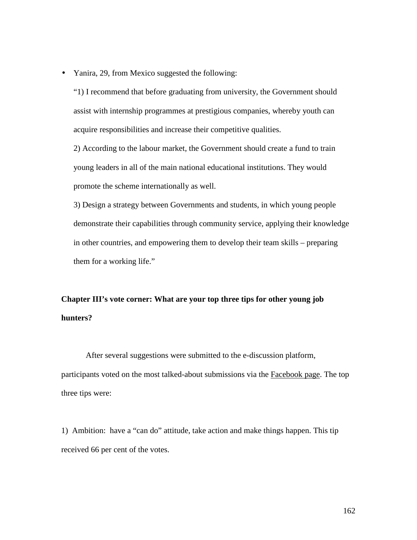• Yanira, 29, from Mexico suggested the following:

"1) I recommend that before graduating from university, the Government should assist with internship programmes at prestigious companies, whereby youth can acquire responsibilities and increase their competitive qualities.

2) According to the labour market, the Government should create a fund to train young leaders in all of the main national educational institutions. They would promote the scheme internationally as well.

3) Design a strategy between Governments and students, in which young people demonstrate their capabilities through community service, applying their knowledge in other countries, and empowering them to develop their team skills – preparing them for a working life."

# **Chapter III's vote corner: What are your top three tips for other young job hunters?**

After several suggestions were submitted to the e-discussion platform, participants voted on the most talked-about submissions via the Facebook page. The top three tips were:

1) Ambition: have a "can do" attitude, take action and make things happen. This tip received 66 per cent of the votes.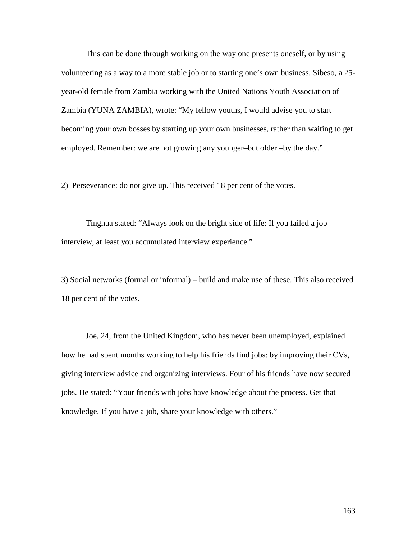This can be done through working on the way one presents oneself, or by using volunteering as a way to a more stable job or to starting one's own business. Sibeso, a 25 year-old female from Zambia working with the United Nations Youth Association of Zambia (YUNA ZAMBIA), wrote: "My fellow youths, I would advise you to start becoming your own bosses by starting up your own businesses, rather than waiting to get employed. Remember: we are not growing any younger–but older –by the day."

2) Perseverance: do not give up. This received 18 per cent of the votes.

Tinghua stated: "Always look on the bright side of life: If you failed a job interview, at least you accumulated interview experience."

3) Social networks (formal or informal) – build and make use of these. This also received 18 per cent of the votes.

Joe, 24, from the United Kingdom, who has never been unemployed, explained how he had spent months working to help his friends find jobs: by improving their CVs, giving interview advice and organizing interviews. Four of his friends have now secured jobs. He stated: "Your friends with jobs have knowledge about the process. Get that knowledge. If you have a job, share your knowledge with others."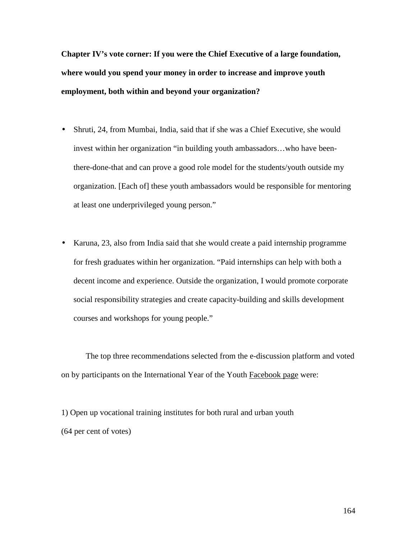**Chapter IV's vote corner: If you were the Chief Executive of a large foundation, where would you spend your money in order to increase and improve youth employment, both within and beyond your organization?** 

- Shruti, 24, from Mumbai, India, said that if she was a Chief Executive, she would invest within her organization "in building youth ambassadors…who have beenthere-done-that and can prove a good role model for the students/youth outside my organization. [Each of] these youth ambassadors would be responsible for mentoring at least one underprivileged young person."
- Karuna, 23, also from India said that she would create a paid internship programme for fresh graduates within her organization. "Paid internships can help with both a decent income and experience. Outside the organization, I would promote corporate social responsibility strategies and create capacity-building and skills development courses and workshops for young people."

The top three recommendations selected from the e-discussion platform and voted on by participants on the International Year of the Youth Facebook page were:

1) Open up vocational training institutes for both rural and urban youth (64 per cent of votes)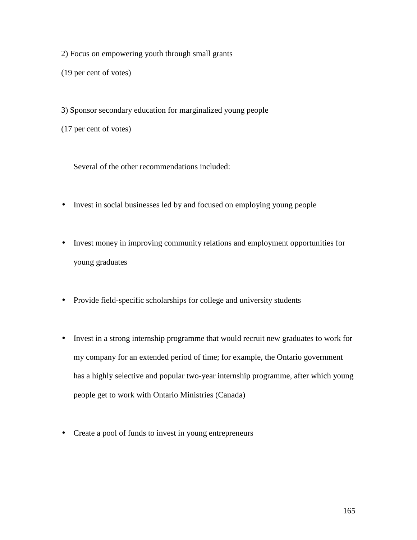- 2) Focus on empowering youth through small grants
- (19 per cent of votes)
- 3) Sponsor secondary education for marginalized young people
- (17 per cent of votes)

Several of the other recommendations included:

- Invest in social businesses led by and focused on employing young people
- Invest money in improving community relations and employment opportunities for young graduates
- Provide field-specific scholarships for college and university students
- Invest in a strong internship programme that would recruit new graduates to work for my company for an extended period of time; for example, the Ontario government has a highly selective and popular two-year internship programme, after which young people get to work with Ontario Ministries (Canada)
- Create a pool of funds to invest in young entrepreneurs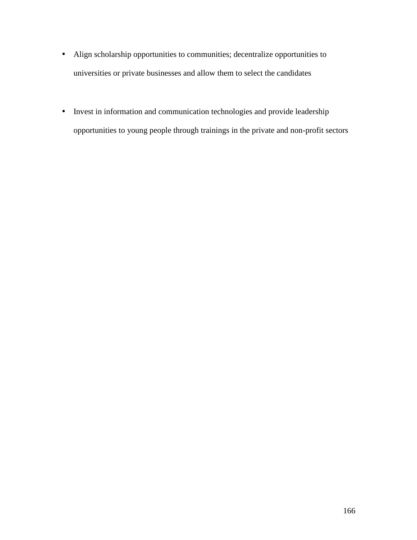- Align scholarship opportunities to communities; decentralize opportunities to universities or private businesses and allow them to select the candidates
- Invest in information and communication technologies and provide leadership opportunities to young people through trainings in the private and non-profit sectors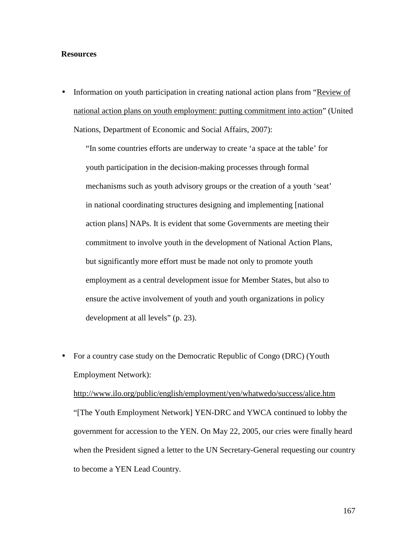### **Resources**

• Information on youth participation in creating national action plans from "Review of national action plans on youth employment: putting commitment into action" (United Nations, Department of Economic and Social Affairs, 2007):

"In some countries efforts are underway to create 'a space at the table' for youth participation in the decision-making processes through formal mechanisms such as youth advisory groups or the creation of a youth 'seat' in national coordinating structures designing and implementing [national action plans] NAPs. It is evident that some Governments are meeting their commitment to involve youth in the development of National Action Plans, but significantly more effort must be made not only to promote youth employment as a central development issue for Member States, but also to ensure the active involvement of youth and youth organizations in policy development at all levels" (p. 23).

• For a country case study on the Democratic Republic of Congo (DRC) (Youth Employment Network):

http://www.ilo.org/public/english/employment/yen/whatwedo/success/alice.htm "[The Youth Employment Network] YEN-DRC and YWCA continued to lobby the government for accession to the YEN. On May 22, 2005, our cries were finally heard when the President signed a letter to the UN Secretary-General requesting our country to become a YEN Lead Country.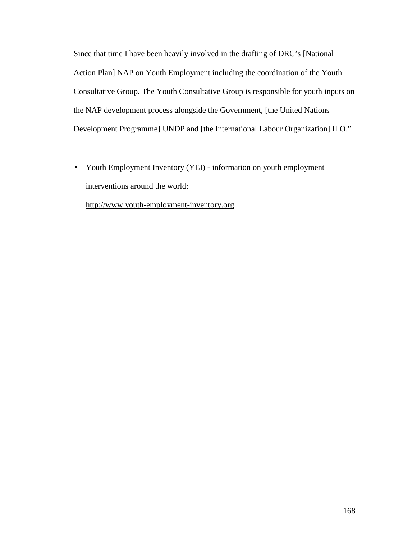Since that time I have been heavily involved in the drafting of DRC's [National Action Plan] NAP on Youth Employment including the coordination of the Youth Consultative Group. The Youth Consultative Group is responsible for youth inputs on the NAP development process alongside the Government, [the United Nations Development Programme] UNDP and [the International Labour Organization] ILO."

• Youth Employment Inventory (YEI) - information on youth employment interventions around the world:

http://www.youth-employment-inventory.org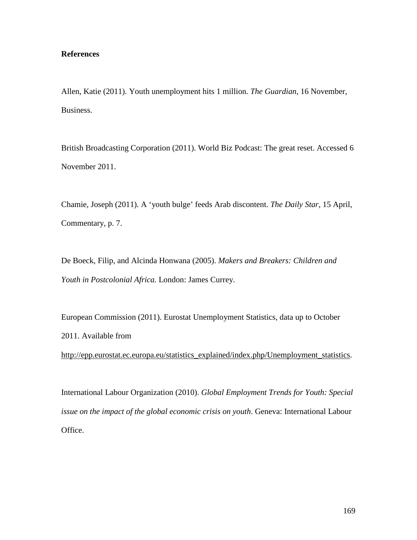# **References**

Allen, Katie (2011). Youth unemployment hits 1 million. *The Guardian*, 16 November, Business.

British Broadcasting Corporation (2011). World Biz Podcast: The great reset. Accessed 6 November 2011.

Chamie, Joseph (2011). A 'youth bulge' feeds Arab discontent. *The Daily Star*, 15 April, Commentary, p. 7.

De Boeck, Filip, and Alcinda Honwana (2005). *Makers and Breakers: Children and Youth in Postcolonial Africa.* London: James Currey.

European Commission (2011). Eurostat Unemployment Statistics, data up to October 2011. Available from

http://epp.eurostat.ec.europa.eu/statistics\_explained/index.php/Unemployment\_statistics.

International Labour Organization (2010). *Global Employment Trends for Youth: Special issue on the impact of the global economic crisis on youth*. Geneva: International Labour Office.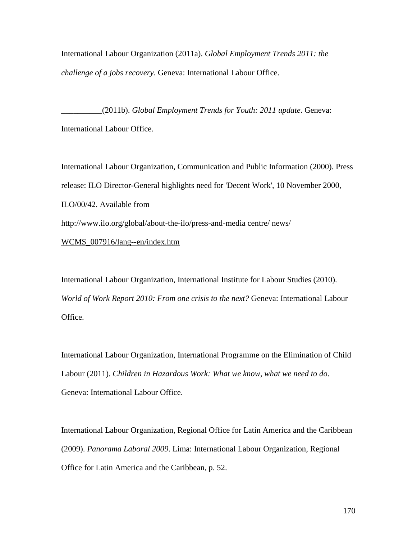International Labour Organization (2011a). *Global Employment Trends 2011: the challenge of a jobs recovery*. Geneva: International Labour Office.

\_\_\_\_\_\_\_\_\_\_(2011b). *Global Employment Trends for Youth: 2011 update*. Geneva: International Labour Office.

International Labour Organization, Communication and Public Information (2000). Press release: ILO Director-General highlights need for 'Decent Work', 10 November 2000, ILO/00/42. Available from http://www.ilo.org/global/about-the-ilo/press-and-media centre/ news/ WCMS\_007916/lang--en/index.htm

International Labour Organization, International Institute for Labour Studies (2010). *World of Work Report 2010: From one crisis to the next?* Geneva: International Labour Office.

International Labour Organization, International Programme on the Elimination of Child Labour (2011). *Children in Hazardous Work: What we know, what we need to do*. Geneva: International Labour Office.

International Labour Organization, Regional Office for Latin America and the Caribbean (2009). *Panorama Laboral 2009*. Lima: International Labour Organization, Regional Office for Latin America and the Caribbean, p. 52.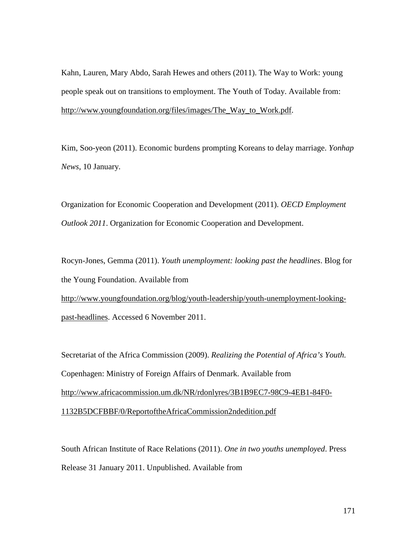Kahn, Lauren, Mary Abdo, Sarah Hewes and others (2011). The Way to Work: young people speak out on transitions to employment. The Youth of Today. Available from: http://www.youngfoundation.org/files/images/The\_Way\_to\_Work.pdf.

Kim, Soo-yeon (2011). Economic burdens prompting Koreans to delay marriage. *Yonhap News*, 10 January.

Organization for Economic Cooperation and Development (2011). *OECD Employment Outlook 2011*. Organization for Economic Cooperation and Development.

Rocyn-Jones, Gemma (2011). *Youth unemployment: looking past the headlines*. Blog for the Young Foundation. Available from http://www.youngfoundation.org/blog/youth-leadership/youth-unemployment-lookingpast-headlines. Accessed 6 November 2011.

Secretariat of the Africa Commission (2009). *Realizing the Potential of Africa's Youth.*  Copenhagen: Ministry of Foreign Affairs of Denmark. Available from http://www.africacommission.um.dk/NR/rdonlyres/3B1B9EC7-98C9-4EB1-84F0- 1132B5DCFBBF/0/ReportoftheAfricaCommission2ndedition.pdf

South African Institute of Race Relations (2011). *One in two youths unemployed*. Press Release 31 January 2011. Unpublished. Available from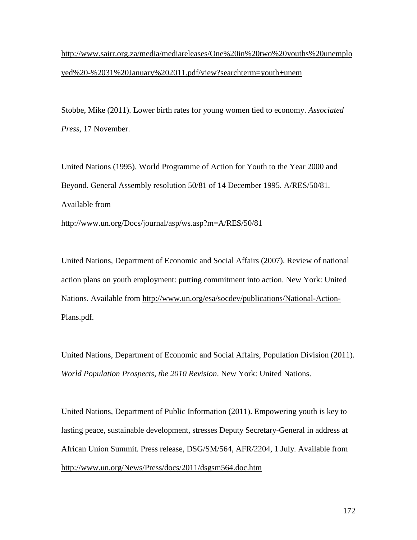http://www.sairr.org.za/media/mediareleases/One%20in%20two%20youths%20unemplo yed%20-%2031%20January%202011.pdf/view?searchterm=youth+unem

Stobbe, Mike (2011). Lower birth rates for young women tied to economy. *Associated Press*, 17 November.

United Nations (1995). World Programme of Action for Youth to the Year 2000 and Beyond. General Assembly resolution 50/81 of 14 December 1995. A/RES/50/81. Available from

http://www.un.org/Docs/journal/asp/ws.asp?m=A/RES/50/81

United Nations, Department of Economic and Social Affairs (2007). Review of national action plans on youth employment: putting commitment into action. New York: United Nations. Available from http://www.un.org/esa/socdev/publications/National-Action-Plans.pdf.

United Nations, Department of Economic and Social Affairs, Population Division (2011). *World Population Prospects, the 2010 Revision*. New York: United Nations.

United Nations, Department of Public Information (2011). Empowering youth is key to lasting peace, sustainable development, stresses Deputy Secretary-General in address at African Union Summit. Press release, DSG/SM/564, AFR/2204, 1 July. Available from http://www.un.org/News/Press/docs/2011/dsgsm564.doc.htm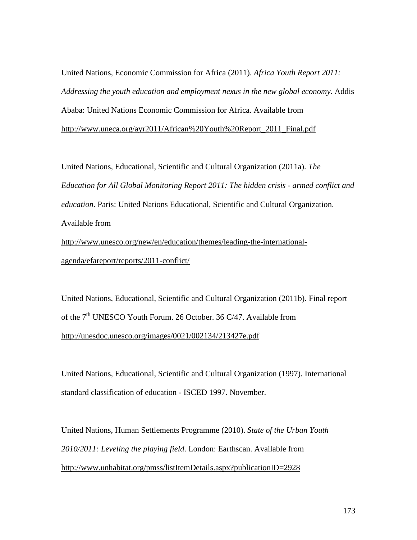United Nations, Economic Commission for Africa (2011). *Africa Youth Report 2011: Addressing the youth education and employment nexus in the new global economy.* Addis Ababa: United Nations Economic Commission for Africa. Available from http://www.uneca.org/ayr2011/African%20Youth%20Report\_2011\_Final.pdf

United Nations, Educational, Scientific and Cultural Organization (2011a). *The Education for All Global Monitoring Report 2011: The hidden crisis - armed conflict and education*. Paris: United Nations Educational, Scientific and Cultural Organization. Available from http://www.unesco.org/new/en/education/themes/leading-the-internationalagenda/efareport/reports/2011-conflict/

United Nations, Educational, Scientific and Cultural Organization (2011b). Final report of the 7<sup>th</sup> UNESCO Youth Forum. 26 October. 36 C/47. Available from http://unesdoc.unesco.org/images/0021/002134/213427e.pdf

United Nations, Educational, Scientific and Cultural Organization (1997). International standard classification of education - ISCED 1997. November.

United Nations, Human Settlements Programme (2010). *State of the Urban Youth 2010/2011: Leveling the playing field*. London: Earthscan. Available from http://www.unhabitat.org/pmss/listItemDetails.aspx?publicationID=2928